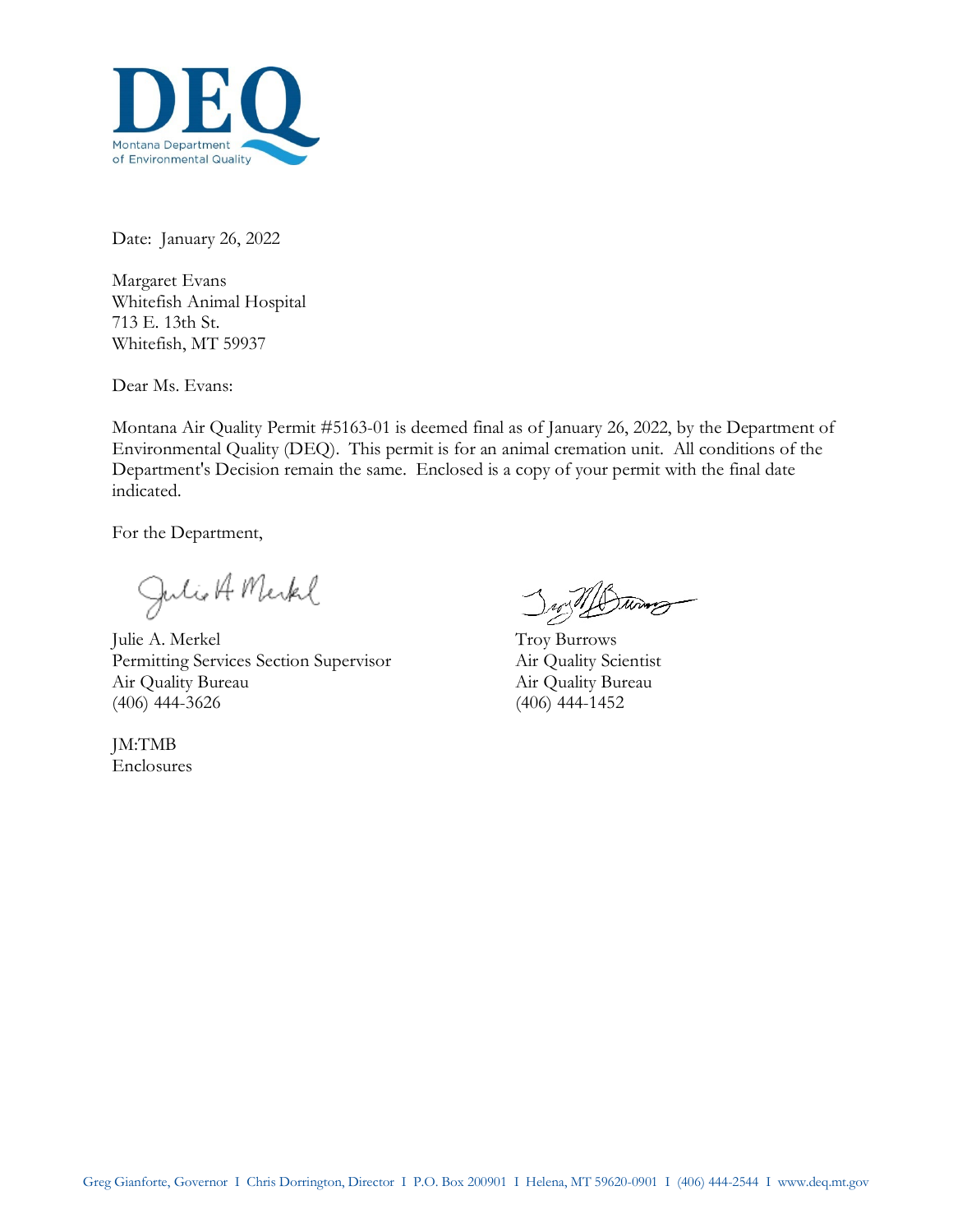

Date: January 26, 2022

Margaret Evans Whitefish Animal Hospital 713 E. 13th St. Whitefish, MT 59937

Dear Ms. Evans:

Montana Air Quality Permit #5163-01 is deemed final as of January 26, 2022, by the Department of Environmental Quality (DEQ). This permit is for an animal cremation unit. All conditions of the Department's Decision remain the same. Enclosed is a copy of your permit with the final date indicated.

For the Department,

Julio A Merkel

Julie A. Merkel Troy Burrows Permitting Services Section Supervisor Air Quality Scientist Air Quality Bureau Air Quality Bureau (406) 444-3626 (406) 444-1452

JM:TMB Enclosures

 $\mathcal{D}$ Turney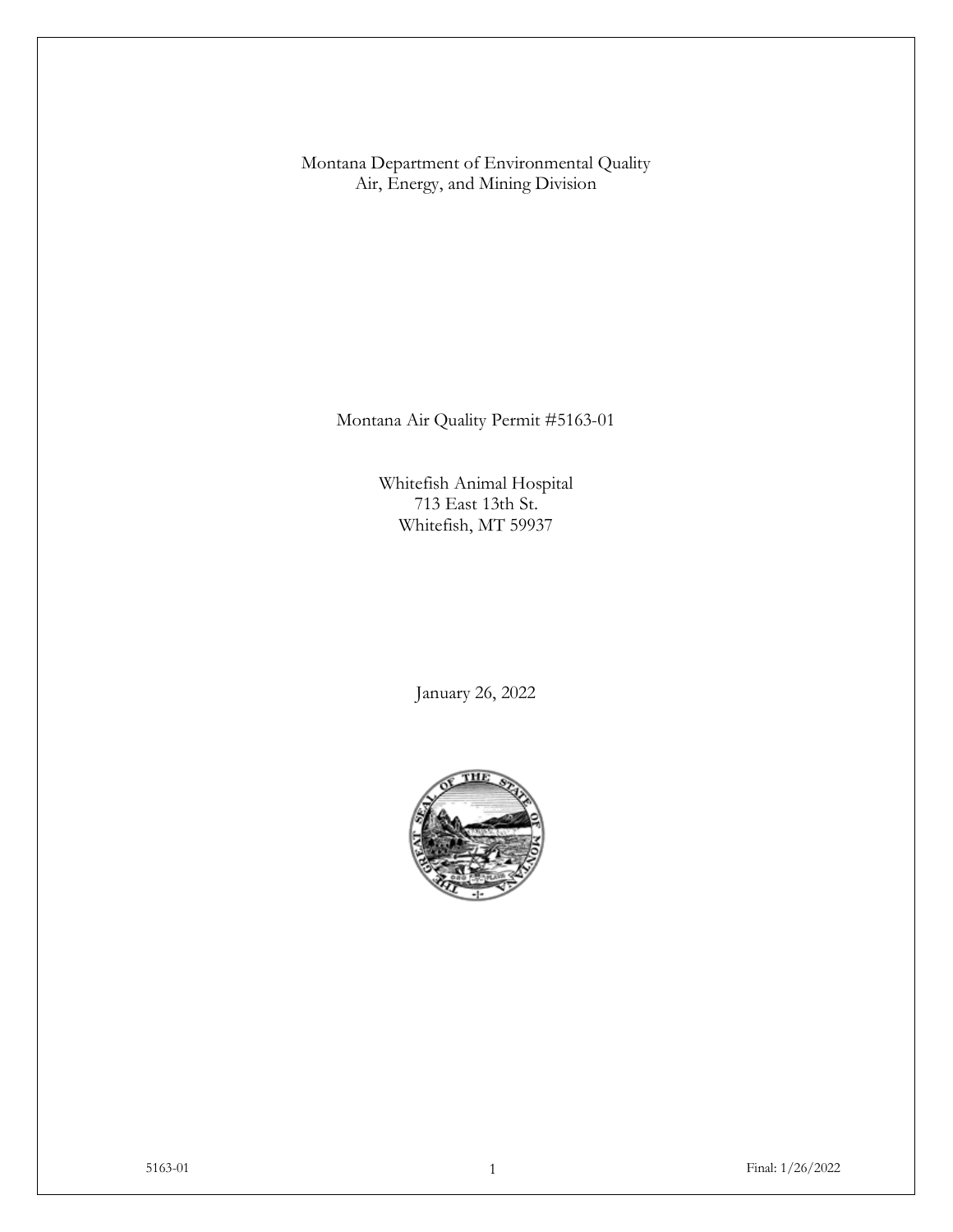Montana Department of Environmental Quality Air, Energy, and Mining Division

Montana Air Quality Permit #5163-01

Whitefish Animal Hospital 713 East 13th St. Whitefish, MT 59937

January 26, 2022

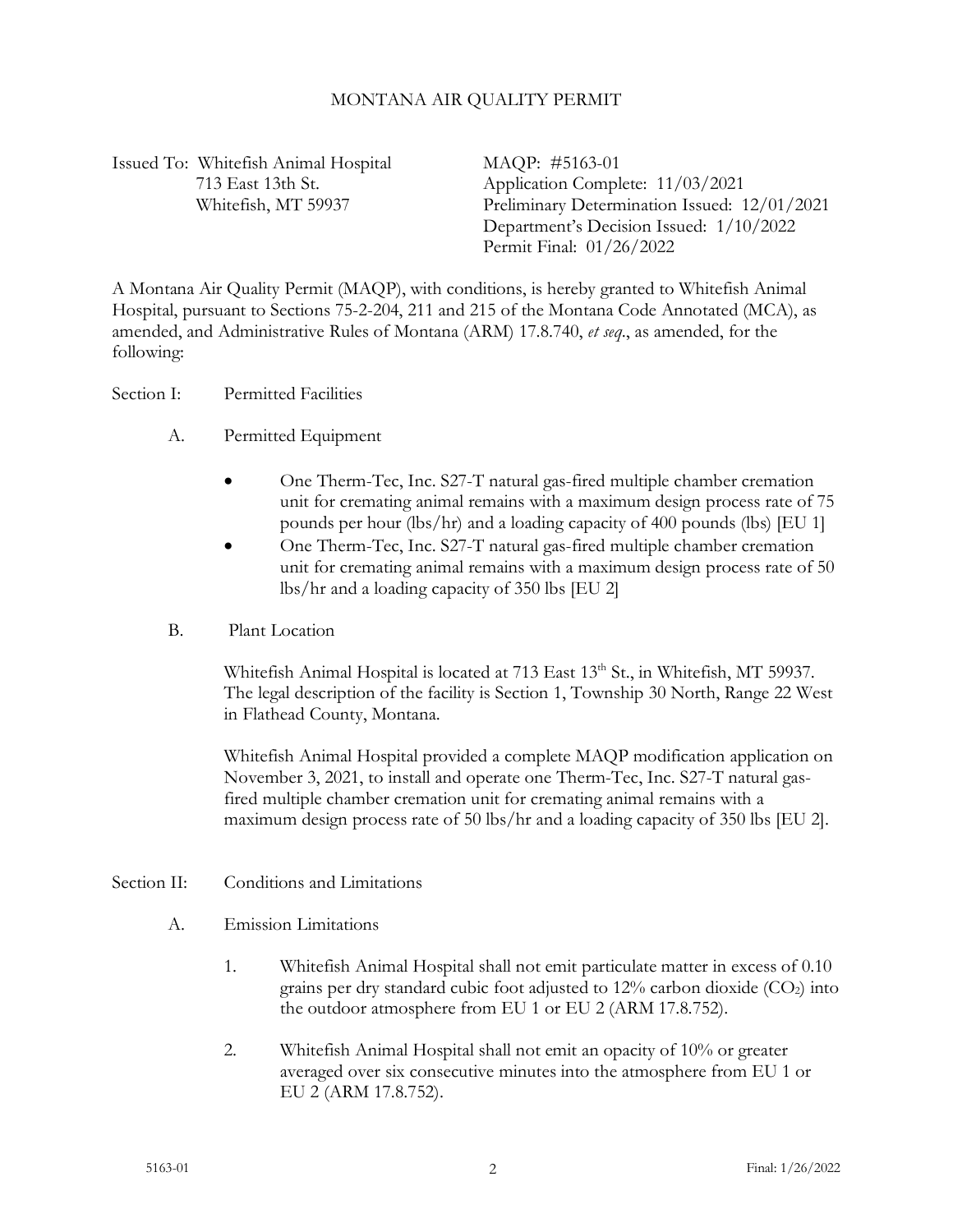### MONTANA AIR QUALITY PERMIT

Issued To: Whitefish Animal Hospital MAQP: #5163-01

713 East 13th St. Application Complete: 11/03/2021 Whitefish, MT 59937 Preliminary Determination Issued: 12/01/2021 Department's Decision Issued: 1/10/2022 Permit Final: 01/26/2022

A Montana Air Quality Permit (MAQP), with conditions, is hereby granted to Whitefish Animal Hospital, pursuant to Sections 75-2-204, 211 and 215 of the Montana Code Annotated (MCA), as amended, and Administrative Rules of Montana (ARM) 17.8.740, *et seq*., as amended, for the following:

Section I: Permitted Facilities

- A. Permitted Equipment
	- One Therm-Tec, Inc. S27-T natural gas-fired multiple chamber cremation unit for cremating animal remains with a maximum design process rate of 75 pounds per hour (lbs/hr) and a loading capacity of 400 pounds (lbs) [EU 1]
	- One Therm-Tec, Inc. S27-T natural gas-fired multiple chamber cremation unit for cremating animal remains with a maximum design process rate of 50 lbs/hr and a loading capacity of 350 lbs [EU 2]
- B. Plant Location

Whitefish Animal Hospital is located at 713 East 13<sup>th</sup> St., in Whitefish, MT 59937. The legal description of the facility is Section 1, Township 30 North, Range 22 West in Flathead County, Montana.

Whitefish Animal Hospital provided a complete MAQP modification application on November 3, 2021, to install and operate one Therm-Tec, Inc. S27-T natural gasfired multiple chamber cremation unit for cremating animal remains with a maximum design process rate of 50 lbs/hr and a loading capacity of 350 lbs [EU 2].

## Section II: Conditions and Limitations

- A. Emission Limitations
	- 1. Whitefish Animal Hospital shall not emit particulate matter in excess of 0.10 grains per dry standard cubic foot adjusted to  $12\%$  carbon dioxide (CO<sub>2</sub>) into the outdoor atmosphere from EU 1 or EU 2 (ARM 17.8.752).
	- 2. Whitefish Animal Hospital shall not emit an opacity of 10% or greater averaged over six consecutive minutes into the atmosphere from EU 1 or EU 2 (ARM 17.8.752).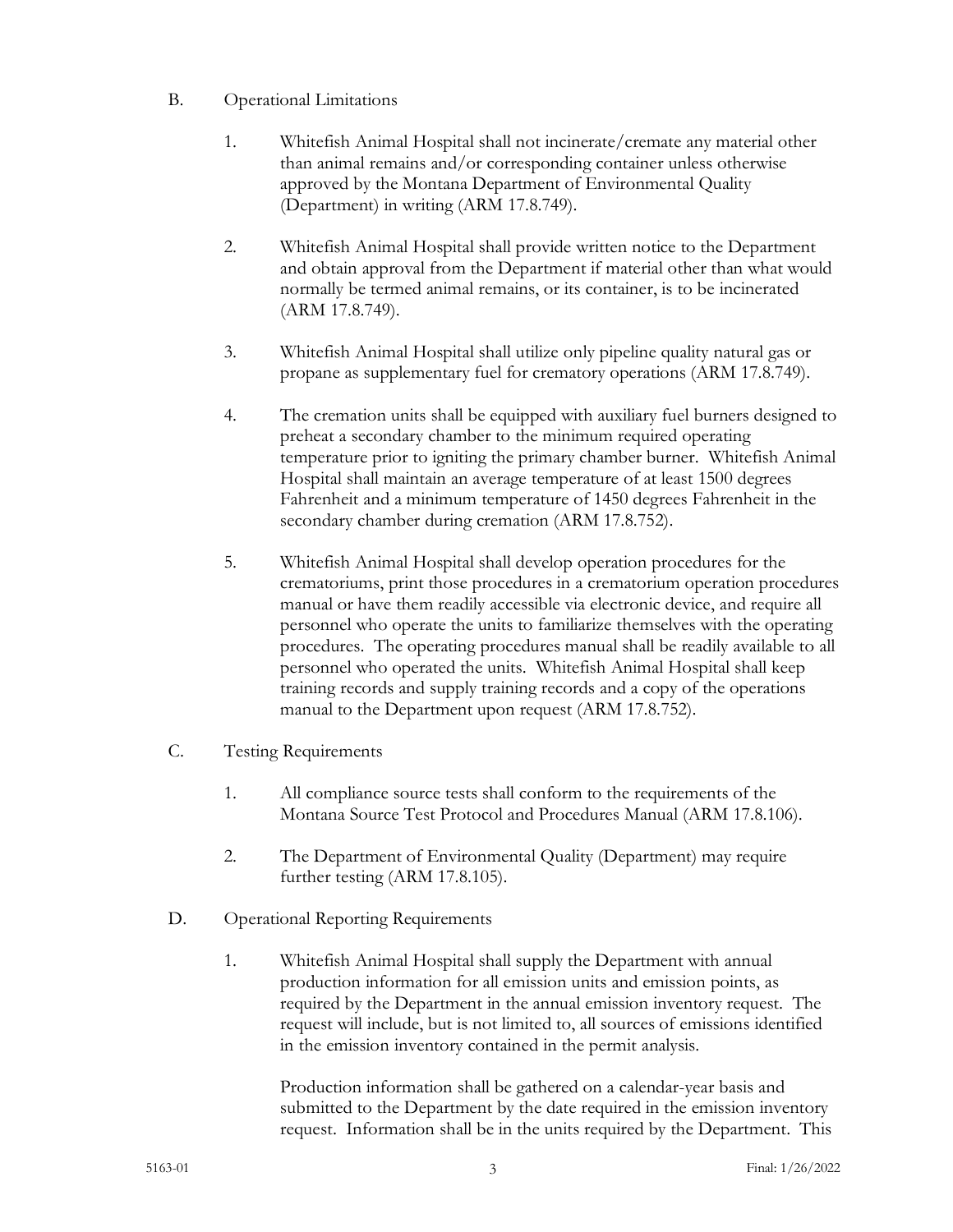- B. Operational Limitations
	- 1. Whitefish Animal Hospital shall not incinerate/cremate any material other than animal remains and/or corresponding container unless otherwise approved by the Montana Department of Environmental Quality (Department) in writing (ARM 17.8.749).
	- 2. Whitefish Animal Hospital shall provide written notice to the Department and obtain approval from the Department if material other than what would normally be termed animal remains, or its container, is to be incinerated (ARM 17.8.749).
	- 3. Whitefish Animal Hospital shall utilize only pipeline quality natural gas or propane as supplementary fuel for crematory operations (ARM 17.8.749).
	- 4. The cremation units shall be equipped with auxiliary fuel burners designed to preheat a secondary chamber to the minimum required operating temperature prior to igniting the primary chamber burner. Whitefish Animal Hospital shall maintain an average temperature of at least 1500 degrees Fahrenheit and a minimum temperature of 1450 degrees Fahrenheit in the secondary chamber during cremation (ARM 17.8.752).
	- 5. Whitefish Animal Hospital shall develop operation procedures for the crematoriums, print those procedures in a crematorium operation procedures manual or have them readily accessible via electronic device, and require all personnel who operate the units to familiarize themselves with the operating procedures. The operating procedures manual shall be readily available to all personnel who operated the units. Whitefish Animal Hospital shall keep training records and supply training records and a copy of the operations manual to the Department upon request (ARM 17.8.752).
- C. Testing Requirements
	- 1. All compliance source tests shall conform to the requirements of the Montana Source Test Protocol and Procedures Manual (ARM 17.8.106).
	- 2. The Department of Environmental Quality (Department) may require further testing (ARM 17.8.105).
- D. Operational Reporting Requirements
	- 1. Whitefish Animal Hospital shall supply the Department with annual production information for all emission units and emission points, as required by the Department in the annual emission inventory request. The request will include, but is not limited to, all sources of emissions identified in the emission inventory contained in the permit analysis.

Production information shall be gathered on a calendar-year basis and submitted to the Department by the date required in the emission inventory request. Information shall be in the units required by the Department. This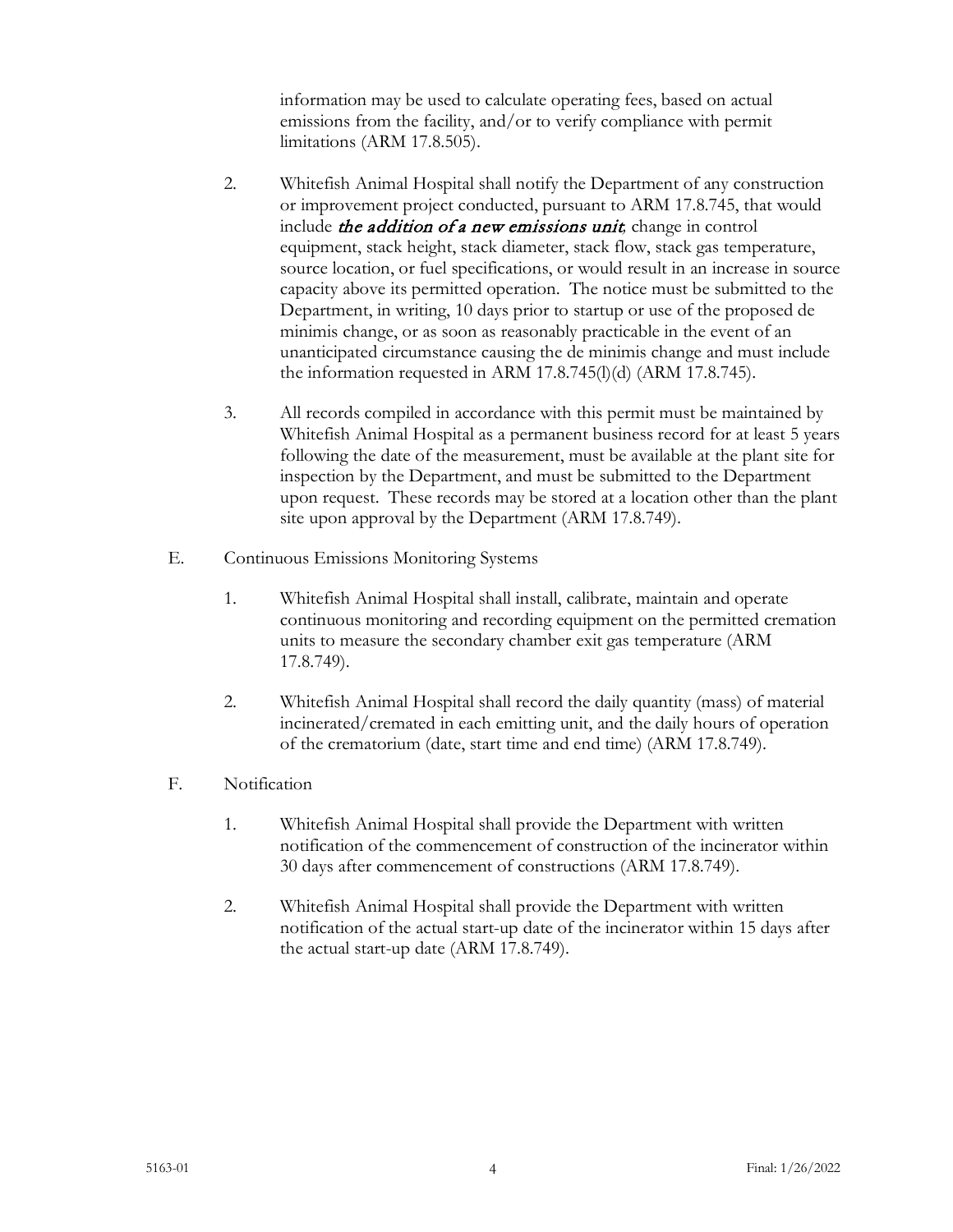information may be used to calculate operating fees, based on actual emissions from the facility, and/or to verify compliance with permit limitations (ARM 17.8.505).

- 2. Whitefish Animal Hospital shall notify the Department of any construction or improvement project conducted, pursuant to ARM 17.8.745, that would include the addition of a new emissions unit*,* change in control equipment, stack height, stack diameter, stack flow, stack gas temperature, source location, or fuel specifications, or would result in an increase in source capacity above its permitted operation. The notice must be submitted to the Department, in writing, 10 days prior to startup or use of the proposed de minimis change, or as soon as reasonably practicable in the event of an unanticipated circumstance causing the de minimis change and must include the information requested in ARM 17.8.745(l)(d) (ARM 17.8.745).
- 3. All records compiled in accordance with this permit must be maintained by Whitefish Animal Hospital as a permanent business record for at least 5 years following the date of the measurement, must be available at the plant site for inspection by the Department, and must be submitted to the Department upon request. These records may be stored at a location other than the plant site upon approval by the Department (ARM 17.8.749).
- E. Continuous Emissions Monitoring Systems
	- 1. Whitefish Animal Hospital shall install, calibrate, maintain and operate continuous monitoring and recording equipment on the permitted cremation units to measure the secondary chamber exit gas temperature (ARM 17.8.749).
	- 2. Whitefish Animal Hospital shall record the daily quantity (mass) of material incinerated/cremated in each emitting unit, and the daily hours of operation of the crematorium (date, start time and end time) (ARM 17.8.749).
- F. Notification
	- 1. Whitefish Animal Hospital shall provide the Department with written notification of the commencement of construction of the incinerator within 30 days after commencement of constructions (ARM 17.8.749).
	- 2. Whitefish Animal Hospital shall provide the Department with written notification of the actual start-up date of the incinerator within 15 days after the actual start-up date (ARM 17.8.749).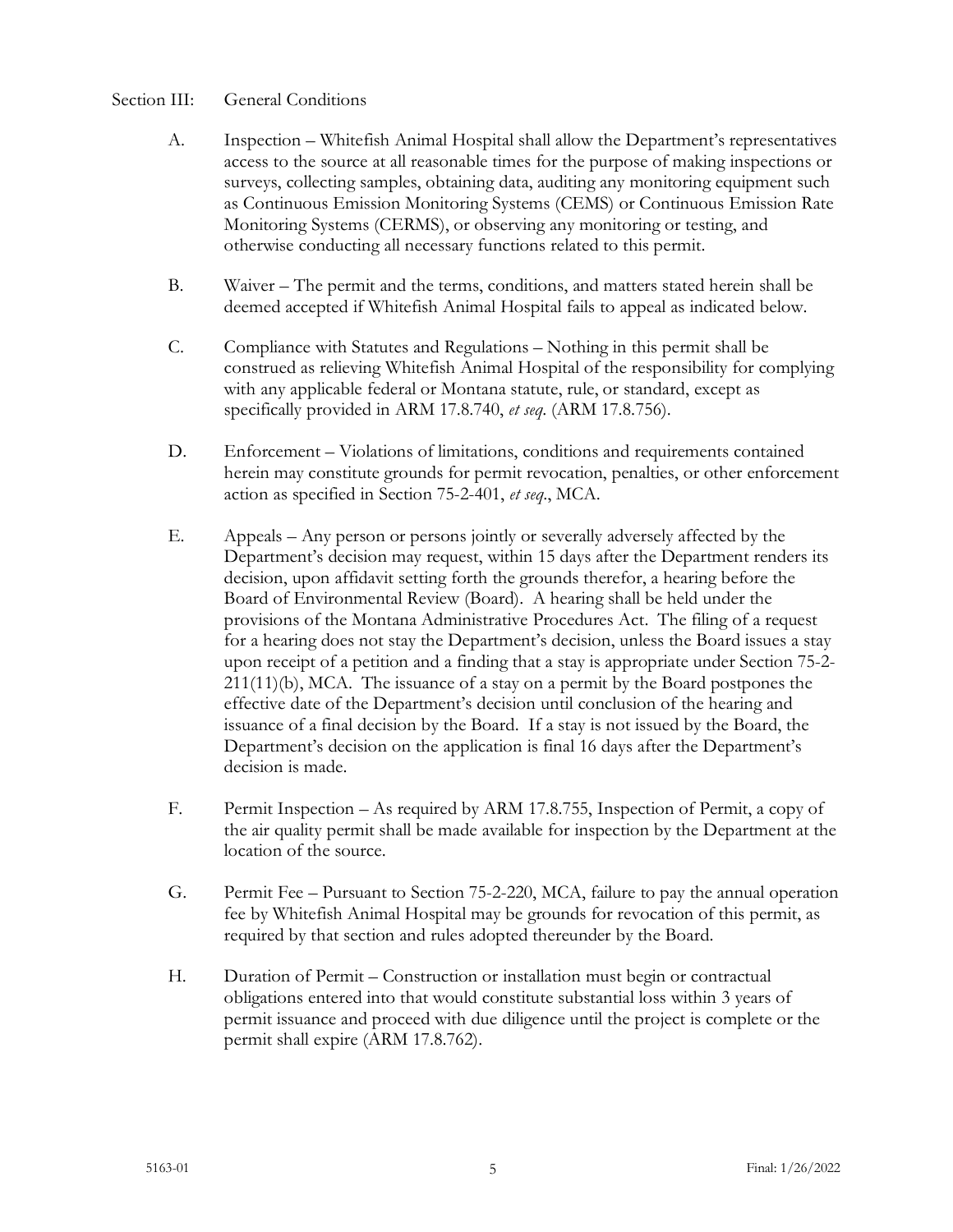### Section III: General Conditions

- A. Inspection Whitefish Animal Hospital shall allow the Department's representatives access to the source at all reasonable times for the purpose of making inspections or surveys, collecting samples, obtaining data, auditing any monitoring equipment such as Continuous Emission Monitoring Systems (CEMS) or Continuous Emission Rate Monitoring Systems (CERMS), or observing any monitoring or testing, and otherwise conducting all necessary functions related to this permit.
- B. Waiver The permit and the terms, conditions, and matters stated herein shall be deemed accepted if Whitefish Animal Hospital fails to appeal as indicated below.
- C. Compliance with Statutes and Regulations Nothing in this permit shall be construed as relieving Whitefish Animal Hospital of the responsibility for complying with any applicable federal or Montana statute, rule, or standard, except as specifically provided in ARM 17.8.740, *et seq*. (ARM 17.8.756).
- D. Enforcement Violations of limitations, conditions and requirements contained herein may constitute grounds for permit revocation, penalties, or other enforcement action as specified in Section 75-2-401, *et seq*., MCA.
- E. Appeals Any person or persons jointly or severally adversely affected by the Department's decision may request, within 15 days after the Department renders its decision, upon affidavit setting forth the grounds therefor, a hearing before the Board of Environmental Review (Board). A hearing shall be held under the provisions of the Montana Administrative Procedures Act. The filing of a request for a hearing does not stay the Department's decision, unless the Board issues a stay upon receipt of a petition and a finding that a stay is appropriate under Section 75-2- 211(11)(b), MCA. The issuance of a stay on a permit by the Board postpones the effective date of the Department's decision until conclusion of the hearing and issuance of a final decision by the Board. If a stay is not issued by the Board, the Department's decision on the application is final 16 days after the Department's decision is made.
- F. Permit Inspection As required by ARM 17.8.755, Inspection of Permit, a copy of the air quality permit shall be made available for inspection by the Department at the location of the source.
- G. Permit Fee Pursuant to Section 75-2-220, MCA, failure to pay the annual operation fee by Whitefish Animal Hospital may be grounds for revocation of this permit, as required by that section and rules adopted thereunder by the Board.
- H. Duration of Permit Construction or installation must begin or contractual obligations entered into that would constitute substantial loss within 3 years of permit issuance and proceed with due diligence until the project is complete or the permit shall expire (ARM 17.8.762).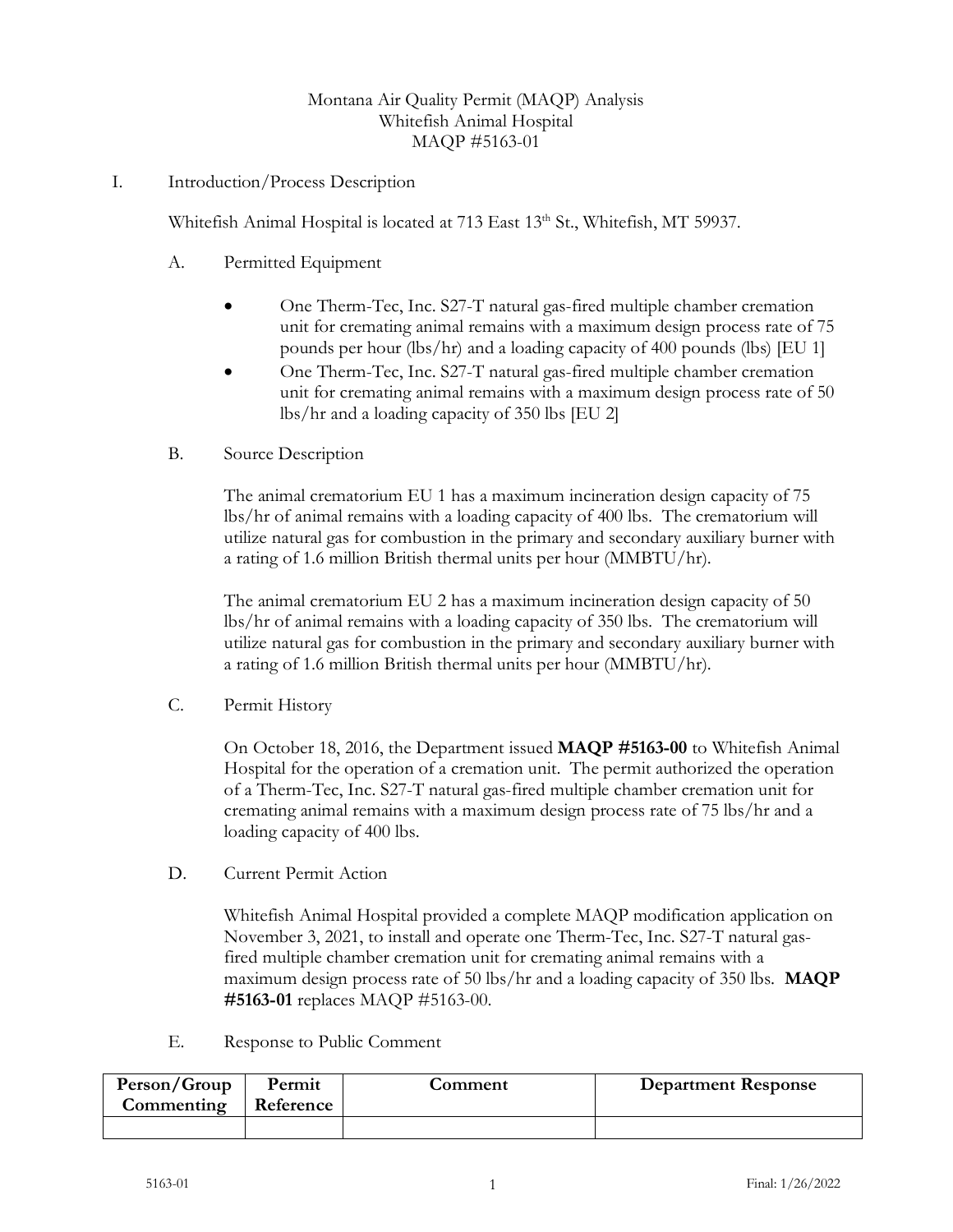# Montana Air Quality Permit (MAQP) Analysis Whitefish Animal Hospital MAQP #5163-01

### I. Introduction/Process Description

Whitefish Animal Hospital is located at 713 East 13th St., Whitefish, MT 59937.

- A. Permitted Equipment
	- One Therm-Tec, Inc. S27-T natural gas-fired multiple chamber cremation unit for cremating animal remains with a maximum design process rate of 75 pounds per hour (lbs/hr) and a loading capacity of 400 pounds (lbs) [EU 1]
	- One Therm-Tec, Inc. S27-T natural gas-fired multiple chamber cremation unit for cremating animal remains with a maximum design process rate of 50 lbs/hr and a loading capacity of 350 lbs [EU 2]
- B. Source Description

The animal crematorium EU 1 has a maximum incineration design capacity of 75 lbs/hr of animal remains with a loading capacity of 400 lbs. The crematorium will utilize natural gas for combustion in the primary and secondary auxiliary burner with a rating of 1.6 million British thermal units per hour (MMBTU/hr).

The animal crematorium EU 2 has a maximum incineration design capacity of 50 lbs/hr of animal remains with a loading capacity of 350 lbs. The crematorium will utilize natural gas for combustion in the primary and secondary auxiliary burner with a rating of 1.6 million British thermal units per hour (MMBTU/hr).

C. Permit History

On October 18, 2016, the Department issued **MAQP #5163-00** to Whitefish Animal Hospital for the operation of a cremation unit. The permit authorized the operation of a Therm-Tec, Inc. S27-T natural gas-fired multiple chamber cremation unit for cremating animal remains with a maximum design process rate of 75 lbs/hr and a loading capacity of 400 lbs.

D. Current Permit Action

Whitefish Animal Hospital provided a complete MAQP modification application on November 3, 2021, to install and operate one Therm-Tec, Inc. S27-T natural gasfired multiple chamber cremation unit for cremating animal remains with a maximum design process rate of 50 lbs/hr and a loading capacity of 350 lbs. **MAQP #5163-01** replaces MAQP #5163-00.

E. Response to Public Comment

| Person/Group<br>Commenting | Permit<br>  Reference | Comment | <b>Department Response</b> |
|----------------------------|-----------------------|---------|----------------------------|
|                            |                       |         |                            |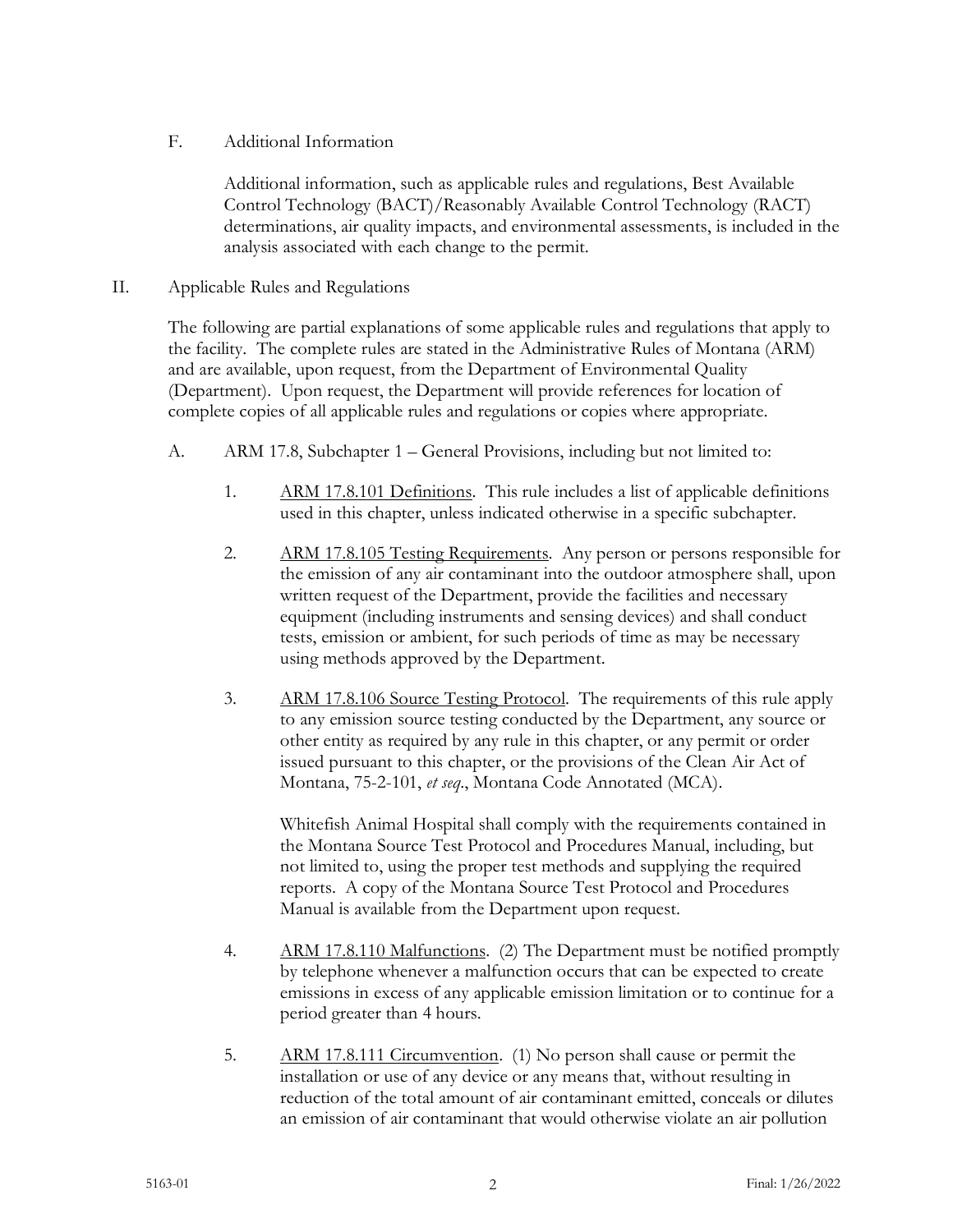F. Additional Information

Additional information, such as applicable rules and regulations, Best Available Control Technology (BACT)/Reasonably Available Control Technology (RACT) determinations, air quality impacts, and environmental assessments, is included in the analysis associated with each change to the permit.

II. Applicable Rules and Regulations

The following are partial explanations of some applicable rules and regulations that apply to the facility. The complete rules are stated in the Administrative Rules of Montana (ARM) and are available, upon request, from the Department of Environmental Quality (Department). Upon request, the Department will provide references for location of complete copies of all applicable rules and regulations or copies where appropriate.

- A. ARM 17.8, Subchapter 1 General Provisions, including but not limited to:
	- 1. ARM 17.8.101 Definitions. This rule includes a list of applicable definitions used in this chapter, unless indicated otherwise in a specific subchapter.
	- 2. ARM 17.8.105 Testing Requirements. Any person or persons responsible for the emission of any air contaminant into the outdoor atmosphere shall, upon written request of the Department, provide the facilities and necessary equipment (including instruments and sensing devices) and shall conduct tests, emission or ambient, for such periods of time as may be necessary using methods approved by the Department.
	- 3. ARM 17.8.106 Source Testing Protocol. The requirements of this rule apply to any emission source testing conducted by the Department, any source or other entity as required by any rule in this chapter, or any permit or order issued pursuant to this chapter, or the provisions of the Clean Air Act of Montana, 75-2-101, *et seq*., Montana Code Annotated (MCA).

Whitefish Animal Hospital shall comply with the requirements contained in the Montana Source Test Protocol and Procedures Manual, including, but not limited to, using the proper test methods and supplying the required reports. A copy of the Montana Source Test Protocol and Procedures Manual is available from the Department upon request.

- 4. ARM 17.8.110 Malfunctions. (2) The Department must be notified promptly by telephone whenever a malfunction occurs that can be expected to create emissions in excess of any applicable emission limitation or to continue for a period greater than 4 hours.
- 5. ARM 17.8.111 Circumvention. (1) No person shall cause or permit the installation or use of any device or any means that, without resulting in reduction of the total amount of air contaminant emitted, conceals or dilutes an emission of air contaminant that would otherwise violate an air pollution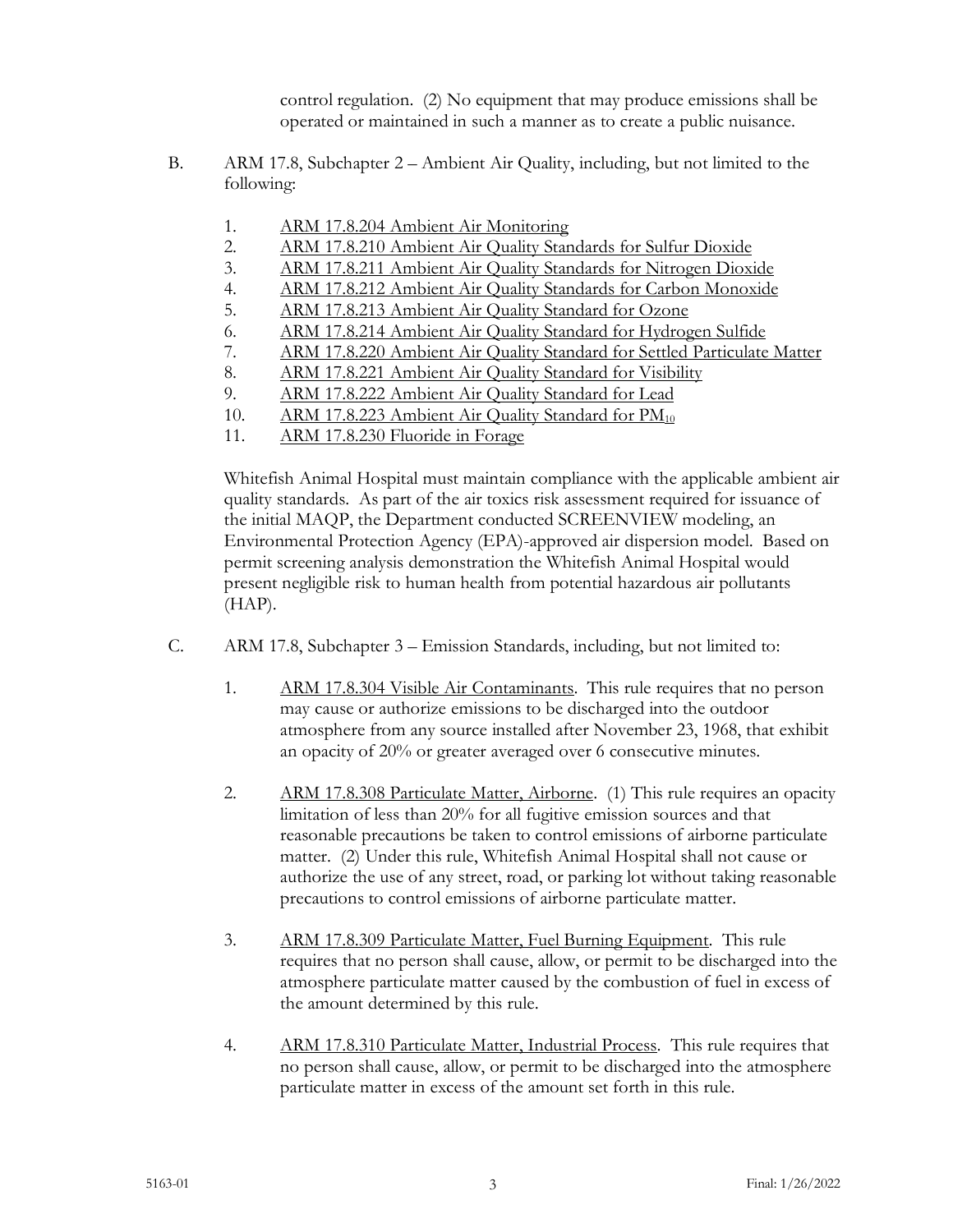control regulation. (2) No equipment that may produce emissions shall be operated or maintained in such a manner as to create a public nuisance.

- B. ARM 17.8, Subchapter 2 Ambient Air Quality, including, but not limited to the following:
	- 1. ARM 17.8.204 Ambient Air Monitoring
	- 2. ARM 17.8.210 Ambient Air Quality Standards for Sulfur Dioxide
	- 3. ARM 17.8.211 Ambient Air Quality Standards for Nitrogen Dioxide
	- 4. ARM 17.8.212 Ambient Air Quality Standards for Carbon Monoxide
	- 5. ARM 17.8.213 Ambient Air Quality Standard for Ozone
	- 6. ARM 17.8.214 Ambient Air Quality Standard for Hydrogen Sulfide
	- 7. ARM 17.8.220 Ambient Air Quality Standard for Settled Particulate Matter
	- 8. ARM 17.8.221 Ambient Air Quality Standard for Visibility
	- 9. ARM 17.8.222 Ambient Air Quality Standard for Lead
	- 10. ARM 17.8.223 Ambient Air Quality Standard for PM<sub>10</sub>
	- 11. ARM 17.8.230 Fluoride in Forage

Whitefish Animal Hospital must maintain compliance with the applicable ambient air quality standards. As part of the air toxics risk assessment required for issuance of the initial MAQP, the Department conducted SCREENVIEW modeling, an Environmental Protection Agency (EPA)-approved air dispersion model. Based on permit screening analysis demonstration the Whitefish Animal Hospital would present negligible risk to human health from potential hazardous air pollutants (HAP).

- C. ARM 17.8, Subchapter 3 Emission Standards, including, but not limited to:
	- 1. ARM 17.8.304 Visible Air Contaminants. This rule requires that no person may cause or authorize emissions to be discharged into the outdoor atmosphere from any source installed after November 23, 1968, that exhibit an opacity of 20% or greater averaged over 6 consecutive minutes.
	- 2. ARM 17.8.308 Particulate Matter, Airborne. (1) This rule requires an opacity limitation of less than 20% for all fugitive emission sources and that reasonable precautions be taken to control emissions of airborne particulate matter. (2) Under this rule, Whitefish Animal Hospital shall not cause or authorize the use of any street, road, or parking lot without taking reasonable precautions to control emissions of airborne particulate matter.
	- 3. ARM 17.8.309 Particulate Matter, Fuel Burning Equipment. This rule requires that no person shall cause, allow, or permit to be discharged into the atmosphere particulate matter caused by the combustion of fuel in excess of the amount determined by this rule.
	- 4. ARM 17.8.310 Particulate Matter, Industrial Process. This rule requires that no person shall cause, allow, or permit to be discharged into the atmosphere particulate matter in excess of the amount set forth in this rule.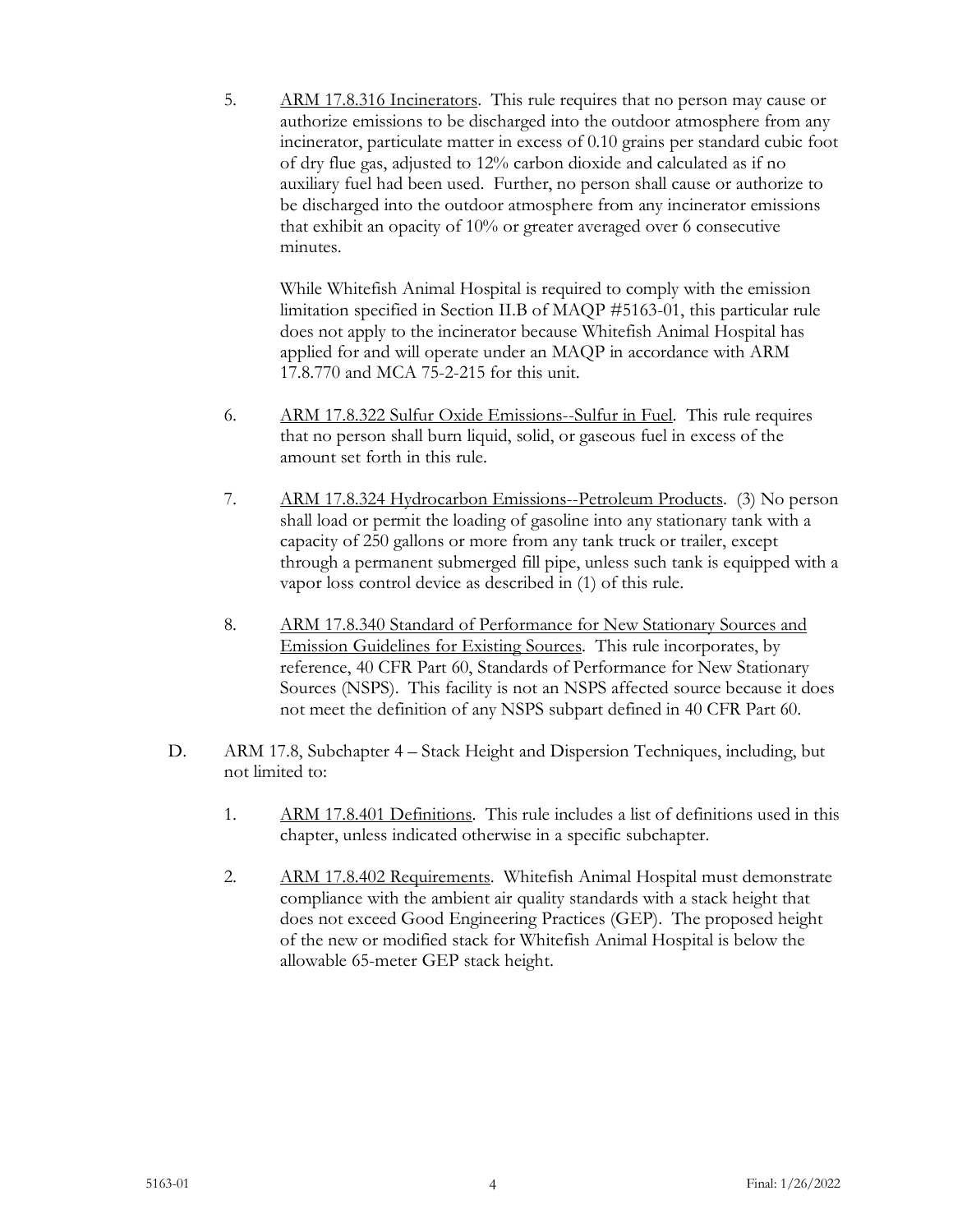5. ARM 17.8.316 Incinerators. This rule requires that no person may cause or authorize emissions to be discharged into the outdoor atmosphere from any incinerator, particulate matter in excess of 0.10 grains per standard cubic foot of dry flue gas, adjusted to 12% carbon dioxide and calculated as if no auxiliary fuel had been used. Further, no person shall cause or authorize to be discharged into the outdoor atmosphere from any incinerator emissions that exhibit an opacity of 10% or greater averaged over 6 consecutive minutes.

While Whitefish Animal Hospital is required to comply with the emission limitation specified in Section II.B of MAQP #5163-01, this particular rule does not apply to the incinerator because Whitefish Animal Hospital has applied for and will operate under an MAQP in accordance with ARM 17.8.770 and MCA 75-2-215 for this unit.

- 6. ARM 17.8.322 Sulfur Oxide Emissions--Sulfur in Fuel. This rule requires that no person shall burn liquid, solid, or gaseous fuel in excess of the amount set forth in this rule.
- 7. ARM 17.8.324 Hydrocarbon Emissions--Petroleum Products. (3) No person shall load or permit the loading of gasoline into any stationary tank with a capacity of 250 gallons or more from any tank truck or trailer, except through a permanent submerged fill pipe, unless such tank is equipped with a vapor loss control device as described in (1) of this rule.
- 8. ARM 17.8.340 Standard of Performance for New Stationary Sources and Emission Guidelines for Existing Sources. This rule incorporates, by reference, 40 CFR Part 60, Standards of Performance for New Stationary Sources (NSPS). This facility is not an NSPS affected source because it does not meet the definition of any NSPS subpart defined in 40 CFR Part 60.
- D. ARM 17.8, Subchapter 4 Stack Height and Dispersion Techniques, including, but not limited to:
	- 1. ARM 17.8.401 Definitions. This rule includes a list of definitions used in this chapter, unless indicated otherwise in a specific subchapter.
	- 2. ARM 17.8.402 Requirements. Whitefish Animal Hospital must demonstrate compliance with the ambient air quality standards with a stack height that does not exceed Good Engineering Practices (GEP). The proposed height of the new or modified stack for Whitefish Animal Hospital is below the allowable 65-meter GEP stack height.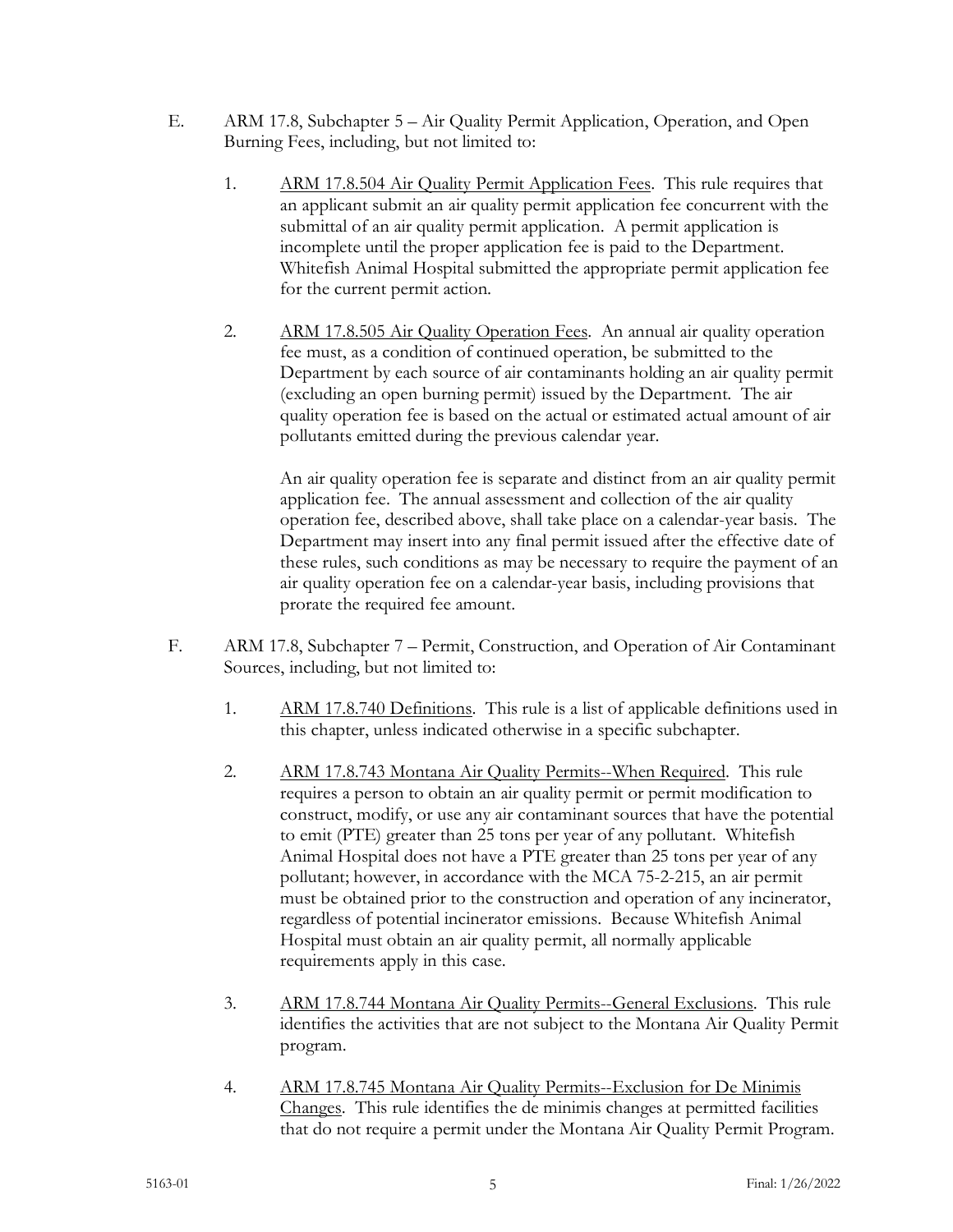- E. ARM 17.8, Subchapter 5 Air Quality Permit Application, Operation, and Open Burning Fees, including, but not limited to:
	- 1. ARM 17.8.504 Air Quality Permit Application Fees. This rule requires that an applicant submit an air quality permit application fee concurrent with the submittal of an air quality permit application. A permit application is incomplete until the proper application fee is paid to the Department. Whitefish Animal Hospital submitted the appropriate permit application fee for the current permit action.
	- 2. ARM 17.8.505 Air Quality Operation Fees. An annual air quality operation fee must, as a condition of continued operation, be submitted to the Department by each source of air contaminants holding an air quality permit (excluding an open burning permit) issued by the Department. The air quality operation fee is based on the actual or estimated actual amount of air pollutants emitted during the previous calendar year.

An air quality operation fee is separate and distinct from an air quality permit application fee. The annual assessment and collection of the air quality operation fee, described above, shall take place on a calendar-year basis. The Department may insert into any final permit issued after the effective date of these rules, such conditions as may be necessary to require the payment of an air quality operation fee on a calendar-year basis, including provisions that prorate the required fee amount.

- F. ARM 17.8, Subchapter 7 Permit, Construction, and Operation of Air Contaminant Sources, including, but not limited to:
	- 1. ARM 17.8.740 Definitions. This rule is a list of applicable definitions used in this chapter, unless indicated otherwise in a specific subchapter.
	- 2. ARM 17.8.743 Montana Air Quality Permits--When Required. This rule requires a person to obtain an air quality permit or permit modification to construct, modify, or use any air contaminant sources that have the potential to emit (PTE) greater than 25 tons per year of any pollutant. Whitefish Animal Hospital does not have a PTE greater than 25 tons per year of any pollutant; however, in accordance with the MCA 75-2-215, an air permit must be obtained prior to the construction and operation of any incinerator, regardless of potential incinerator emissions. Because Whitefish Animal Hospital must obtain an air quality permit, all normally applicable requirements apply in this case.
	- 3. ARM 17.8.744 Montana Air Quality Permits--General Exclusions. This rule identifies the activities that are not subject to the Montana Air Quality Permit program.
	- 4. ARM 17.8.745 Montana Air Quality Permits--Exclusion for De Minimis Changes. This rule identifies the de minimis changes at permitted facilities that do not require a permit under the Montana Air Quality Permit Program.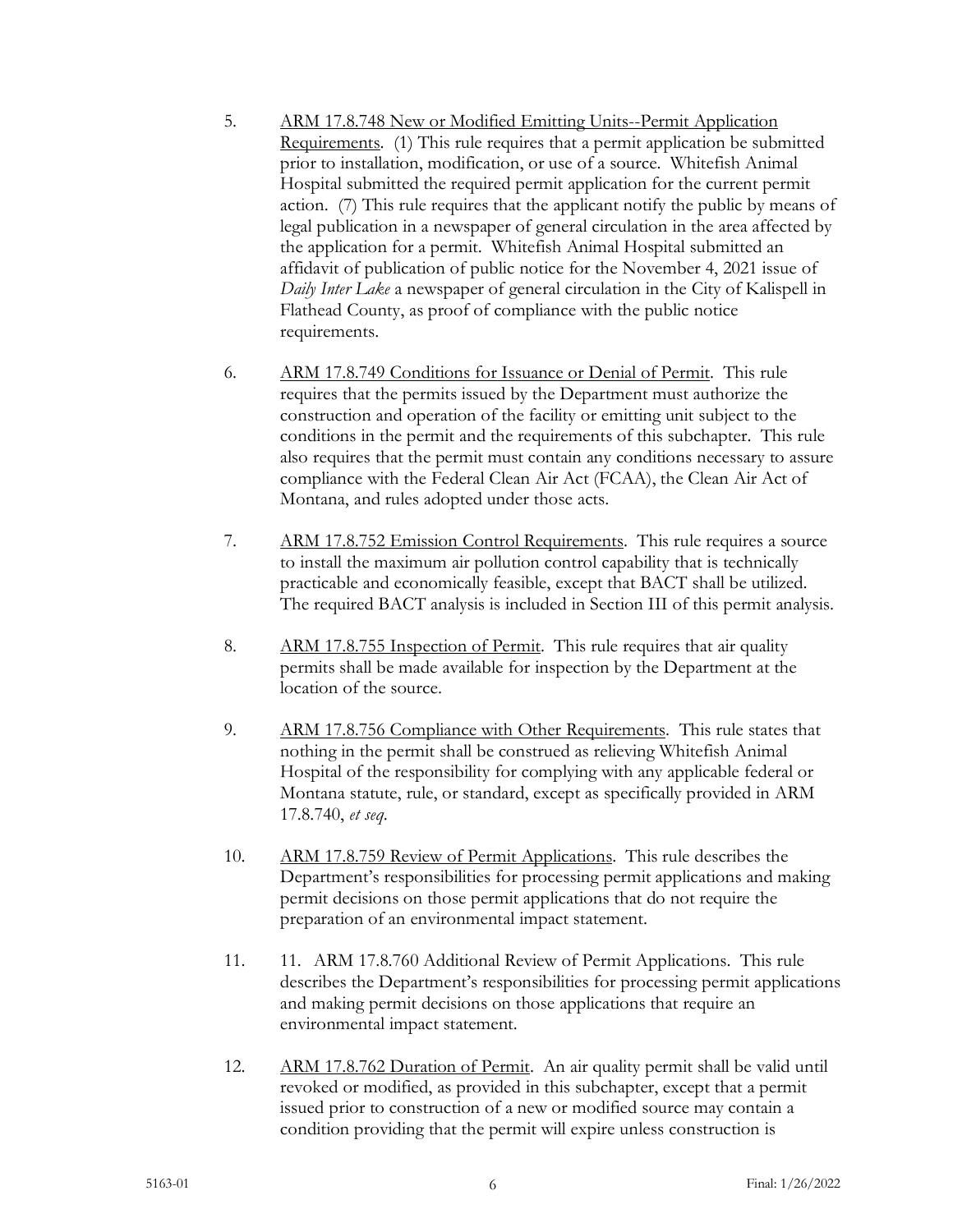- 5. ARM 17.8.748 New or Modified Emitting Units--Permit Application Requirements. (1) This rule requires that a permit application be submitted prior to installation, modification, or use of a source. Whitefish Animal Hospital submitted the required permit application for the current permit action. (7) This rule requires that the applicant notify the public by means of legal publication in a newspaper of general circulation in the area affected by the application for a permit. Whitefish Animal Hospital submitted an affidavit of publication of public notice for the November 4, 2021 issue of *Daily Inter Lake* a newspaper of general circulation in the City of Kalispell in Flathead County, as proof of compliance with the public notice requirements.
- 6. ARM 17.8.749 Conditions for Issuance or Denial of Permit. This rule requires that the permits issued by the Department must authorize the construction and operation of the facility or emitting unit subject to the conditions in the permit and the requirements of this subchapter. This rule also requires that the permit must contain any conditions necessary to assure compliance with the Federal Clean Air Act (FCAA), the Clean Air Act of Montana, and rules adopted under those acts.
- 7. ARM 17.8.752 Emission Control Requirements. This rule requires a source to install the maximum air pollution control capability that is technically practicable and economically feasible, except that BACT shall be utilized. The required BACT analysis is included in Section III of this permit analysis.
- 8. ARM 17.8.755 Inspection of Permit. This rule requires that air quality permits shall be made available for inspection by the Department at the location of the source.
- 9. ARM 17.8.756 Compliance with Other Requirements. This rule states that nothing in the permit shall be construed as relieving Whitefish Animal Hospital of the responsibility for complying with any applicable federal or Montana statute, rule, or standard, except as specifically provided in ARM 17.8.740, *et seq*.
- 10. ARM 17.8.759 Review of Permit Applications. This rule describes the Department's responsibilities for processing permit applications and making permit decisions on those permit applications that do not require the preparation of an environmental impact statement.
- 11. 11. ARM 17.8.760 Additional Review of Permit Applications. This rule describes the Department's responsibilities for processing permit applications and making permit decisions on those applications that require an environmental impact statement.
- 12. ARM 17.8.762 Duration of Permit. An air quality permit shall be valid until revoked or modified, as provided in this subchapter, except that a permit issued prior to construction of a new or modified source may contain a condition providing that the permit will expire unless construction is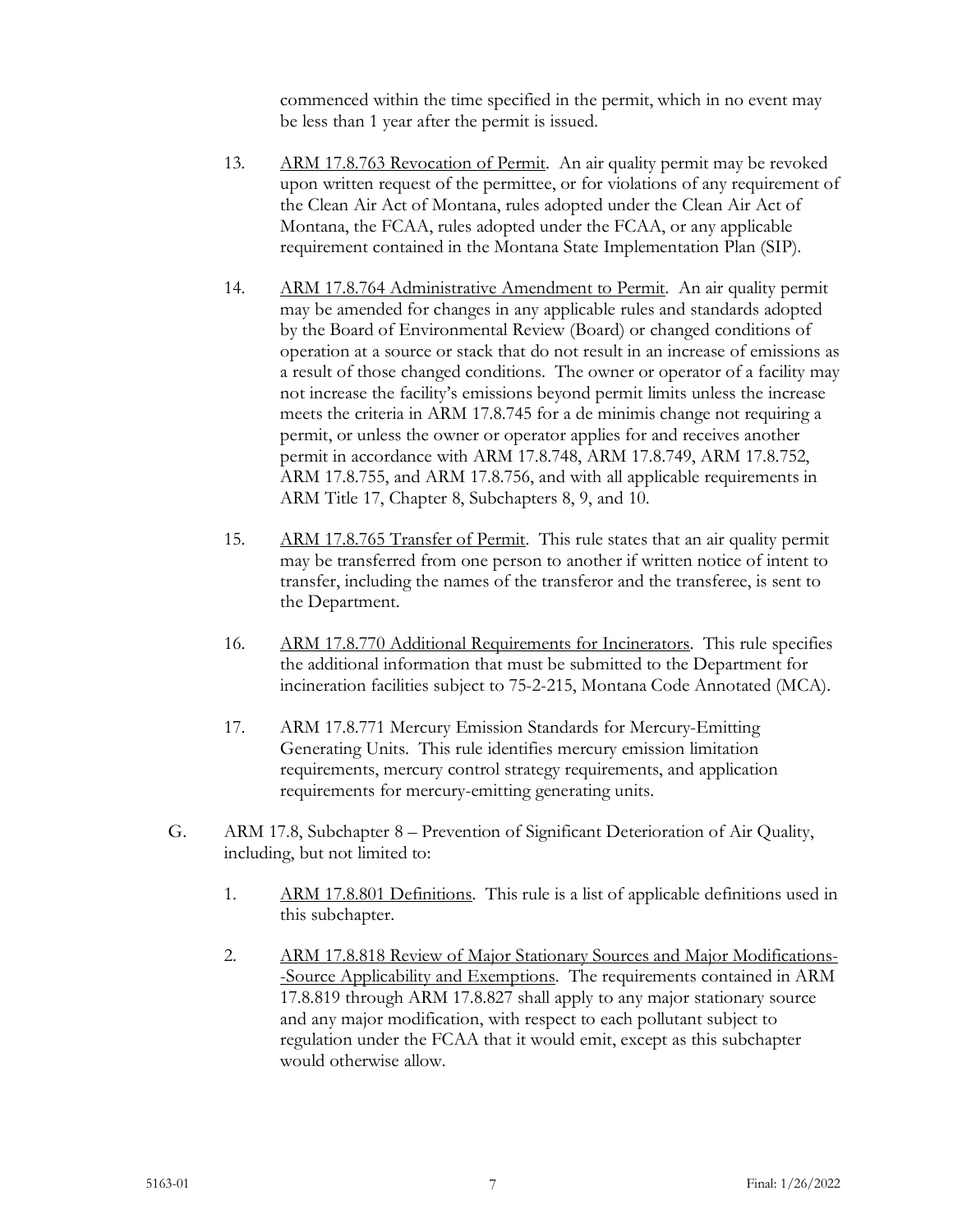commenced within the time specified in the permit, which in no event may be less than 1 year after the permit is issued.

- 13. ARM 17.8.763 Revocation of Permit. An air quality permit may be revoked upon written request of the permittee, or for violations of any requirement of the Clean Air Act of Montana, rules adopted under the Clean Air Act of Montana, the FCAA, rules adopted under the FCAA, or any applicable requirement contained in the Montana State Implementation Plan (SIP).
- 14. ARM 17.8.764 Administrative Amendment to Permit. An air quality permit may be amended for changes in any applicable rules and standards adopted by the Board of Environmental Review (Board) or changed conditions of operation at a source or stack that do not result in an increase of emissions as a result of those changed conditions. The owner or operator of a facility may not increase the facility's emissions beyond permit limits unless the increase meets the criteria in ARM 17.8.745 for a de minimis change not requiring a permit, or unless the owner or operator applies for and receives another permit in accordance with ARM 17.8.748, ARM 17.8.749, ARM 17.8.752, ARM 17.8.755, and ARM 17.8.756, and with all applicable requirements in ARM Title 17, Chapter 8, Subchapters 8, 9, and 10.
- 15. ARM 17.8.765 Transfer of Permit. This rule states that an air quality permit may be transferred from one person to another if written notice of intent to transfer, including the names of the transferor and the transferee, is sent to the Department.
- 16. ARM 17.8.770 Additional Requirements for Incinerators. This rule specifies the additional information that must be submitted to the Department for incineration facilities subject to 75-2-215, Montana Code Annotated (MCA).
- 17. ARM 17.8.771 Mercury Emission Standards for Mercury-Emitting Generating Units. This rule identifies mercury emission limitation requirements, mercury control strategy requirements, and application requirements for mercury-emitting generating units.
- G. ARM 17.8, Subchapter 8 Prevention of Significant Deterioration of Air Quality, including, but not limited to:
	- 1. ARM 17.8.801 Definitions. This rule is a list of applicable definitions used in this subchapter.
	- 2. ARM 17.8.818 Review of Major Stationary Sources and Major Modifications- -Source Applicability and Exemptions. The requirements contained in ARM 17.8.819 through ARM 17.8.827 shall apply to any major stationary source and any major modification, with respect to each pollutant subject to regulation under the FCAA that it would emit, except as this subchapter would otherwise allow.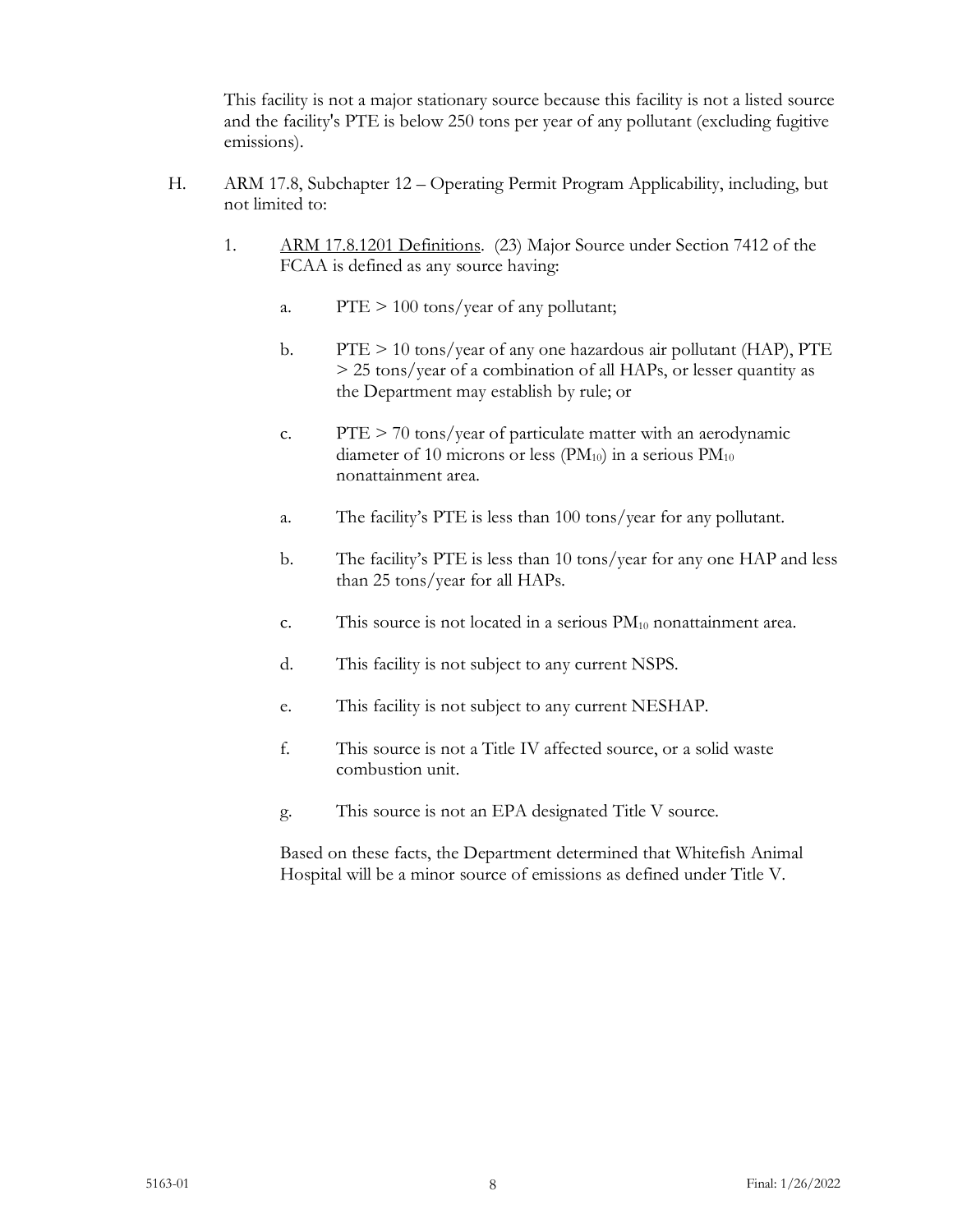This facility is not a major stationary source because this facility is not a listed source and the facility's PTE is below 250 tons per year of any pollutant (excluding fugitive emissions).

- H. ARM 17.8, Subchapter 12 Operating Permit Program Applicability, including, but not limited to:
	- 1. ARM 17.8.1201 Definitions. (23) Major Source under Section 7412 of the FCAA is defined as any source having:
		- a.  $PTE > 100 \text{ tons/year}$  of any pollutant;
		- b. PTE > 10 tons/year of any one hazardous air pollutant (HAP), PTE > 25 tons/year of a combination of all HAPs, or lesser quantity as the Department may establish by rule; or
		- c.  $PTE > 70$  tons/year of particulate matter with an aerodynamic diameter of 10 microns or less ( $PM_{10}$ ) in a serious  $PM_{10}$ nonattainment area.
		- a. The facility's PTE is less than 100 tons/year for any pollutant.
		- b. The facility's PTE is less than 10 tons/year for any one HAP and less than 25 tons/year for all HAPs.
		- c. This source is not located in a serious  $PM_{10}$  nonattainment area.
		- d. This facility is not subject to any current NSPS.
		- e. This facility is not subject to any current NESHAP.
		- f. This source is not a Title IV affected source, or a solid waste combustion unit.
		- g. This source is not an EPA designated Title V source.

Based on these facts, the Department determined that Whitefish Animal Hospital will be a minor source of emissions as defined under Title V.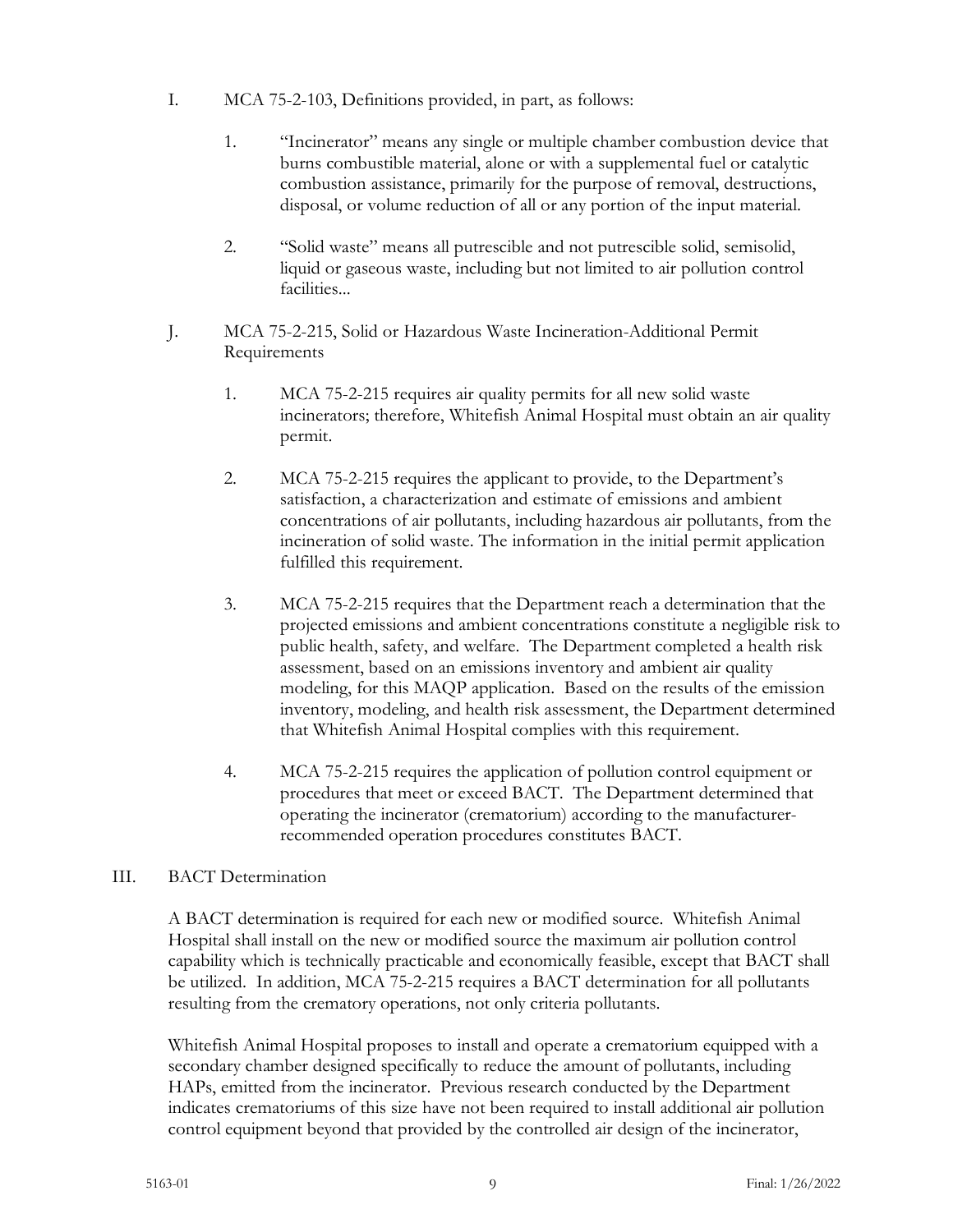- I. MCA 75-2-103, Definitions provided, in part, as follows:
	- 1. "Incinerator" means any single or multiple chamber combustion device that burns combustible material, alone or with a supplemental fuel or catalytic combustion assistance, primarily for the purpose of removal, destructions, disposal, or volume reduction of all or any portion of the input material.
	- 2. "Solid waste" means all putrescible and not putrescible solid, semisolid, liquid or gaseous waste, including but not limited to air pollution control facilities...
- J. MCA 75-2-215, Solid or Hazardous Waste Incineration-Additional Permit Requirements
	- 1. MCA 75-2-215 requires air quality permits for all new solid waste incinerators; therefore, Whitefish Animal Hospital must obtain an air quality permit.
	- 2. MCA 75-2-215 requires the applicant to provide, to the Department's satisfaction, a characterization and estimate of emissions and ambient concentrations of air pollutants, including hazardous air pollutants, from the incineration of solid waste. The information in the initial permit application fulfilled this requirement.
	- 3. MCA 75-2-215 requires that the Department reach a determination that the projected emissions and ambient concentrations constitute a negligible risk to public health, safety, and welfare. The Department completed a health risk assessment, based on an emissions inventory and ambient air quality modeling, for this MAQP application. Based on the results of the emission inventory, modeling, and health risk assessment, the Department determined that Whitefish Animal Hospital complies with this requirement.
	- 4. MCA 75-2-215 requires the application of pollution control equipment or procedures that meet or exceed BACT. The Department determined that operating the incinerator (crematorium) according to the manufacturerrecommended operation procedures constitutes BACT.

# III. BACT Determination

A BACT determination is required for each new or modified source. Whitefish Animal Hospital shall install on the new or modified source the maximum air pollution control capability which is technically practicable and economically feasible, except that BACT shall be utilized. In addition, MCA 75-2-215 requires a BACT determination for all pollutants resulting from the crematory operations, not only criteria pollutants.

Whitefish Animal Hospital proposes to install and operate a crematorium equipped with a secondary chamber designed specifically to reduce the amount of pollutants, including HAPs, emitted from the incinerator. Previous research conducted by the Department indicates crematoriums of this size have not been required to install additional air pollution control equipment beyond that provided by the controlled air design of the incinerator,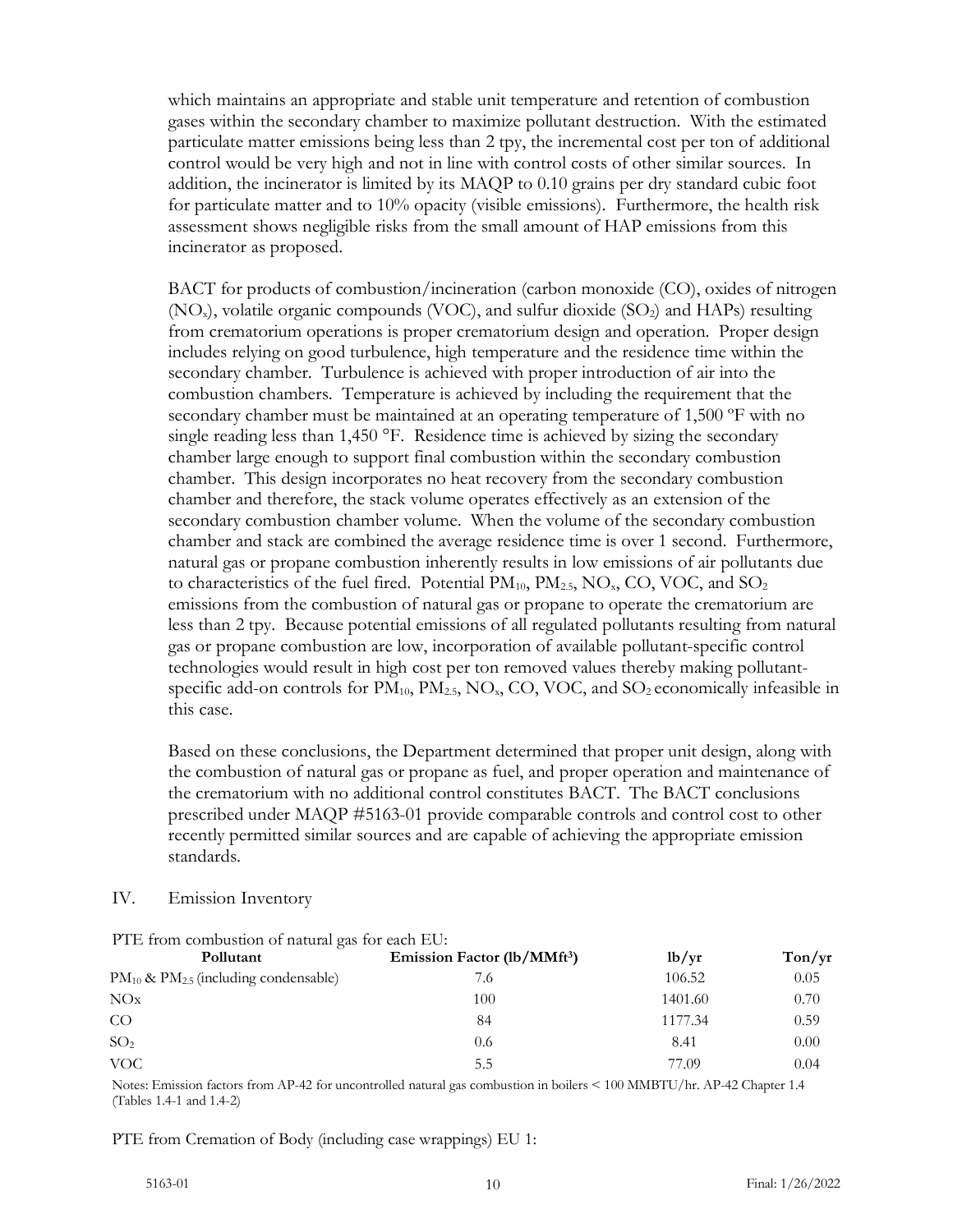which maintains an appropriate and stable unit temperature and retention of combustion gases within the secondary chamber to maximize pollutant destruction. With the estimated particulate matter emissions being less than 2 tpy, the incremental cost per ton of additional control would be very high and not in line with control costs of other similar sources. In addition, the incinerator is limited by its MAQP to 0.10 grains per dry standard cubic foot for particulate matter and to 10% opacity (visible emissions). Furthermore, the health risk assessment shows negligible risks from the small amount of HAP emissions from this incinerator as proposed.

BACT for products of combustion/incineration (carbon monoxide (CO), oxides of nitrogen  $(NO<sub>x</sub>)$ , volatile organic compounds  $(VOC)$ , and sulfur dioxide  $(SO<sub>2</sub>)$  and HAPs) resulting from crematorium operations is proper crematorium design and operation. Proper design includes relying on good turbulence, high temperature and the residence time within the secondary chamber. Turbulence is achieved with proper introduction of air into the combustion chambers. Temperature is achieved by including the requirement that the secondary chamber must be maintained at an operating temperature of 1,500 ºF with no single reading less than 1,450 °F. Residence time is achieved by sizing the secondary chamber large enough to support final combustion within the secondary combustion chamber. This design incorporates no heat recovery from the secondary combustion chamber and therefore, the stack volume operates effectively as an extension of the secondary combustion chamber volume. When the volume of the secondary combustion chamber and stack are combined the average residence time is over 1 second. Furthermore, natural gas or propane combustion inherently results in low emissions of air pollutants due to characteristics of the fuel fired. Potential  $PM_{10}$ ,  $PM_{2.5}$ , NO<sub>x</sub>, CO, VOC, and SO<sub>2</sub> emissions from the combustion of natural gas or propane to operate the crematorium are less than 2 tpy. Because potential emissions of all regulated pollutants resulting from natural gas or propane combustion are low, incorporation of available pollutant-specific control technologies would result in high cost per ton removed values thereby making pollutantspecific add-on controls for  $PM_{10}$ ,  $PM_{2.5}$ ,  $NO_x$ ,  $CO$ ,  $VOC$ , and  $SO_2$  economically infeasible in this case.

Based on these conclusions, the Department determined that proper unit design, along with the combustion of natural gas or propane as fuel, and proper operation and maintenance of the crematorium with no additional control constitutes BACT. The BACT conclusions prescribed under MAQP #5163-01 provide comparable controls and control cost to other recently permitted similar sources and are capable of achieving the appropriate emission standards.

#### IV. Emission Inventory

| The tront compared of material gas for each mo.<br>Pollutant | Emission Factor (lb/MMft <sup>3</sup> ) | 1b/yr   | Ton/yr |
|--------------------------------------------------------------|-----------------------------------------|---------|--------|
| $PM_{10}$ & $PM_{2.5}$ (including condensable)               | 7.6                                     | 106.52  | 0.05   |
| NOx                                                          | 100                                     | 1401.60 | 0.70   |
| CO                                                           | 84                                      | 1177.34 | 0.59   |
| SO <sub>2</sub>                                              | 0.6                                     | 8.41    | 0.00   |
| VOC.                                                         | 5.5                                     | 77.09   | 0.04   |

PTE from combustion of natural gas for each EU.

Notes: Emission factors from AP-42 for uncontrolled natural gas combustion in boilers < 100 MMBTU/hr. AP-42 Chapter 1.4 (Tables 1.4-1 and 1.4-2)

PTE from Cremation of Body (including case wrappings) EU 1: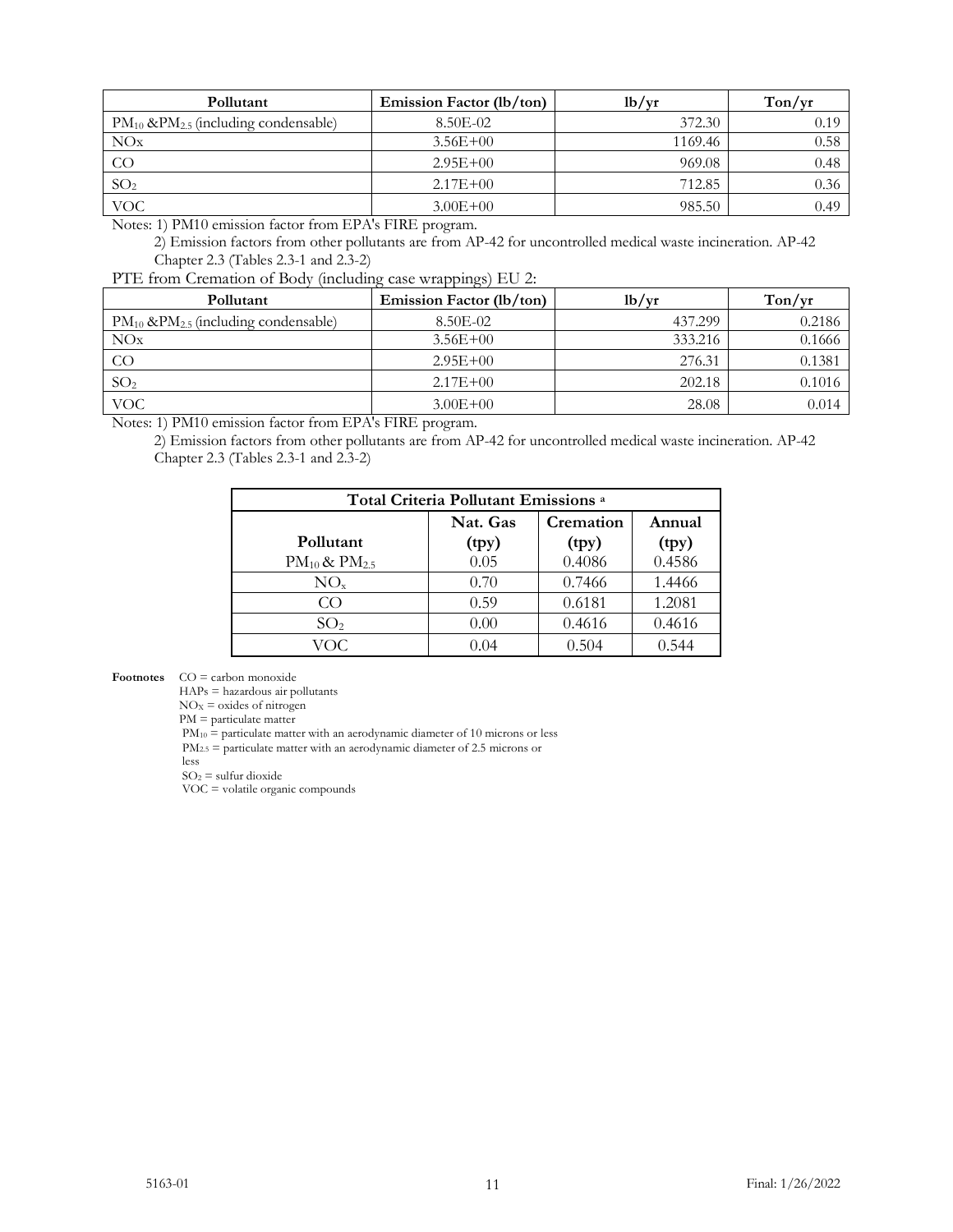| Pollutant                                      | Emission Factor (lb/ton) | 1 <sub>b</sub> /yr | Ton/yr |
|------------------------------------------------|--------------------------|--------------------|--------|
| $PM_{10}$ & $PM_{2.5}$ (including condensable) | 8.50E-02                 | 372.30             | 0.19   |
| NOx                                            | $3.56E + 00$             | 1169.46            | 0.58   |
| CO                                             | $2.95E+00$               | 969.08             | 0.48   |
| SO <sub>2</sub>                                | $2.17E + 00$             | 712.85             | 0.36   |
| <b>VOC</b>                                     | $3.00E + 00$             | 985.50             | 0.49   |

Notes: 1) PM10 emission factor from EPA's FIRE program.

2) Emission factors from other pollutants are from AP-42 for uncontrolled medical waste incineration. AP-42 Chapter 2.3 (Tables 2.3-1 and 2.3-2)

PTE from Cremation of Body (including case wrappings) EU 2:

| Pollutant                                      | Emission Factor (lb/ton) | lb/yr   | Ton/vr |
|------------------------------------------------|--------------------------|---------|--------|
| $PM_{10}$ & $PM_{2.5}$ (including condensable) | 8.50E-02                 | 437.299 | 0.2186 |
| NOx                                            | $3.56E + 00$             | 333.216 | 0.1666 |
| $\rm CO$                                       | $2.95E+00$               | 276.31  | 0.1381 |
| SO <sub>2</sub>                                | $2.17E + 00$             | 202.18  | 0.1016 |
| <b>VOC</b>                                     | $3.00E + 00$             | 28.08   | 0.014  |

Notes: 1) PM10 emission factor from EPA's FIRE program.

2) Emission factors from other pollutants are from AP-42 for uncontrolled medical waste incineration. AP-42 Chapter 2.3 (Tables 2.3-1 and 2.3-2)

| Total Criteria Pollutant Emissions <sup>a</sup> |       |        |        |  |  |  |  |
|-------------------------------------------------|-------|--------|--------|--|--|--|--|
| Nat. Gas<br>Cremation<br>Annual                 |       |        |        |  |  |  |  |
| Pollutant                                       | (tpy) | (tpy)  | (tpy)  |  |  |  |  |
| $PM_{10}$ & $PM_{2.5}$                          | 0.05  | 0.4086 | 0.4586 |  |  |  |  |
| $NO_{x}$                                        | 0.70  | 0.7466 | 1.4466 |  |  |  |  |
| CO                                              | 0.59  | 0.6181 | 1.2081 |  |  |  |  |
| SO <sub>2</sub>                                 | 0.00  | 0.4616 | 0.4616 |  |  |  |  |
| VOC                                             | 0.04  | 0.504  | 0.544  |  |  |  |  |

**Footnotes** CO = carbon monoxide

HAPs = hazardous air pollutants

 $NO<sub>X</sub> =$  oxides of nitrogen

PM = particulate matter

 $PM_{10}$  = particulate matter with an aerodynamic diameter of 10 microns or less

 $PM_{2.5}$  = particulate matter with an aerodynamic diameter of 2.5 microns or

less

 $SO<sub>2</sub> =$  sulfur dioxide

VOC = volatile organic compounds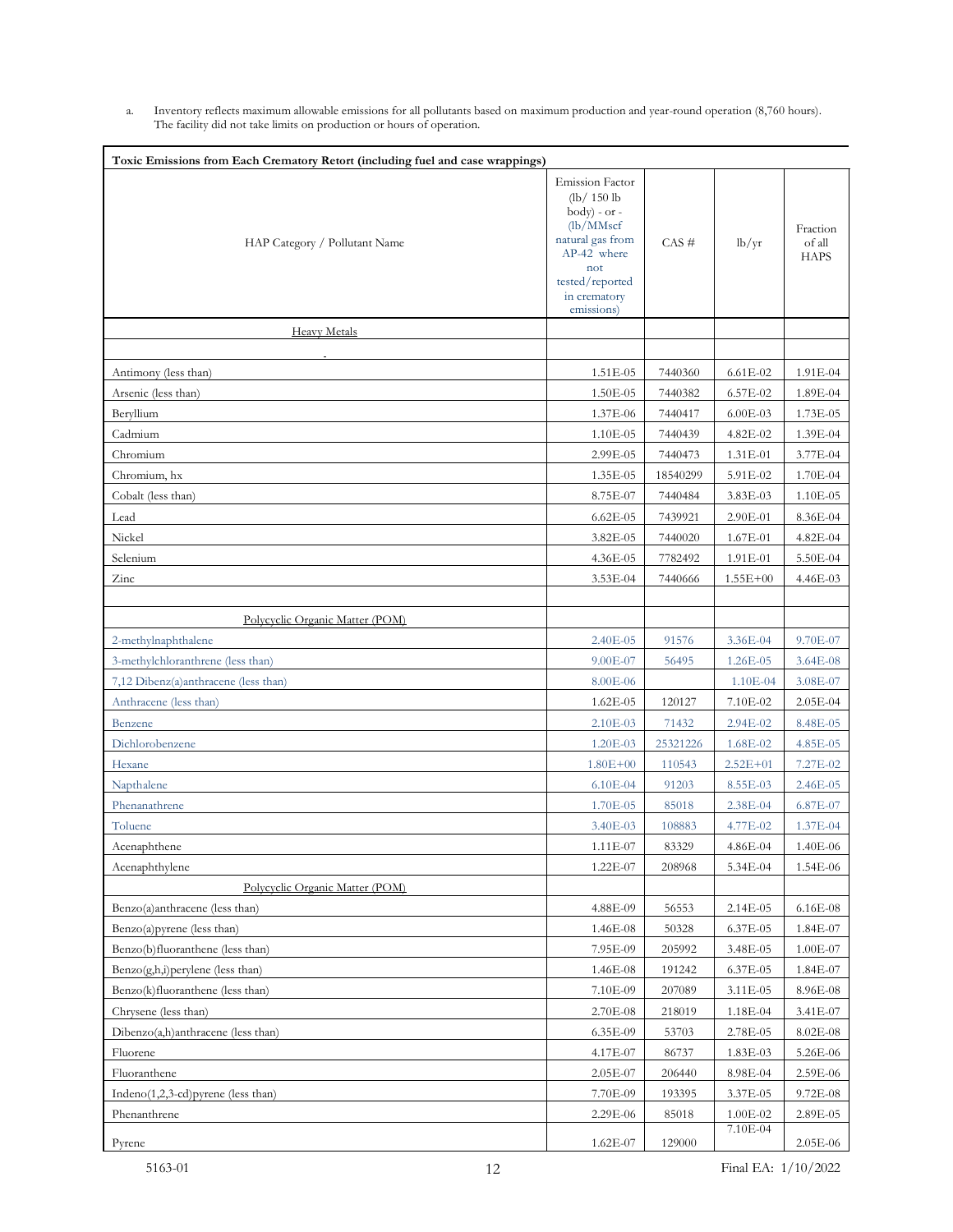a. Inventory reflects maximum allowable emissions for all pollutants based on maximum production and year-round operation (8,760 hours). The facility did not take limits on production or hours of operation.

| Toxic Emissions from Each Crematory Retort (including fuel and case wrappings) |                                                                                                                                                                |          |              |                                   |
|--------------------------------------------------------------------------------|----------------------------------------------------------------------------------------------------------------------------------------------------------------|----------|--------------|-----------------------------------|
| HAP Category / Pollutant Name                                                  | <b>Emission Factor</b><br>(lb/150 lb<br>$body) - or -$<br>(lb/MMscf<br>natural gas from<br>AP-42 where<br>not<br>tested/reported<br>in crematory<br>emissions) | $CAS \#$ | lb/yr        | Fraction<br>of all<br><b>HAPS</b> |
| <b>Heavy Metals</b>                                                            |                                                                                                                                                                |          |              |                                   |
|                                                                                |                                                                                                                                                                |          |              |                                   |
| Antimony (less than)                                                           | 1.51E-05                                                                                                                                                       | 7440360  | $6.61E - 02$ | 1.91E-04                          |
| Arsenic (less than)                                                            | 1.50E-05                                                                                                                                                       | 7440382  | 6.57E-02     | 1.89E-04                          |
| Beryllium                                                                      | 1.37E-06                                                                                                                                                       | 7440417  | 6.00E-03     | 1.73E-05                          |
| Cadmium                                                                        | 1.10E-05                                                                                                                                                       | 7440439  | 4.82E-02     | 1.39E-04                          |
| Chromium                                                                       | 2.99E-05                                                                                                                                                       | 7440473  | 1.31E-01     | 3.77E-04                          |
| Chromium, hx                                                                   | 1.35E-05                                                                                                                                                       | 18540299 | 5.91E-02     | 1.70E-04                          |
| Cobalt (less than)                                                             | 8.75E-07                                                                                                                                                       | 7440484  | 3.83E-03     | 1.10E-05                          |
| Lead                                                                           | $6.62E - 05$                                                                                                                                                   | 7439921  | 2.90E-01     | 8.36E-04                          |
| Nickel                                                                         | 3.82E-05                                                                                                                                                       | 7440020  | 1.67E-01     | 4.82E-04                          |
| Selenium                                                                       | 4.36E-05                                                                                                                                                       | 7782492  | 1.91E-01     | 5.50E-04                          |
| Zinc                                                                           | 3.53E-04                                                                                                                                                       | 7440666  | $1.55E + 00$ | 4.46E-03                          |
|                                                                                |                                                                                                                                                                |          |              |                                   |
| Polycyclic Organic Matter (POM)                                                |                                                                                                                                                                |          |              |                                   |
| 2-methylnaphthalene                                                            | 2.40E-05                                                                                                                                                       | 91576    | 3.36E-04     | 9.70E-07                          |
| 3-methylchloranthrene (less than)                                              | 9.00E-07                                                                                                                                                       | 56495    | 1.26E-05     | 3.64E-08                          |
| 7,12 Dibenz(a)anthracene (less than)                                           | 8.00E-06                                                                                                                                                       |          | 1.10E-04     | 3.08E-07                          |
| Anthracene (less than)                                                         | 1.62E-05                                                                                                                                                       | 120127   | 7.10E-02     | 2.05E-04                          |
| Benzene                                                                        | 2.10E-03                                                                                                                                                       | 71432    | 2.94E-02     | 8.48E-05                          |
| Dichlorobenzene                                                                | 1.20E-03                                                                                                                                                       | 25321226 | 1.68E-02     | 4.85E-05                          |
| Hexane                                                                         | $1.80E + 00$                                                                                                                                                   | 110543   | $2.52E + 01$ | 7.27E-02                          |
| Napthalene                                                                     | $6.10E-04$                                                                                                                                                     | 91203    | 8.55E-03     | 2.46E-05                          |
| Phenanathrene                                                                  | 1.70E-05                                                                                                                                                       | 85018    | 2.38E-04     | 6.87E-07                          |
| Toluene                                                                        | 3.40E-03                                                                                                                                                       | 108883   | 4.77E-02     | 1.37E-04                          |
| Acenaphthene                                                                   | $1.11E - 07$                                                                                                                                                   | 83329    | 4.86E-04     | 1.40E-06                          |
| Acenaphthylene                                                                 | 1.22E-07                                                                                                                                                       | 208968   | 5.34E-04     | 1.54E-06                          |
| Polycyclic Organic Matter (POM)                                                |                                                                                                                                                                |          |              |                                   |
| Benzo(a)anthracene (less than)                                                 | 4.88E-09                                                                                                                                                       | 56553    | 2.14E-05     | 6.16E-08                          |
| Benzo(a) pyrene (less than)                                                    | 1.46E-08                                                                                                                                                       | 50328    | 6.37E-05     | 1.84E-07                          |
| Benzo(b)fluoranthene (less than)                                               | 7.95E-09                                                                                                                                                       | 205992   | 3.48E-05     | 1.00E-07                          |
| $Benzo(g,h,i)$ perylene (less than)                                            | 1.46E-08                                                                                                                                                       | 191242   | 6.37E-05     | 1.84E-07                          |
| Benzo(k)fluoranthene (less than)                                               | 7.10E-09                                                                                                                                                       | 207089   | 3.11E-05     | 8.96E-08                          |
| Chrysene (less than)                                                           | 2.70E-08                                                                                                                                                       | 218019   | 1.18E-04     | 3.41E-07                          |
| Dibenzo(a,h)anthracene (less than)                                             | 6.35E-09                                                                                                                                                       | 53703    | 2.78E-05     | 8.02E-08                          |
| Fluorene                                                                       | 4.17E-07                                                                                                                                                       | 86737    | 1.83E-03     | 5.26E-06                          |
| Fluoranthene                                                                   | 2.05E-07                                                                                                                                                       | 206440   | 8.98E-04     | 2.59E-06                          |
| Indeno $(1,2,3$ -cd) pyrene (less than)                                        | 7.70E-09                                                                                                                                                       | 193395   | 3.37E-05     | 9.72E-08                          |
| Phenanthrene                                                                   | 2.29E-06                                                                                                                                                       | 85018    | 1.00E-02     | 2.89E-05                          |
| Pyrene                                                                         | 1.62E-07                                                                                                                                                       | 129000   | 7.10E-04     | 2.05E-06                          |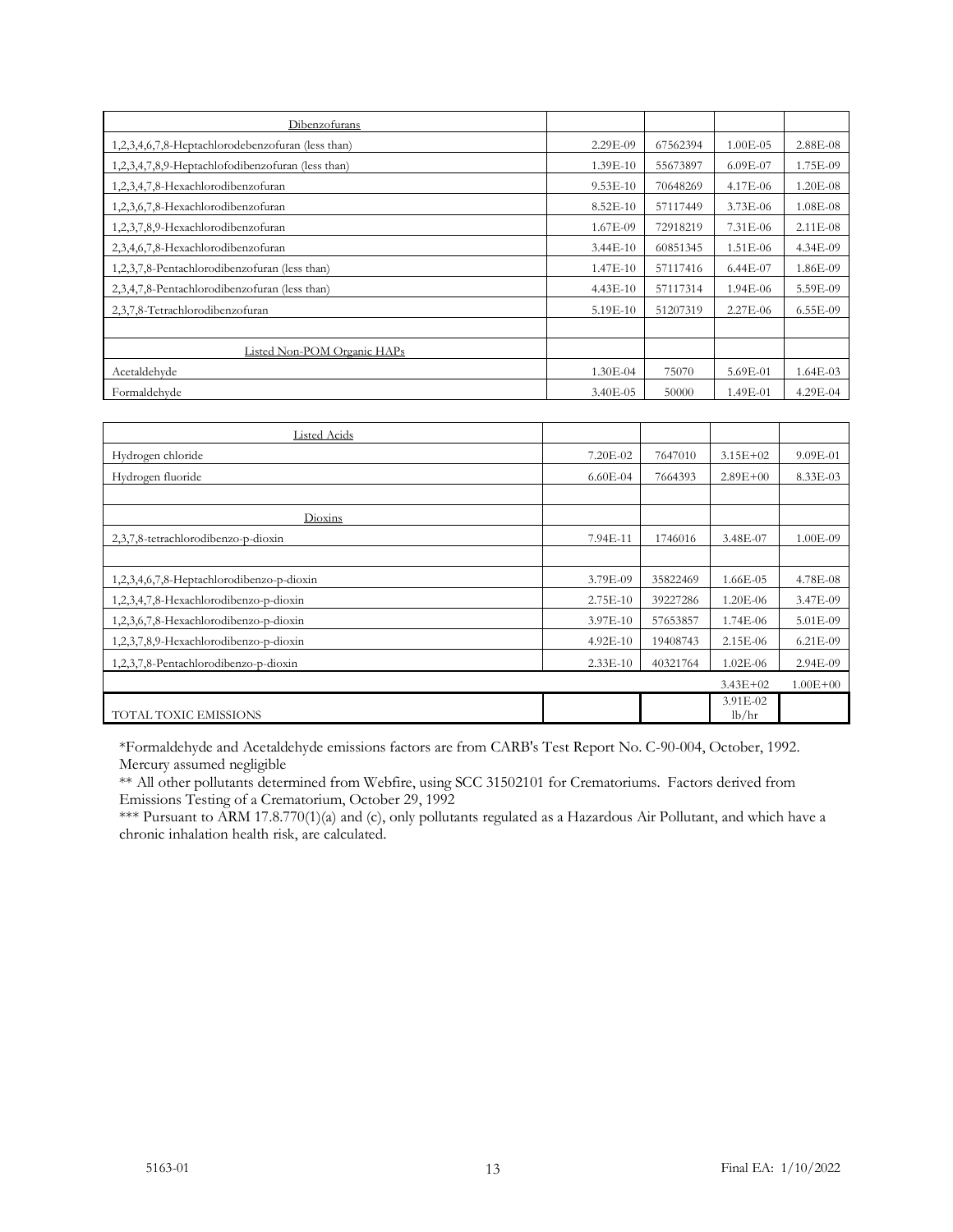| Dibenzofurans                                     |              |          |              |              |
|---------------------------------------------------|--------------|----------|--------------|--------------|
| 1,2,3,4,6,7,8-Heptachlorodebenzofuran (less than) | 2.29E-09     | 67562394 | $1.00E - 05$ | 2.88E-08     |
| 1,2,3,4,7,8,9-Heptachlofodibenzofuran (less than) | 1.39E-10     | 55673897 | $6.09E - 07$ | 1.75E-09     |
| 1,2,3,4,7,8-Hexachlorodibenzofuran                | $9.53E-10$   | 70648269 | 4.17E-06     | $1.20E - 08$ |
| 1,2,3,6,7,8-Hexachlorodibenzofuran                | $8.52E - 10$ | 57117449 | $3.73E - 06$ | $1.08E - 08$ |
| 1,2,3,7,8,9-Hexachlorodibenzofuran                | 1.67E-09     | 72918219 | 7.31E-06     | $2.11E - 08$ |
| 2,3,4,6,7,8-Hexachlorodibenzofuran                | $3.44E-10$   | 60851345 | $1.51E - 06$ | 4.34E-09     |
| 1,2,3,7,8-Pentachlorodibenzofuran (less than)     | 1.47E-10     | 57117416 | $6.44E - 07$ | 1.86E-09     |
| 2,3,4,7,8-Pentachlorodibenzofuran (less than)     | $4.43E - 10$ | 57117314 | 1.94E-06     | 5.59E-09     |
| 2,3,7,8-Tetrachlorodibenzofuran                   | 5.19E-10     | 51207319 | 2.27E-06     | 6.55E-09     |
|                                                   |              |          |              |              |
| Listed Non-POM Organic HAPs                       |              |          |              |              |
| Acetaldehyde                                      | 1.30E-04     | 75070    | 5.69E-01     | $1.64E-03$   |
| Formaldehyde                                      | $3.40E - 05$ | 50000    | 1.49E-01     | 4.29E-04     |

| Listed Acids                              |              |          |                   |              |
|-------------------------------------------|--------------|----------|-------------------|--------------|
| Hydrogen chloride                         | 7.20E-02     | 7647010  | $3.15E + 02$      | 9.09E-01     |
| Hydrogen fluoride                         | $6.60E - 04$ | 7664393  | $2.89E + 00$      | 8.33E-03     |
|                                           |              |          |                   |              |
| Dioxins                                   |              |          |                   |              |
| 2,3,7,8-tetrachlorodibenzo-p-dioxin       | 7.94E-11     | 1746016  | 3.48E-07          | 1.00E-09     |
|                                           |              |          |                   |              |
| 1,2,3,4,6,7,8-Heptachlorodibenzo-p-dioxin | 3.79E-09     | 35822469 | 1.66E-05          | 4.78E-08     |
| 1,2,3,4,7,8-Hexachlorodibenzo-p-dioxin    | $2.75E-10$   | 39227286 | 1.20E-06          | 3.47E-09     |
| 1,2,3,6,7,8-Hexachlorodibenzo-p-dioxin    | 3.97E-10     | 57653857 | 1.74E-06          | 5.01E-09     |
| 1,2,3,7,8,9-Hexachlorodibenzo-p-dioxin    | 4.92E-10     | 19408743 | 2.15E-06          | 6.21E-09     |
| 1,2,3,7,8-Pentachlorodibenzo-p-dioxin     | $2.33E-10$   | 40321764 | $1.02E - 06$      | 2.94E-09     |
|                                           |              |          | $3.43E + 02$      | $1.00E + 00$ |
| TOTAL TOXIC EMISSIONS                     |              |          | 3.91E-02<br>lb/hr |              |

\*Formaldehyde and Acetaldehyde emissions factors are from CARB's Test Report No. C-90-004, October, 1992. Mercury assumed negligible

\*\* All other pollutants determined from Webfire, using SCC 31502101 for Crematoriums. Factors derived from Emissions Testing of a Crematorium, October 29, 1992

\*\*\* Pursuant to ARM 17.8.770(1)(a) and (c), only pollutants regulated as a Hazardous Air Pollutant, and which have a chronic inhalation health risk, are calculated.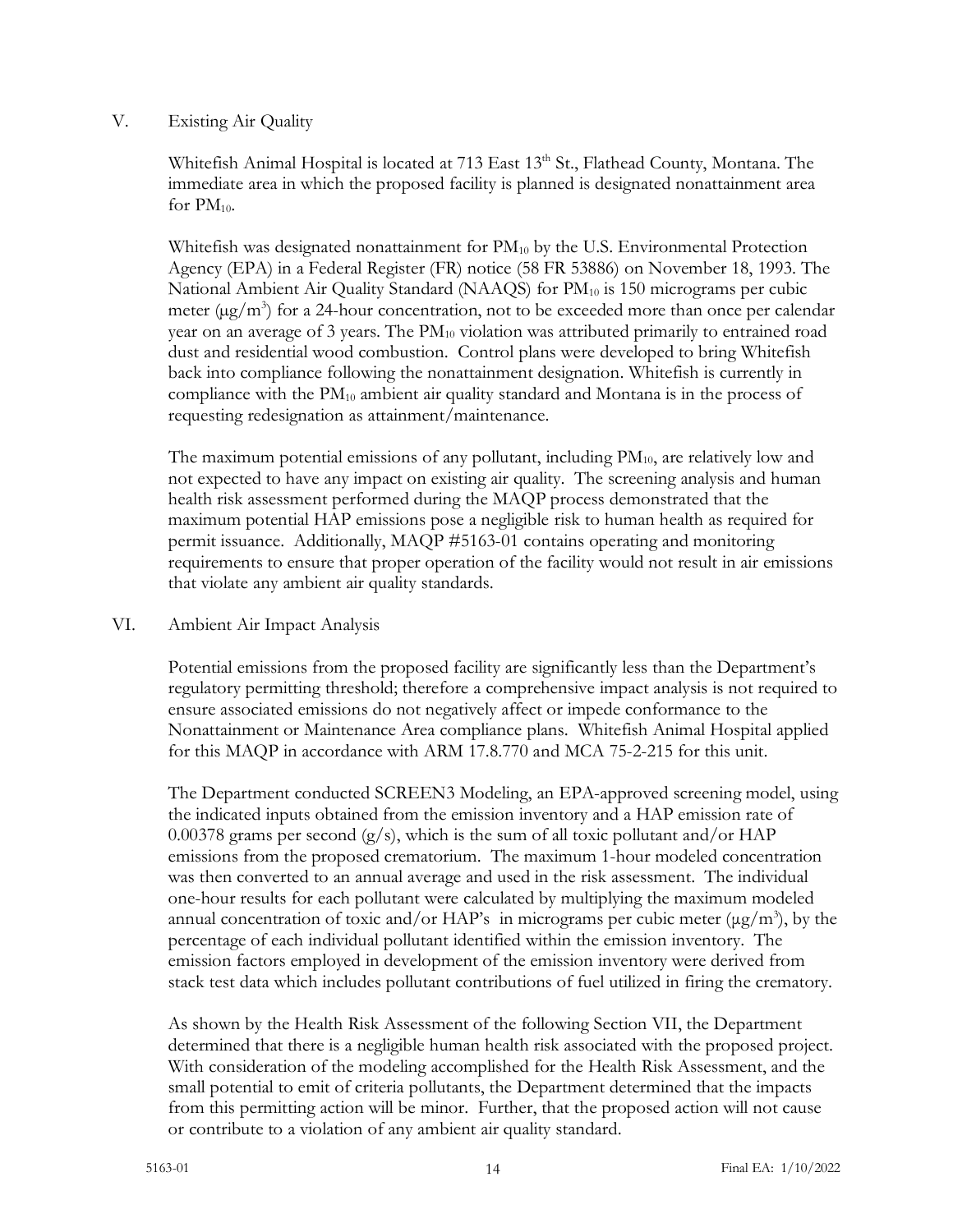### V. Existing Air Quality

Whitefish Animal Hospital is located at 713 East 13<sup>th</sup> St., Flathead County, Montana. The immediate area in which the proposed facility is planned is designated nonattainment area for  $PM_{10}$ .

Whitefish was designated nonattainment for  $PM_{10}$  by the U.S. Environmental Protection Agency (EPA) in a Federal Register (FR) notice (58 FR 53886) on November 18, 1993. The National Ambient Air Quality Standard (NAAQS) for  $PM_{10}$  is 150 micrograms per cubic meter  $(\mu g/m^3)$  for a 24-hour concentration, not to be exceeded more than once per calendar year on an average of 3 years. The  $PM_{10}$  violation was attributed primarily to entrained road dust and residential wood combustion. Control plans were developed to bring Whitefish back into compliance following the nonattainment designation. Whitefish is currently in compliance with the  $PM_{10}$  ambient air quality standard and Montana is in the process of requesting redesignation as attainment/maintenance.

The maximum potential emissions of any pollutant, including  $PM_{10}$ , are relatively low and not expected to have any impact on existing air quality. The screening analysis and human health risk assessment performed during the MAQP process demonstrated that the maximum potential HAP emissions pose a negligible risk to human health as required for permit issuance. Additionally, MAQP #5163-01 contains operating and monitoring requirements to ensure that proper operation of the facility would not result in air emissions that violate any ambient air quality standards.

### VI. Ambient Air Impact Analysis

Potential emissions from the proposed facility are significantly less than the Department's regulatory permitting threshold; therefore a comprehensive impact analysis is not required to ensure associated emissions do not negatively affect or impede conformance to the Nonattainment or Maintenance Area compliance plans. Whitefish Animal Hospital applied for this MAQP in accordance with ARM 17.8.770 and MCA 75-2-215 for this unit.

The Department conducted SCREEN3 Modeling, an EPA-approved screening model, using the indicated inputs obtained from the emission inventory and a HAP emission rate of 0.00378 grams per second  $(g/s)$ , which is the sum of all toxic pollutant and/or HAP emissions from the proposed crematorium. The maximum 1-hour modeled concentration was then converted to an annual average and used in the risk assessment. The individual one-hour results for each pollutant were calculated by multiplying the maximum modeled annual concentration of toxic and/or HAP's in micrograms per cubic meter  $(\mu g/m^3)$ , by the percentage of each individual pollutant identified within the emission inventory. The emission factors employed in development of the emission inventory were derived from stack test data which includes pollutant contributions of fuel utilized in firing the crematory.

As shown by the Health Risk Assessment of the following Section VII, the Department determined that there is a negligible human health risk associated with the proposed project. With consideration of the modeling accomplished for the Health Risk Assessment, and the small potential to emit of criteria pollutants, the Department determined that the impacts from this permitting action will be minor. Further, that the proposed action will not cause or contribute to a violation of any ambient air quality standard.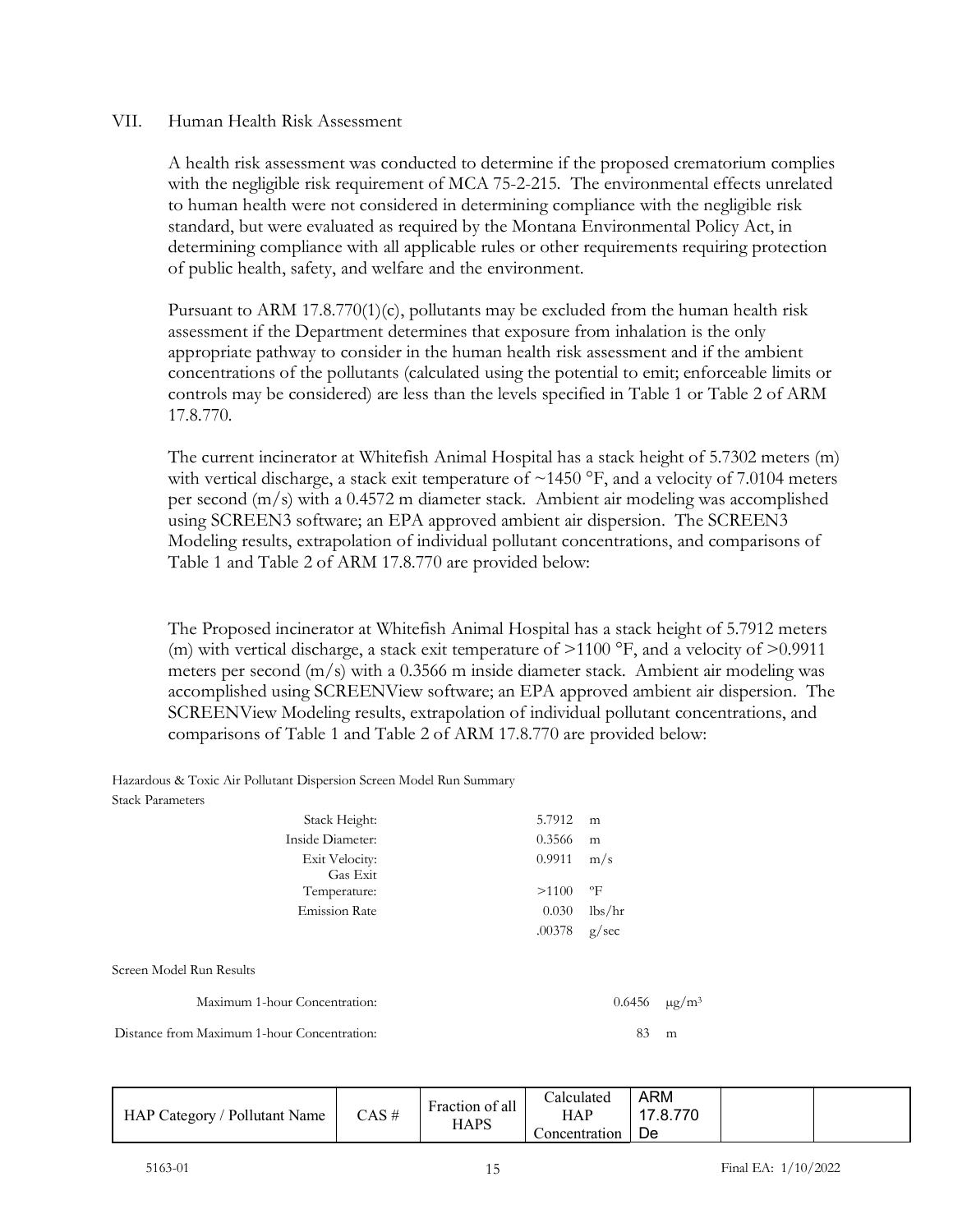#### VII. Human Health Risk Assessment

A health risk assessment was conducted to determine if the proposed crematorium complies with the negligible risk requirement of MCA 75-2-215. The environmental effects unrelated to human health were not considered in determining compliance with the negligible risk standard, but were evaluated as required by the Montana Environmental Policy Act, in determining compliance with all applicable rules or other requirements requiring protection of public health, safety, and welfare and the environment.

Pursuant to ARM 17.8.770(1)(c), pollutants may be excluded from the human health risk assessment if the Department determines that exposure from inhalation is the only appropriate pathway to consider in the human health risk assessment and if the ambient concentrations of the pollutants (calculated using the potential to emit; enforceable limits or controls may be considered) are less than the levels specified in Table 1 or Table 2 of ARM 17.8.770.

The current incinerator at Whitefish Animal Hospital has a stack height of 5.7302 meters (m) with vertical discharge, a stack exit temperature of  $\sim$ 1450 °F, and a velocity of 7.0104 meters per second  $(m/s)$  with a 0.4572 m diameter stack. Ambient air modeling was accomplished using SCREEN3 software; an EPA approved ambient air dispersion. The SCREEN3 Modeling results, extrapolation of individual pollutant concentrations, and comparisons of Table 1 and Table 2 of ARM 17.8.770 are provided below:

The Proposed incinerator at Whitefish Animal Hospital has a stack height of 5.7912 meters (m) with vertical discharge, a stack exit temperature of  $>1100$  °F, and a velocity of  $>0.9911$ meters per second  $(m/s)$  with a 0.3566 m inside diameter stack. Ambient air modeling was accomplished using SCREENView software; an EPA approved ambient air dispersion. The SCREENView Modeling results, extrapolation of individual pollutant concentrations, and comparisons of Table 1 and Table 2 of ARM 17.8.770 are provided below:

Hazardous & Toxic Air Pollutant Dispersion Screen Model Run Summary Stack Parameters

| Stack Height:                               | 5.7912 | m            |                        |
|---------------------------------------------|--------|--------------|------------------------|
| Inside Diameter:                            | 0.3566 | m            |                        |
| Exit Velocity:<br>Gas Exit                  | 0.9911 | m/s          |                        |
| Temperature:                                | >1100  | $\mathrm{P}$ |                        |
| <b>Emission Rate</b>                        | 0.030  | lbs/hr       |                        |
|                                             | .00378 | g/sec        |                        |
| Screen Model Run Results                    |        |              |                        |
| Maximum 1-hour Concentration:               |        | 0.6456       | $\mu$ g/m <sup>3</sup> |
| Distance from Maximum 1-hour Concentration: |        | 83           | m                      |

| Fraction of all<br>CAS #<br>HAP Category / Pollutant Name<br><b>HAPS</b> | Calculated<br>HAP<br>oncentration | ARM<br>17.8.770<br>De |  |  |
|--------------------------------------------------------------------------|-----------------------------------|-----------------------|--|--|
|--------------------------------------------------------------------------|-----------------------------------|-----------------------|--|--|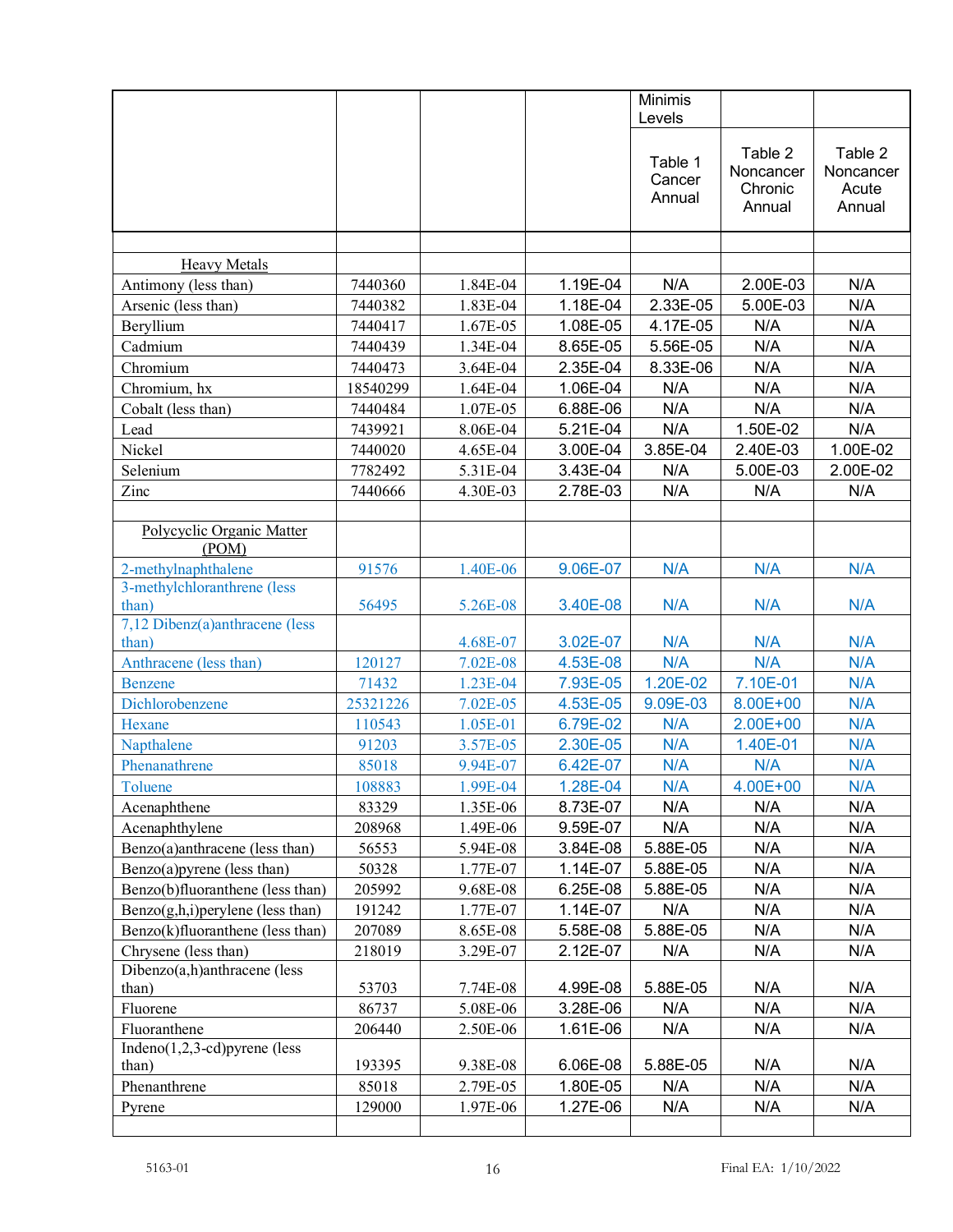|                                         |          |            |          | Minimis                     |                                           |                                         |
|-----------------------------------------|----------|------------|----------|-----------------------------|-------------------------------------------|-----------------------------------------|
|                                         |          |            |          | Levels                      |                                           |                                         |
|                                         |          |            |          | Table 1<br>Cancer<br>Annual | Table 2<br>Noncancer<br>Chronic<br>Annual | Table 2<br>Noncancer<br>Acute<br>Annual |
|                                         |          |            |          |                             |                                           |                                         |
| <b>Heavy Metals</b>                     |          |            |          |                             |                                           |                                         |
| Antimony (less than)                    | 7440360  | 1.84E-04   | 1.19E-04 | N/A                         | 2.00E-03                                  | N/A                                     |
| Arsenic (less than)                     | 7440382  | 1.83E-04   | 1.18E-04 | 2.33E-05                    | 5.00E-03                                  | N/A                                     |
| Beryllium                               | 7440417  | 1.67E-05   | 1.08E-05 | 4.17E-05                    | N/A                                       | N/A                                     |
| Cadmium                                 | 7440439  | 1.34E-04   | 8.65E-05 | 5.56E-05                    | N/A                                       | N/A                                     |
| Chromium                                | 7440473  | 3.64E-04   | 2.35E-04 | 8.33E-06                    | N/A                                       | N/A                                     |
| Chromium, hx                            | 18540299 | 1.64E-04   | 1.06E-04 | N/A                         | N/A                                       | N/A                                     |
| Cobalt (less than)                      | 7440484  | 1.07E-05   | 6.88E-06 | N/A                         | N/A                                       | N/A                                     |
| Lead                                    | 7439921  | 8.06E-04   | 5.21E-04 | N/A                         | 1.50E-02                                  | N/A                                     |
| Nickel                                  | 7440020  | 4.65E-04   | 3.00E-04 | 3.85E-04                    | 2.40E-03                                  | 1.00E-02                                |
| Selenium                                | 7782492  | 5.31E-04   | 3.43E-04 | N/A                         | 5.00E-03                                  | 2.00E-02                                |
| Zinc                                    | 7440666  | 4.30E-03   | 2.78E-03 | N/A                         | N/A                                       | N/A                                     |
|                                         |          |            |          |                             |                                           |                                         |
| Polycyclic Organic Matter<br>(POM)      |          |            |          |                             |                                           |                                         |
| 2-methylnaphthalene                     | 91576    | 1.40E-06   | 9.06E-07 | N/A                         | N/A                                       | N/A                                     |
| 3-methylchloranthrene (less<br>than)    | 56495    | 5.26E-08   | 3.40E-08 | N/A                         | N/A                                       | N/A                                     |
| 7,12 Dibenz(a)anthracene (less<br>than) |          | 4.68E-07   | 3.02E-07 | N/A                         | N/A                                       | N/A                                     |
| Anthracene (less than)                  | 120127   | 7.02E-08   | 4.53E-08 | N/A                         | N/A                                       | N/A                                     |
| <b>Benzene</b>                          | 71432    | 1.23E-04   | 7.93E-05 | 1.20E-02                    | 7.10E-01                                  | N/A                                     |
| Dichlorobenzene                         | 25321226 | 7.02E-05   | 4.53E-05 | 9.09E-03                    | 8.00E+00                                  | N/A                                     |
| Hexane                                  | 110543   | 1.05E-01   | 6.79E-02 | N/A                         | $2.00E + 00$                              | N/A                                     |
| Napthalene                              | 91203    | 3.57E-05   | 2.30E-05 | N/A                         | 1.40E-01                                  | N/A                                     |
| Phenanathrene                           | 85018    | 9.94E-07   | 6.42E-07 | N/A                         | N/A                                       | N/A                                     |
| Toluene                                 | 108883   | 1.99E-04   | 1.28E-04 | N/A                         | 4.00E+00                                  | N/A                                     |
| Acenaphthene                            | 83329    | 1.35E-06   | 8.73E-07 | N/A                         | N/A                                       | N/A                                     |
| Acenaphthylene                          | 208968   | 1.49E-06   | 9.59E-07 | N/A                         | N/A                                       | N/A                                     |
| Benzo(a)anthracene (less than)          | 56553    | 5.94E-08   | 3.84E-08 | 5.88E-05                    | N/A                                       | N/A                                     |
| $Benzo(a)$ pyrene (less than)           | 50328    | 1.77E-07   | 1.14E-07 | 5.88E-05                    | N/A                                       | N/A                                     |
| Benzo(b)fluoranthene (less than)        | 205992   | 9.68E-08   | 6.25E-08 | 5.88E-05                    | N/A                                       | N/A                                     |
| $Benzo(g,h,i)$ perylene (less than)     | 191242   | 1.77E-07   | 1.14E-07 | N/A                         | N/A                                       | N/A                                     |
| Benzo(k)fluoranthene (less than)        | 207089   | 8.65E-08   | 5.58E-08 | 5.88E-05                    | N/A                                       | N/A                                     |
| Chrysene (less than)                    | 218019   | 3.29E-07   | 2.12E-07 | N/A                         | N/A                                       | N/A                                     |
| Dibenzo(a,h)anthracene (less            |          |            |          |                             |                                           |                                         |
| than)                                   | 53703    | 7.74E-08   | 4.99E-08 | 5.88E-05                    | N/A                                       | N/A                                     |
| Fluorene                                | 86737    | 5.08E-06   | 3.28E-06 | N/A                         | N/A                                       | N/A                                     |
| Fluoranthene                            | 206440   | $2.50E-06$ | 1.61E-06 | N/A                         | N/A                                       | N/A                                     |
| Indeno $(1,2,3$ -cd)pyrene (less        |          |            |          |                             |                                           |                                         |
| than)                                   | 193395   | 9.38E-08   | 6.06E-08 | 5.88E-05                    | N/A                                       | N/A                                     |
| Phenanthrene                            | 85018    | 2.79E-05   | 1.80E-05 | N/A                         | N/A                                       | N/A                                     |
| Pyrene                                  | 129000   | 1.97E-06   | 1.27E-06 | N/A                         | N/A                                       | N/A                                     |
|                                         |          |            |          |                             |                                           |                                         |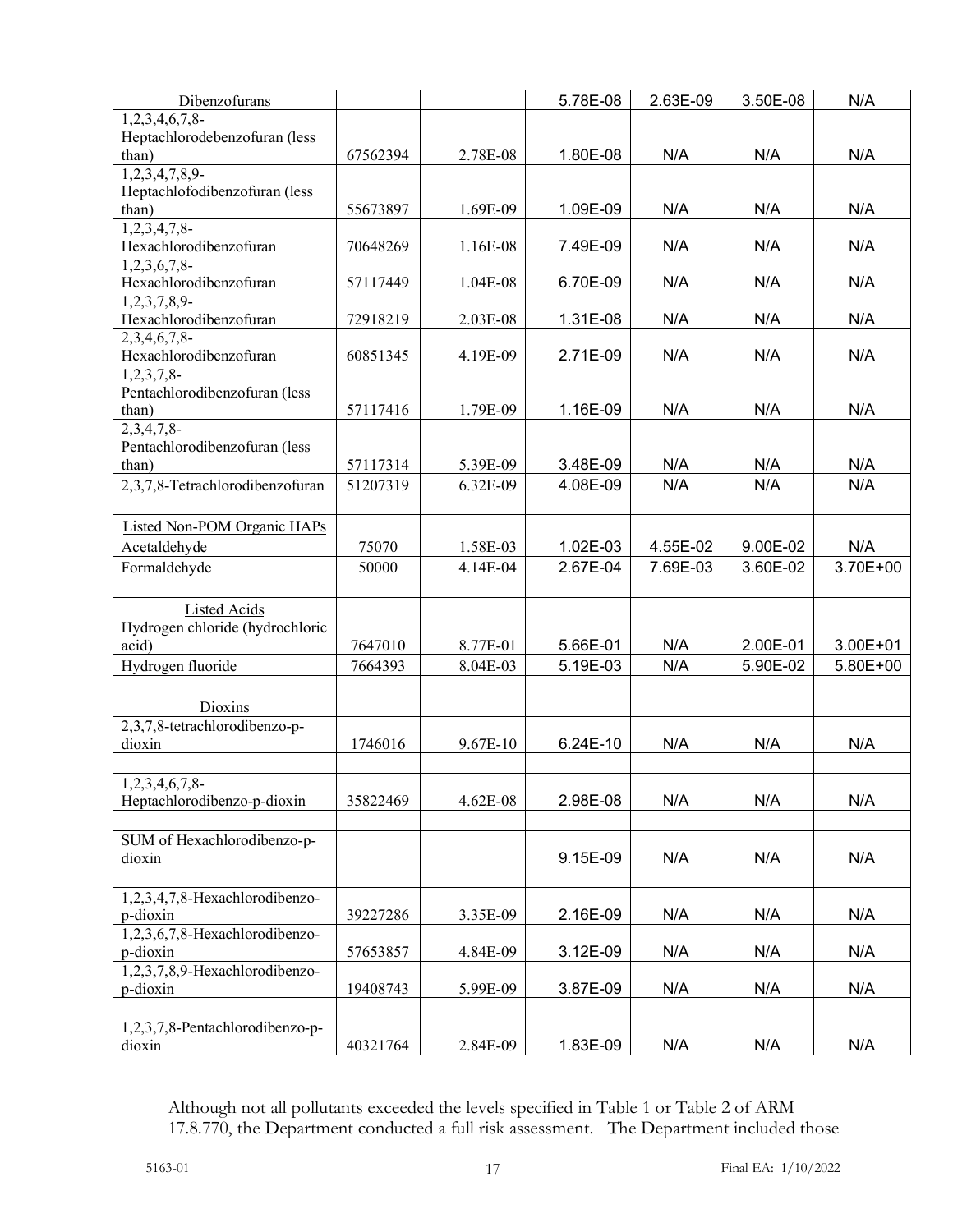| Dibenzofurans                   |          |          | 5.78E-08 | 2.63E-09 | 3.50E-08 | N/A      |
|---------------------------------|----------|----------|----------|----------|----------|----------|
| $1,2,3,4,6,7,8$ -               |          |          |          |          |          |          |
| Heptachlorodebenzofuran (less   |          |          |          |          |          |          |
| than)                           | 67562394 | 2.78E-08 | 1.80E-08 | N/A      | N/A      | N/A      |
| 1,2,3,4,7,8,9                   |          |          |          |          |          |          |
| Heptachlofodibenzofuran (less   |          |          |          |          |          |          |
| than)                           | 55673897 | 1.69E-09 | 1.09E-09 | N/A      | N/A      | N/A      |
| 1,2,3,4,7,8                     |          |          |          |          |          |          |
| Hexachlorodibenzofuran          | 70648269 | 1.16E-08 | 7.49E-09 | N/A      | N/A      | N/A      |
| $1,2,3,6,7,8$ -                 |          |          |          |          |          |          |
| Hexachlorodibenzofuran          | 57117449 | 1.04E-08 | 6.70E-09 | N/A      | N/A      | N/A      |
| $1,2,3,7,8,9-$                  |          |          |          |          |          |          |
| Hexachlorodibenzofuran          | 72918219 | 2.03E-08 | 1.31E-08 | N/A      | N/A      | N/A      |
| $2,3,4,\overline{6,7,8}$        |          |          |          |          |          |          |
| Hexachlorodibenzofuran          | 60851345 | 4.19E-09 | 2.71E-09 | N/A      | N/A      | N/A      |
| $1,2,3,7,8$ -                   |          |          |          |          |          |          |
| Pentachlorodibenzofuran (less   |          |          |          |          |          |          |
| than)                           | 57117416 | 1.79E-09 | 1.16E-09 | N/A      | N/A      | N/A      |
| $2,3,4,7,8$ -                   |          |          |          |          |          |          |
| Pentachlorodibenzofuran (less   |          |          |          |          |          |          |
| than)                           | 57117314 | 5.39E-09 | 3.48E-09 | N/A      | N/A      | N/A      |
| 2,3,7,8-Tetrachlorodibenzofuran | 51207319 | 6.32E-09 | 4.08E-09 | N/A      | N/A      | N/A      |
|                                 |          |          |          |          |          |          |
| Listed Non-POM Organic HAPs     |          |          |          |          |          |          |
| Acetaldehyde                    | 75070    | 1.58E-03 | 1.02E-03 | 4.55E-02 | 9.00E-02 | N/A      |
| Formaldehyde                    | 50000    | 4.14E-04 | 2.67E-04 | 7.69E-03 | 3.60E-02 | 3.70E+00 |
|                                 |          |          |          |          |          |          |
| Listed Acids                    |          |          |          |          |          |          |
| Hydrogen chloride (hydrochloric |          |          |          |          |          |          |
| acid)                           | 7647010  | 8.77E-01 | 5.66E-01 | N/A      | 2.00E-01 | 3.00E+01 |
| Hydrogen fluoride               | 7664393  | 8.04E-03 | 5.19E-03 | N/A      | 5.90E-02 | 5.80E+00 |
|                                 |          |          |          |          |          |          |
| Dioxins                         |          |          |          |          |          |          |
| 2,3,7,8-tetrachlorodibenzo-p-   |          |          |          |          |          |          |
| dioxin                          | 1746016  | 9.67E-10 | 6.24E-10 | N/A      | N/A      | N/A      |
|                                 |          |          |          |          |          |          |
| 1,2,3,4,6,7,8                   |          |          |          |          |          |          |
| Heptachlorodibenzo-p-dioxin     | 35822469 | 4.62E-08 | 2.98E-08 | N/A      | N/A      | N/A      |
|                                 |          |          |          |          |          |          |
| SUM of Hexachlorodibenzo-p-     |          |          |          |          |          |          |
| dioxin                          |          |          | 9.15E-09 | N/A      | N/A      | N/A      |
|                                 |          |          |          |          |          |          |
| 1,2,3,4,7,8-Hexachlorodibenzo-  |          |          |          |          |          |          |
| p-dioxin                        | 39227286 | 3.35E-09 | 2.16E-09 | N/A      | N/A      | N/A      |
| 1,2,3,6,7,8-Hexachlorodibenzo-  |          |          |          |          |          |          |
| p-dioxin                        | 57653857 | 4.84E-09 | 3.12E-09 | N/A      | N/A      | N/A      |
| 1,2,3,7,8,9-Hexachlorodibenzo-  |          |          |          |          |          |          |
| p-dioxin                        | 19408743 | 5.99E-09 | 3.87E-09 | N/A      | N/A      | N/A      |
|                                 |          |          |          |          |          |          |
| 1,2,3,7,8-Pentachlorodibenzo-p- |          |          |          |          |          |          |
| dioxin                          | 40321764 | 2.84E-09 | 1.83E-09 | N/A      | N/A      | N/A      |
|                                 |          |          |          |          |          |          |

Although not all pollutants exceeded the levels specified in Table 1 or Table 2 of ARM 17.8.770, the Department conducted a full risk assessment. The Department included those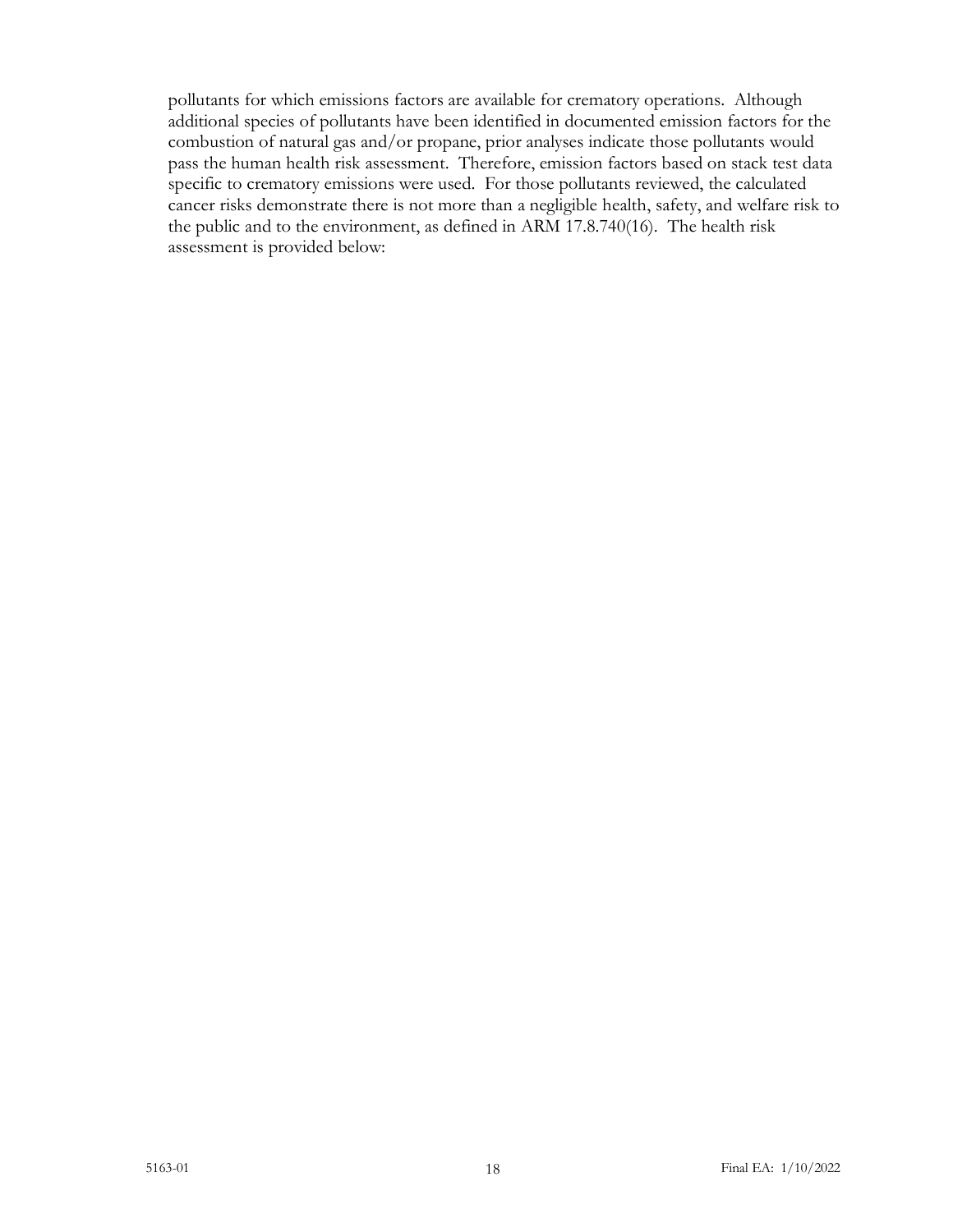pollutants for which emissions factors are available for crematory operations. Although additional species of pollutants have been identified in documented emission factors for the combustion of natural gas and/or propane, prior analyses indicate those pollutants would pass the human health risk assessment. Therefore, emission factors based on stack test data specific to crematory emissions were used. For those pollutants reviewed, the calculated cancer risks demonstrate there is not more than a negligible health, safety, and welfare risk to the public and to the environment, as defined in ARM 17.8.740(16). The health risk assessment is provided below: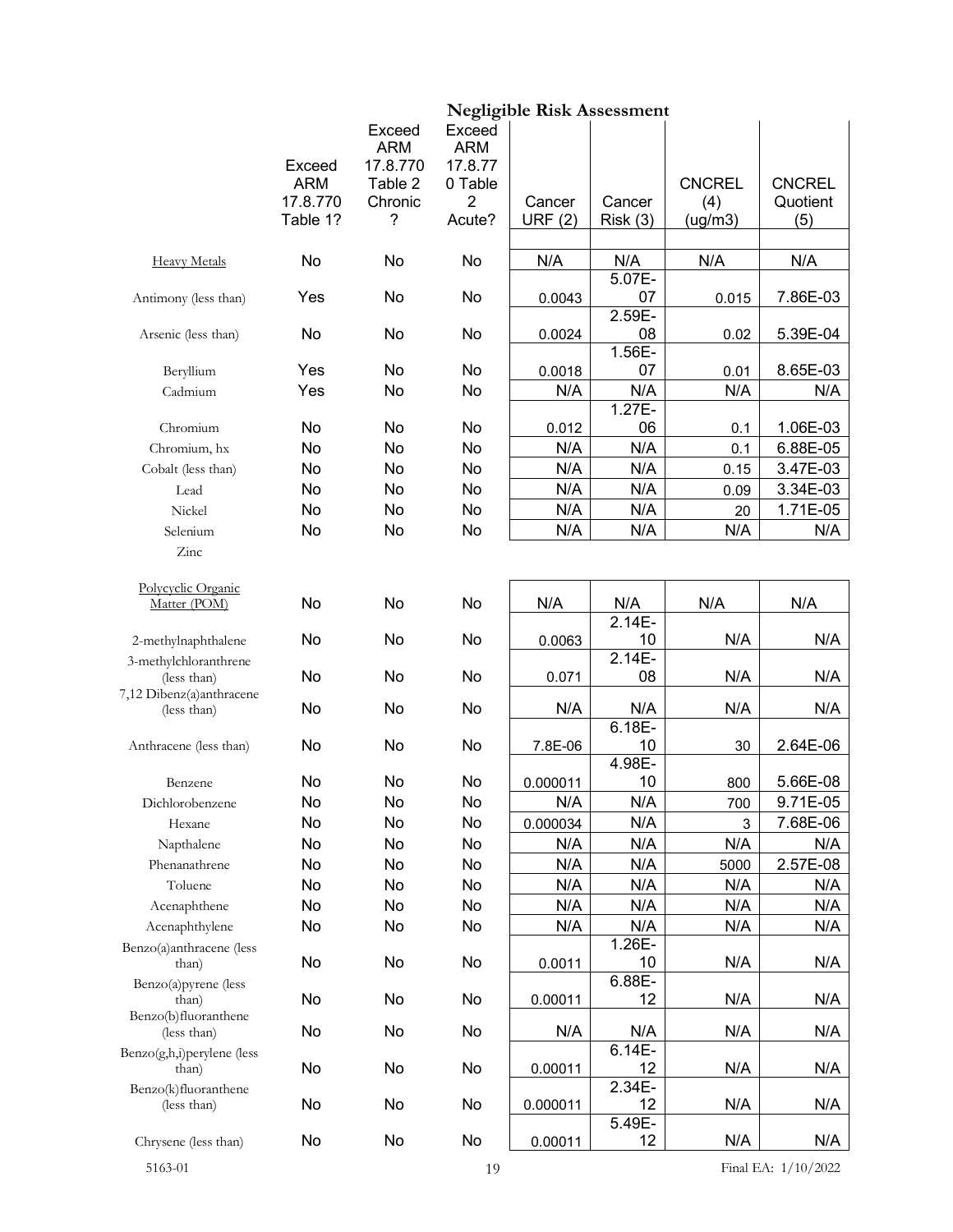|                                         |            |                                  |                                 | <b>Negligible Risk Assessment</b> |                |               |                       |
|-----------------------------------------|------------|----------------------------------|---------------------------------|-----------------------------------|----------------|---------------|-----------------------|
|                                         | Exceed     | Exceed<br><b>ARM</b><br>17.8.770 | Exceed<br><b>ARM</b><br>17.8.77 |                                   |                |               |                       |
|                                         | <b>ARM</b> | Table 2                          | 0 Table                         |                                   |                | <b>CNCREL</b> | <b>CNCREL</b>         |
|                                         | 17.8.770   | Chronic                          | 2                               | Cancer                            | Cancer         | (4)           | Quotient              |
|                                         | Table 1?   | ?                                | Acute?                          | <b>URF (2)</b>                    | Risk(3)        | (ug/m3)       | (5)                   |
| <b>Heavy Metals</b>                     | No         | No                               | No                              | N/A                               | N/A            | N/A           | N/A                   |
|                                         |            |                                  |                                 |                                   | $5.07E -$      |               |                       |
| Antimony (less than)                    | Yes        | No                               | No                              | 0.0043                            | 07<br>2.59E-   | 0.015         | 7.86E-03              |
| Arsenic (less than)                     | No         | No                               | No                              | 0.0024                            | 08<br>$1.56E-$ | 0.02          | 5.39E-04              |
| Beryllium                               | Yes        | No                               | No                              | 0.0018                            | 07             | 0.01          | 8.65E-03              |
| Cadmium                                 | Yes        | No                               | No                              | N/A                               | N/A            | N/A           | N/A                   |
|                                         |            |                                  |                                 |                                   | 1.27E-         |               |                       |
| Chromium                                | No         | No                               | No                              | 0.012                             | 06             | 0.1           | 1.06E-03              |
| Chromium, hx                            | No         | No                               | No                              | N/A                               | N/A            | 0.1           | 6.88E-05              |
| Cobalt (less than)                      | No         | No                               | No                              | N/A                               | N/A            | 0.15          | 3.47E-03              |
| Lead                                    | No         | No                               | No                              | N/A                               | N/A            | 0.09          | 3.34E-03              |
| Nickel                                  | No         | No                               | No                              | N/A                               | N/A            | 20            | 1.71E-05              |
| Selenium                                | No         | No                               | No                              | N/A                               | N/A            | N/A           | N/A                   |
| Zinc                                    |            |                                  |                                 |                                   |                |               |                       |
| Polycyclic Organic                      |            |                                  |                                 |                                   |                |               |                       |
| Matter (POM)                            | No         | No                               | No                              | N/A                               | N/A<br>2.14E-  | N/A           | N/A                   |
| 2-methylnaphthalene                     | No         | No                               | No                              | 0.0063                            | 10             | N/A           | N/A                   |
| 3-methylchloranthrene                   |            |                                  |                                 |                                   | 2.14E-         |               |                       |
| (less than)                             | No         | No                               | No                              | 0.071                             | 08             | N/A           | N/A                   |
| 7,12 Dibenz(a)anthracene<br>(less than) | No         | No                               | No                              | N/A                               | N/A            | N/A           | N/A                   |
|                                         |            |                                  |                                 |                                   | $6.18E -$      |               |                       |
| Anthracene (less than)                  | No         | No                               | No                              | 7.8E-06                           | 10             | 30            | 2.64E-06              |
|                                         |            |                                  |                                 |                                   | 4.98E-         |               |                       |
| Benzene                                 | No         | No                               | No                              | 0.000011                          | 10             | 800           | 5.66E-08              |
| Dichlorobenzene                         | No         | No                               | No                              | N/A                               | N/A            | 700           | 9.71E-05              |
| Hexane                                  | No         | No                               | No                              | 0.000034                          | N/A            | 3             | 7.68E-06              |
| Napthalene                              | No         | No                               | No                              | N/A                               | N/A            | N/A           | N/A                   |
| Phenanathrene                           | No         | No                               | No                              | N/A                               | N/A            | 5000          | 2.57E-08              |
| Toluene                                 | No         | No                               | No                              | N/A                               | N/A            | N/A           | N/A                   |
| Acenaphthene                            | No         | No                               | No                              | N/A                               | N/A            | N/A           | N/A                   |
| Acenaphthylene                          | No         | No                               | No                              | N/A                               | N/A            | N/A           | N/A                   |
| Benzo(a)anthracene (less<br>than)       | No         | No                               | No                              | 0.0011                            | 1.26E-<br>10   | N/A           | N/A                   |
| Benzo(a)pyrene (less                    |            |                                  |                                 |                                   | 6.88E-         |               |                       |
| than)                                   | No         | No                               | No                              | 0.00011                           | 12             | N/A           | N/A                   |
| Benzo(b)fluoranthene                    |            |                                  |                                 |                                   |                |               |                       |
| (less than)                             | No         | No                               | No                              | N/A                               | N/A            | N/A           | N/A                   |
| Benzo(g,h,i)perylene (less<br>than)     | No         | No                               | No                              | 0.00011                           | 6.14E-<br>12   | N/A           | N/A                   |
| Benzo(k)fluoranthene                    |            |                                  |                                 |                                   | 2.34E-         |               |                       |
| (less than)                             | No         | No                               | No                              | 0.000011                          | 12<br>5.49E-   | N/A           | N/A                   |
| Chrysene (less than)                    | No         | No                               | No                              | 0.00011                           | 12             | N/A           | N/A                   |
| 5163-01                                 |            |                                  | 19                              |                                   |                |               | Final EA: $1/10/2022$ |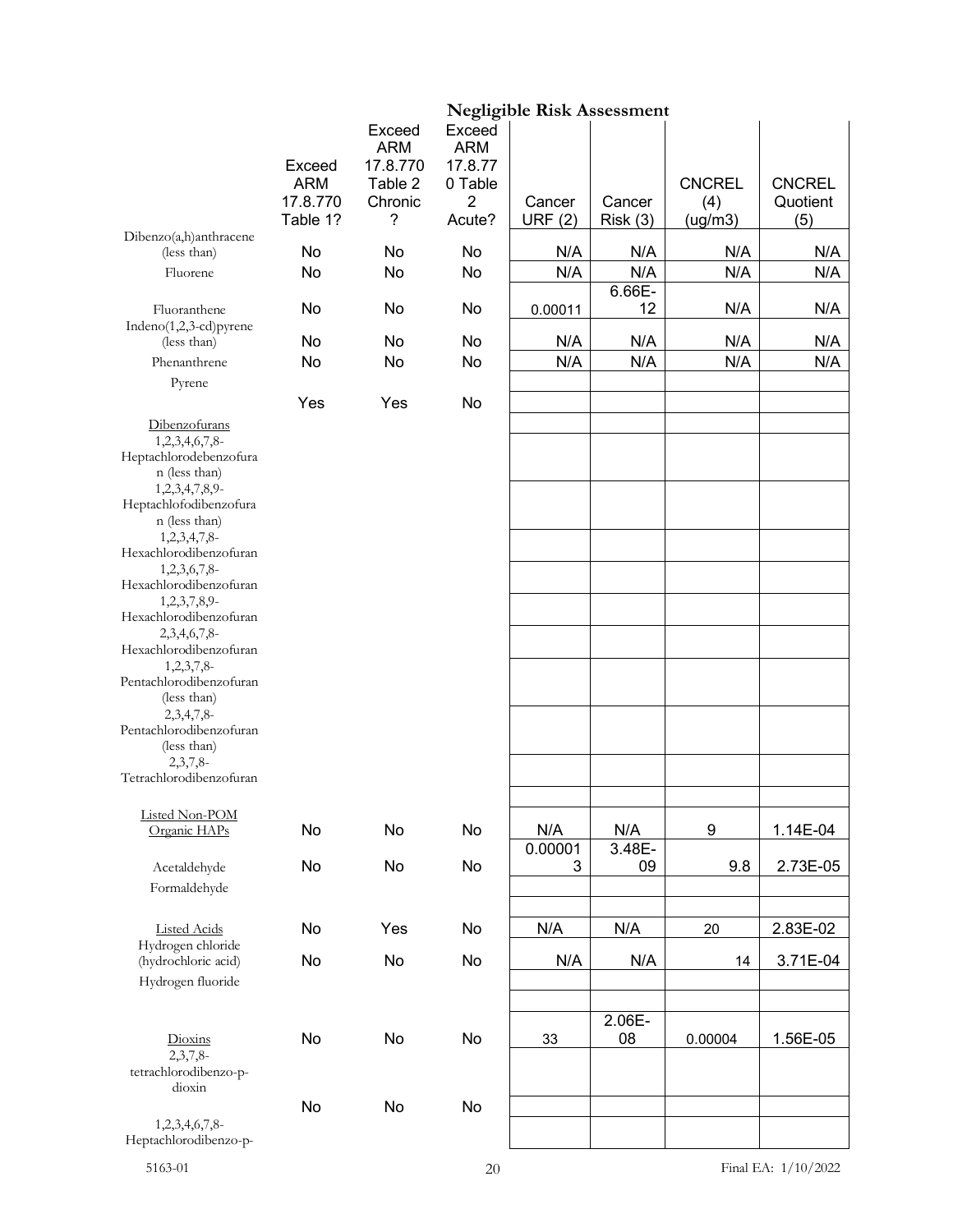|                                                                                                                                                                                                                                                                                                                                                                                                                                                                                |                      |                                             |                                            | <b>Negligible Risk Assessment</b> |               |               |               |
|--------------------------------------------------------------------------------------------------------------------------------------------------------------------------------------------------------------------------------------------------------------------------------------------------------------------------------------------------------------------------------------------------------------------------------------------------------------------------------|----------------------|---------------------------------------------|--------------------------------------------|-----------------------------------|---------------|---------------|---------------|
|                                                                                                                                                                                                                                                                                                                                                                                                                                                                                | Exceed<br><b>ARM</b> | Exceed<br><b>ARM</b><br>17.8.770<br>Table 2 | Exceed<br><b>ARM</b><br>17.8.77<br>0 Table |                                   |               | <b>CNCREL</b> | <b>CNCREL</b> |
|                                                                                                                                                                                                                                                                                                                                                                                                                                                                                | 17.8.770<br>Table 1? | Chronic<br>?                                | $\overline{2}$<br>Acute?                   | Cancer                            | Cancer        | (4)           | Quotient      |
| Dibenzo(a,h)anthracene                                                                                                                                                                                                                                                                                                                                                                                                                                                         |                      |                                             |                                            | <b>URF (2)</b>                    | Risk(3)       | (ug/m3)       | (5)           |
| (less than)                                                                                                                                                                                                                                                                                                                                                                                                                                                                    | No                   | No                                          | No                                         | N/A                               | N/A           | N/A           | N/A           |
| Fluorene                                                                                                                                                                                                                                                                                                                                                                                                                                                                       | No                   | No                                          | No                                         | N/A                               | N/A<br>6.66E- | N/A           | N/A           |
| Fluoranthene<br>Indeno(1,2,3-cd)pyrene                                                                                                                                                                                                                                                                                                                                                                                                                                         | No                   | No                                          | No                                         | 0.00011                           | 12            | N/A           | N/A           |
| (less than)                                                                                                                                                                                                                                                                                                                                                                                                                                                                    | No                   | No                                          | No                                         | N/A                               | N/A           | N/A           | N/A           |
| Phenanthrene                                                                                                                                                                                                                                                                                                                                                                                                                                                                   | No                   | No                                          | No                                         | N/A                               | N/A           | N/A           | N/A           |
| Pyrene                                                                                                                                                                                                                                                                                                                                                                                                                                                                         |                      |                                             |                                            |                                   |               |               |               |
|                                                                                                                                                                                                                                                                                                                                                                                                                                                                                | Yes                  | Yes                                         | No                                         |                                   |               |               |               |
| Dibenzofurans<br>1,2,3,4,6,7,8-<br>Heptachlorodebenzofura<br>n (less than)<br>1,2,3,4,7,8,9-<br>Heptachlofodibenzofura<br>n (less than)<br>$1,2,3,4,7,8$ -<br>Hexachlorodibenzofuran<br>1,2,3,6,7,8-<br>Hexachlorodibenzofuran<br>1,2,3,7,8,9-<br>Hexachlorodibenzofuran<br>2,3,4,6,7,8-<br>Hexachlorodibenzofuran<br>$1,2,3,7,8$ -<br>Pentachlorodibenzofuran<br>(less than)<br>$2,3,4,7,8$ -<br>Pentachlorodibenzofuran<br>(less than)<br>2,3,7,8<br>Tetrachlorodibenzofuran |                      |                                             |                                            |                                   |               |               |               |
| Listed Non-POM<br>Organic HAPs                                                                                                                                                                                                                                                                                                                                                                                                                                                 | No                   | No                                          | No                                         | N/A                               | N/A           | 9             | 1.14E-04      |
|                                                                                                                                                                                                                                                                                                                                                                                                                                                                                |                      |                                             |                                            | 0.00001                           | 3.48E-        |               |               |
| Acetaldehyde                                                                                                                                                                                                                                                                                                                                                                                                                                                                   | No                   | No                                          | No                                         | 3                                 | 09            | 9.8           | 2.73E-05      |
| Formaldehyde                                                                                                                                                                                                                                                                                                                                                                                                                                                                   |                      |                                             |                                            |                                   |               |               |               |
| <b>Listed Acids</b>                                                                                                                                                                                                                                                                                                                                                                                                                                                            | No                   | Yes                                         | No                                         | N/A                               | N/A           | 20            | 2.83E-02      |
| Hydrogen chloride<br>(hydrochloric acid)                                                                                                                                                                                                                                                                                                                                                                                                                                       | No                   | No                                          | No                                         | N/A                               | N/A           | 14            | 3.71E-04      |
| Hydrogen fluoride                                                                                                                                                                                                                                                                                                                                                                                                                                                              |                      |                                             |                                            |                                   |               |               |               |
|                                                                                                                                                                                                                                                                                                                                                                                                                                                                                |                      |                                             |                                            |                                   |               |               |               |
| Dioxins<br>$2,3,7,8-$                                                                                                                                                                                                                                                                                                                                                                                                                                                          | No                   | No                                          | No                                         | 33                                | 2.06E-<br>08  | 0.00004       | 1.56E-05      |
| tetrachlorodibenzo-p-<br>dioxin                                                                                                                                                                                                                                                                                                                                                                                                                                                |                      |                                             |                                            |                                   |               |               |               |
|                                                                                                                                                                                                                                                                                                                                                                                                                                                                                | No                   | No                                          | No                                         |                                   |               |               |               |
| 1,2,3,4,6,7,8-<br>Heptachlorodibenzo-p-                                                                                                                                                                                                                                                                                                                                                                                                                                        |                      |                                             |                                            |                                   |               |               |               |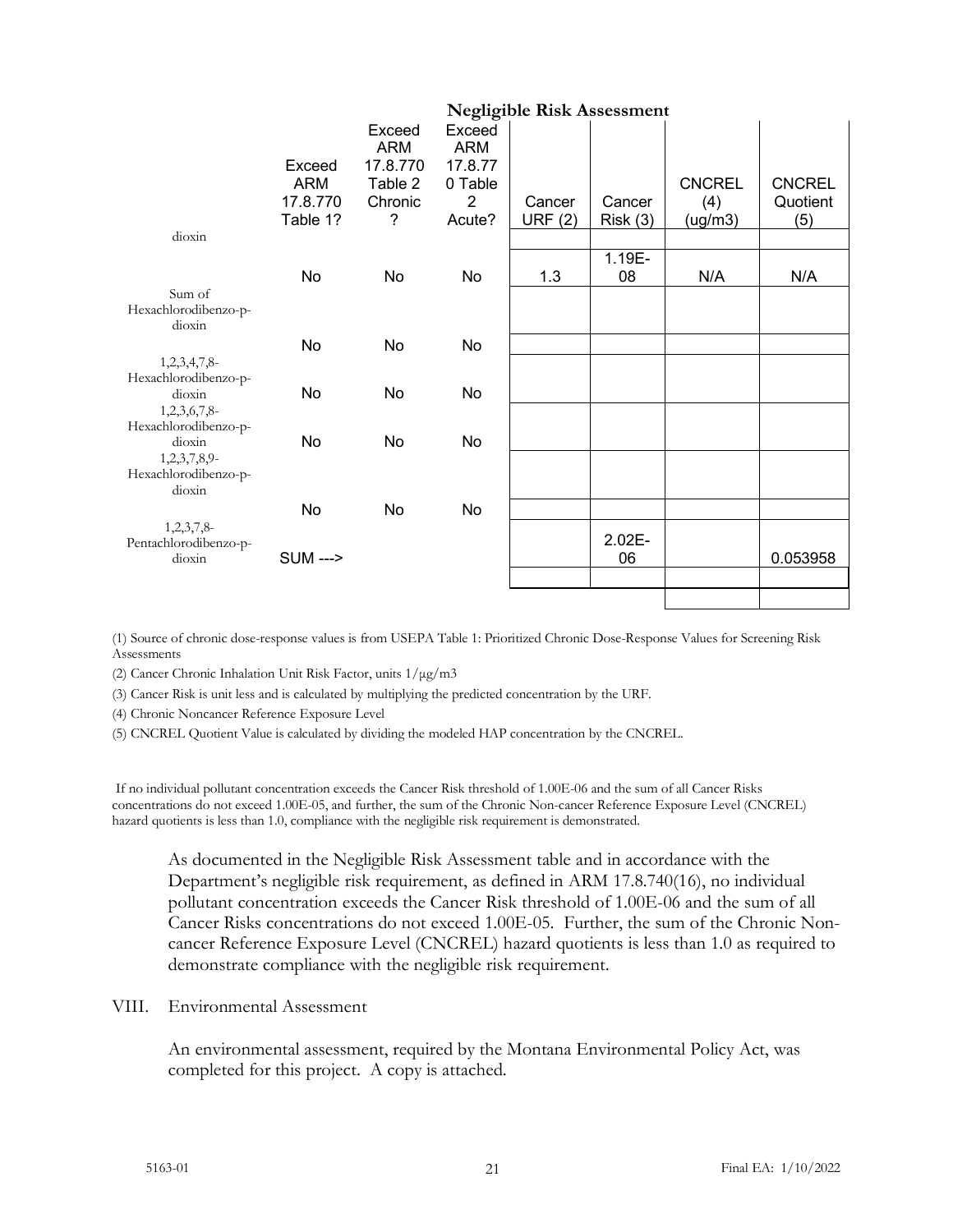|                                                   |                                              |                                                             |                                                           | <b>Negligible Risk Assessment</b> |                   |                                 |                                  |
|---------------------------------------------------|----------------------------------------------|-------------------------------------------------------------|-----------------------------------------------------------|-----------------------------------|-------------------|---------------------------------|----------------------------------|
|                                                   | Exceed<br><b>ARM</b><br>17.8.770<br>Table 1? | Exceed<br><b>ARM</b><br>17.8.770<br>Table 2<br>Chronic<br>? | Exceed<br><b>ARM</b><br>17.8.77<br>0 Table<br>2<br>Acute? | Cancer<br>URF $(2)$               | Cancer<br>Risk(3) | <b>CNCREL</b><br>(4)<br>(ug/m3) | <b>CNCREL</b><br>Quotient<br>(5) |
| dioxin                                            |                                              |                                                             |                                                           |                                   |                   |                                 |                                  |
| Sum of                                            | No                                           | No                                                          | No                                                        | 1.3                               | 1.19E-<br>08      | N/A                             | N/A                              |
| Hexachlorodibenzo-p-                              |                                              |                                                             |                                                           |                                   |                   |                                 |                                  |
| dioxin                                            | No                                           | No                                                          | No                                                        |                                   |                   |                                 |                                  |
| 1,2,3,4,7,8-<br>Hexachlorodibenzo-p-<br>dioxin    | No                                           | No                                                          | No                                                        |                                   |                   |                                 |                                  |
| 1,2,3,6,7,8-<br>Hexachlorodibenzo-p-<br>dioxin    | No                                           | No                                                          | No                                                        |                                   |                   |                                 |                                  |
| $1,2,3,7,8,9$ -<br>Hexachlorodibenzo-p-<br>dioxin |                                              |                                                             |                                                           |                                   |                   |                                 |                                  |
|                                                   | No                                           | No                                                          | No                                                        |                                   |                   |                                 |                                  |
| 1,2,3,7,8-<br>Pentachlorodibenzo-p-<br>dioxin     | <b>SUM ---&gt;</b>                           |                                                             |                                                           |                                   | 2.02E-<br>06      |                                 | 0.053958                         |
|                                                   |                                              |                                                             |                                                           |                                   |                   |                                 |                                  |

(1) Source of chronic dose-response values is from USEPA Table 1: Prioritized Chronic Dose-Response Values for Screening Risk Assessments

(2) Cancer Chronic Inhalation Unit Risk Factor, units 1/μg/m3

(3) Cancer Risk is unit less and is calculated by multiplying the predicted concentration by the URF.

(4) Chronic Noncancer Reference Exposure Level

(5) CNCREL Quotient Value is calculated by dividing the modeled HAP concentration by the CNCREL.

If no individual pollutant concentration exceeds the Cancer Risk threshold of 1.00E-06 and the sum of all Cancer Risks concentrations do not exceed 1.00E-05, and further, the sum of the Chronic Non-cancer Reference Exposure Level (CNCREL) hazard quotients is less than 1.0, compliance with the negligible risk requirement is demonstrated.

As documented in the Negligible Risk Assessment table and in accordance with the Department's negligible risk requirement, as defined in ARM 17.8.740(16), no individual pollutant concentration exceeds the Cancer Risk threshold of 1.00E-06 and the sum of all Cancer Risks concentrations do not exceed 1.00E-05. Further, the sum of the Chronic Noncancer Reference Exposure Level (CNCREL) hazard quotients is less than 1.0 as required to demonstrate compliance with the negligible risk requirement.

#### VIII. Environmental Assessment

An environmental assessment, required by the Montana Environmental Policy Act, was completed for this project. A copy is attached.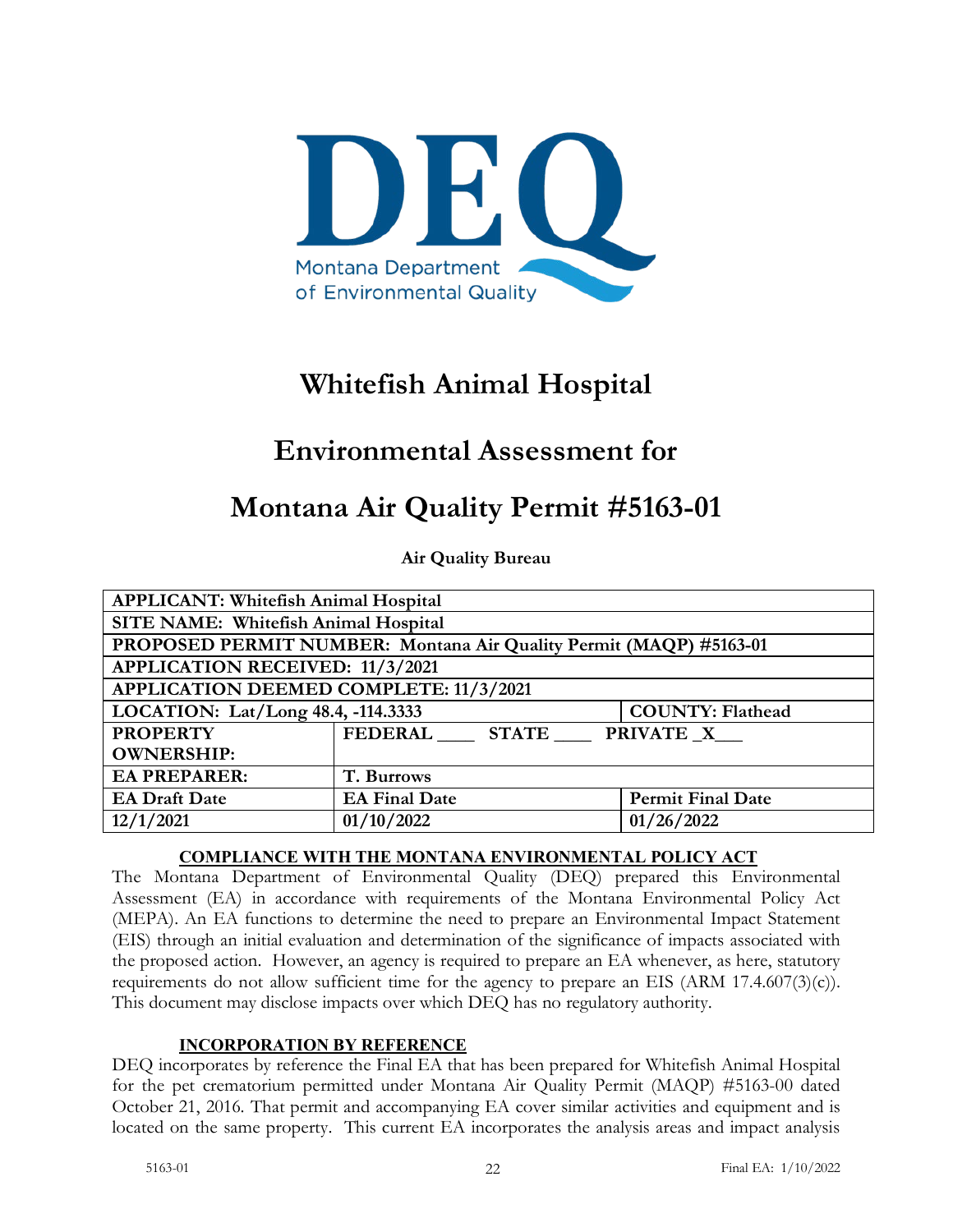

# **Whitefish Animal Hospital**

# **Environmental Assessment for**

# **Montana Air Quality Permit #5163-01**

**Air Quality Bureau**

| <b>APPLICANT: Whitefish Animal Hospital</b>                   |                                                                    |                          |  |  |
|---------------------------------------------------------------|--------------------------------------------------------------------|--------------------------|--|--|
| SITE NAME: Whitefish Animal Hospital                          |                                                                    |                          |  |  |
|                                                               | PROPOSED PERMIT NUMBER: Montana Air Quality Permit (MAQP) #5163-01 |                          |  |  |
| <b>APPLICATION RECEIVED: 11/3/2021</b>                        |                                                                    |                          |  |  |
| APPLICATION DEEMED COMPLETE: 11/3/2021                        |                                                                    |                          |  |  |
| LOCATION: Lat/Long 48.4, -114.3333<br><b>COUNTY: Flathead</b> |                                                                    |                          |  |  |
| <b>PROPERTY</b>                                               | FEDERAL STATE PRIVATE X                                            |                          |  |  |
| <b>OWNERSHIP:</b>                                             |                                                                    |                          |  |  |
| <b>EA PREPARER:</b><br>T. Burrows                             |                                                                    |                          |  |  |
| <b>EA Draft Date</b>                                          | <b>EA Final Date</b>                                               | <b>Permit Final Date</b> |  |  |
| 12/1/2021                                                     | 01/10/2022                                                         | 01/26/2022               |  |  |

## **COMPLIANCE WITH THE MONTANA ENVIRONMENTAL POLICY ACT**

The Montana Department of Environmental Quality (DEQ) prepared this Environmental Assessment (EA) in accordance with requirements of the Montana Environmental Policy Act (MEPA). An EA functions to determine the need to prepare an Environmental Impact Statement (EIS) through an initial evaluation and determination of the significance of impacts associated with the proposed action. However, an agency is required to prepare an EA whenever, as here, statutory requirements do not allow sufficient time for the agency to prepare an EIS (ARM 17.4.607(3)(c)). This document may disclose impacts over which DEQ has no regulatory authority.

# **INCORPORATION BY REFERENCE**

DEQ incorporates by reference the Final EA that has been prepared for Whitefish Animal Hospital for the pet crematorium permitted under Montana Air Quality Permit (MAQP) #5163-00 dated October 21, 2016. That permit and accompanying EA cover similar activities and equipment and is located on the same property. This current EA incorporates the analysis areas and impact analysis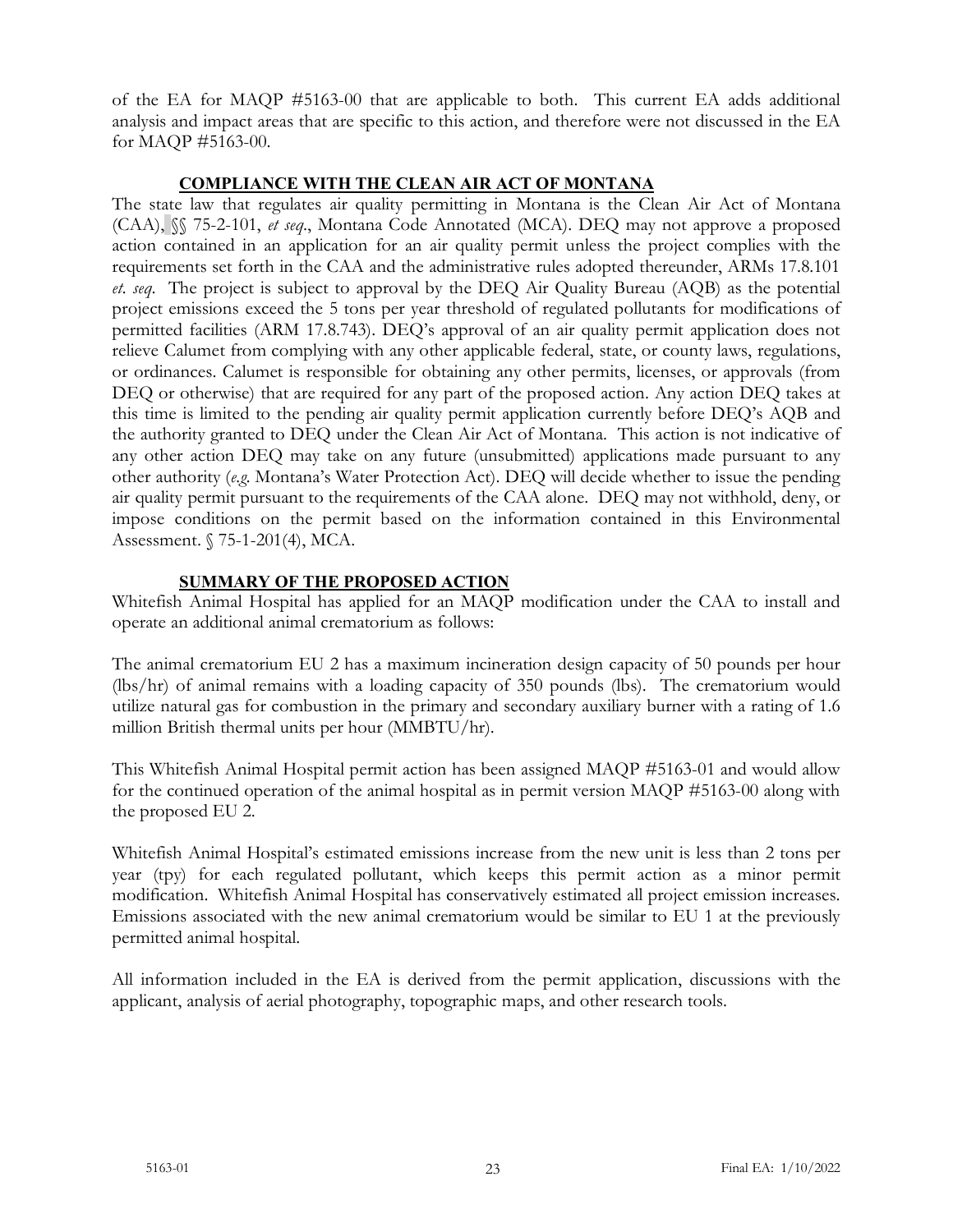of the EA for MAQP #5163-00 that are applicable to both. This current EA adds additional analysis and impact areas that are specific to this action, and therefore were not discussed in the EA for MAQP #5163-00.

## **COMPLIANCE WITH THE CLEAN AIR ACT OF MONTANA**

The state law that regulates air quality permitting in Montana is the Clean Air Act of Montana (CAA), §§ 75-2-101, *et seq*., Montana Code Annotated (MCA). DEQ may not approve a proposed action contained in an application for an air quality permit unless the project complies with the requirements set forth in the CAA and the administrative rules adopted thereunder, ARMs 17.8.101 *et. seq*. The project is subject to approval by the DEQ Air Quality Bureau (AQB) as the potential project emissions exceed the 5 tons per year threshold of regulated pollutants for modifications of permitted facilities (ARM 17.8.743). DEQ's approval of an air quality permit application does not relieve Calumet from complying with any other applicable federal, state, or county laws, regulations, or ordinances. Calumet is responsible for obtaining any other permits, licenses, or approvals (from DEQ or otherwise) that are required for any part of the proposed action. Any action DEQ takes at this time is limited to the pending air quality permit application currently before DEQ's AQB and the authority granted to DEQ under the Clean Air Act of Montana. This action is not indicative of any other action DEQ may take on any future (unsubmitted) applications made pursuant to any other authority (*e.g.* Montana's Water Protection Act). DEQ will decide whether to issue the pending air quality permit pursuant to the requirements of the CAA alone. DEQ may not withhold, deny, or impose conditions on the permit based on the information contained in this Environmental Assessment. § 75-1-201(4), MCA.

# **SUMMARY OF THE PROPOSED ACTION**

Whitefish Animal Hospital has applied for an MAQP modification under the CAA to install and operate an additional animal crematorium as follows:

The animal crematorium EU 2 has a maximum incineration design capacity of 50 pounds per hour (lbs/hr) of animal remains with a loading capacity of 350 pounds (lbs). The crematorium would utilize natural gas for combustion in the primary and secondary auxiliary burner with a rating of 1.6 million British thermal units per hour (MMBTU/hr).

This Whitefish Animal Hospital permit action has been assigned MAQP #5163-01 and would allow for the continued operation of the animal hospital as in permit version MAQP #5163-00 along with the proposed EU 2.

Whitefish Animal Hospital's estimated emissions increase from the new unit is less than 2 tons per year (tpy) for each regulated pollutant, which keeps this permit action as a minor permit modification. Whitefish Animal Hospital has conservatively estimated all project emission increases. Emissions associated with the new animal crematorium would be similar to EU 1 at the previously permitted animal hospital.

All information included in the EA is derived from the permit application, discussions with the applicant, analysis of aerial photography, topographic maps, and other research tools.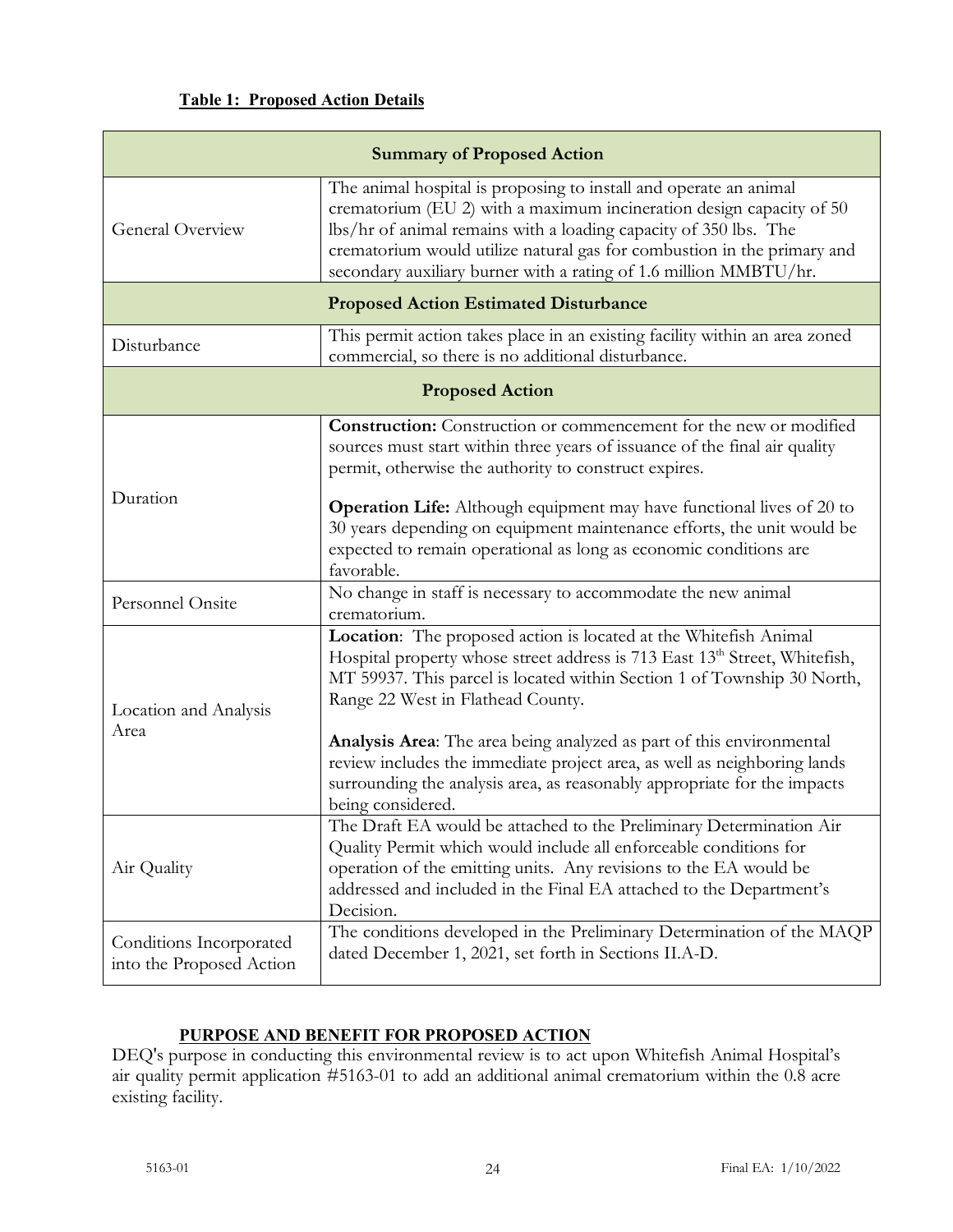## **Table 1: Proposed Action Details**

| <b>Summary of Proposed Action</b>                   |                                                                                                                                                                                                                                                                                                                                                                                                                                                                                                                                                                                                        |  |  |  |  |  |
|-----------------------------------------------------|--------------------------------------------------------------------------------------------------------------------------------------------------------------------------------------------------------------------------------------------------------------------------------------------------------------------------------------------------------------------------------------------------------------------------------------------------------------------------------------------------------------------------------------------------------------------------------------------------------|--|--|--|--|--|
| General Overview                                    | The animal hospital is proposing to install and operate an animal<br>crematorium (EU 2) with a maximum incineration design capacity of 50<br>lbs/hr of animal remains with a loading capacity of 350 lbs. The<br>crematorium would utilize natural gas for combustion in the primary and<br>secondary auxiliary burner with a rating of 1.6 million MMBTU/hr.                                                                                                                                                                                                                                          |  |  |  |  |  |
|                                                     | <b>Proposed Action Estimated Disturbance</b>                                                                                                                                                                                                                                                                                                                                                                                                                                                                                                                                                           |  |  |  |  |  |
| Disturbance                                         | This permit action takes place in an existing facility within an area zoned<br>commercial, so there is no additional disturbance.                                                                                                                                                                                                                                                                                                                                                                                                                                                                      |  |  |  |  |  |
|                                                     | <b>Proposed Action</b>                                                                                                                                                                                                                                                                                                                                                                                                                                                                                                                                                                                 |  |  |  |  |  |
| Duration                                            | <b>Construction:</b> Construction or commencement for the new or modified<br>sources must start within three years of issuance of the final air quality<br>permit, otherwise the authority to construct expires.<br><b>Operation Life:</b> Although equipment may have functional lives of 20 to<br>30 years depending on equipment maintenance efforts, the unit would be<br>expected to remain operational as long as economic conditions are<br>favorable.                                                                                                                                          |  |  |  |  |  |
| Personnel Onsite                                    | No change in staff is necessary to accommodate the new animal<br>crematorium.                                                                                                                                                                                                                                                                                                                                                                                                                                                                                                                          |  |  |  |  |  |
| Location and Analysis<br>Area                       | Location: The proposed action is located at the Whitefish Animal<br>Hospital property whose street address is 713 East 13 <sup>th</sup> Street, Whitefish,<br>MT 59937. This parcel is located within Section 1 of Township 30 North,<br>Range 22 West in Flathead County.<br>Analysis Area: The area being analyzed as part of this environmental<br>review includes the immediate project area, as well as neighboring lands<br>surrounding the analysis area, as reasonably appropriate for the impacts<br>being considered.<br>The Draft EA would be attached to the Preliminary Determination Air |  |  |  |  |  |
| Air Quality                                         | Quality Permit which would include all enforceable conditions for<br>operation of the emitting units. Any revisions to the EA would be<br>addressed and included in the Final EA attached to the Department's<br>Decision.                                                                                                                                                                                                                                                                                                                                                                             |  |  |  |  |  |
| Conditions Incorporated<br>into the Proposed Action | The conditions developed in the Preliminary Determination of the MAQP<br>dated December 1, 2021, set forth in Sections II.A-D.                                                                                                                                                                                                                                                                                                                                                                                                                                                                         |  |  |  |  |  |

# **PURPOSE AND BENEFIT FOR PROPOSED ACTION**

DEQ's purpose in conducting this environmental review is to act upon Whitefish Animal Hospital's air quality permit application #5163-01 to add an additional animal crematorium within the 0.8 acre existing facility.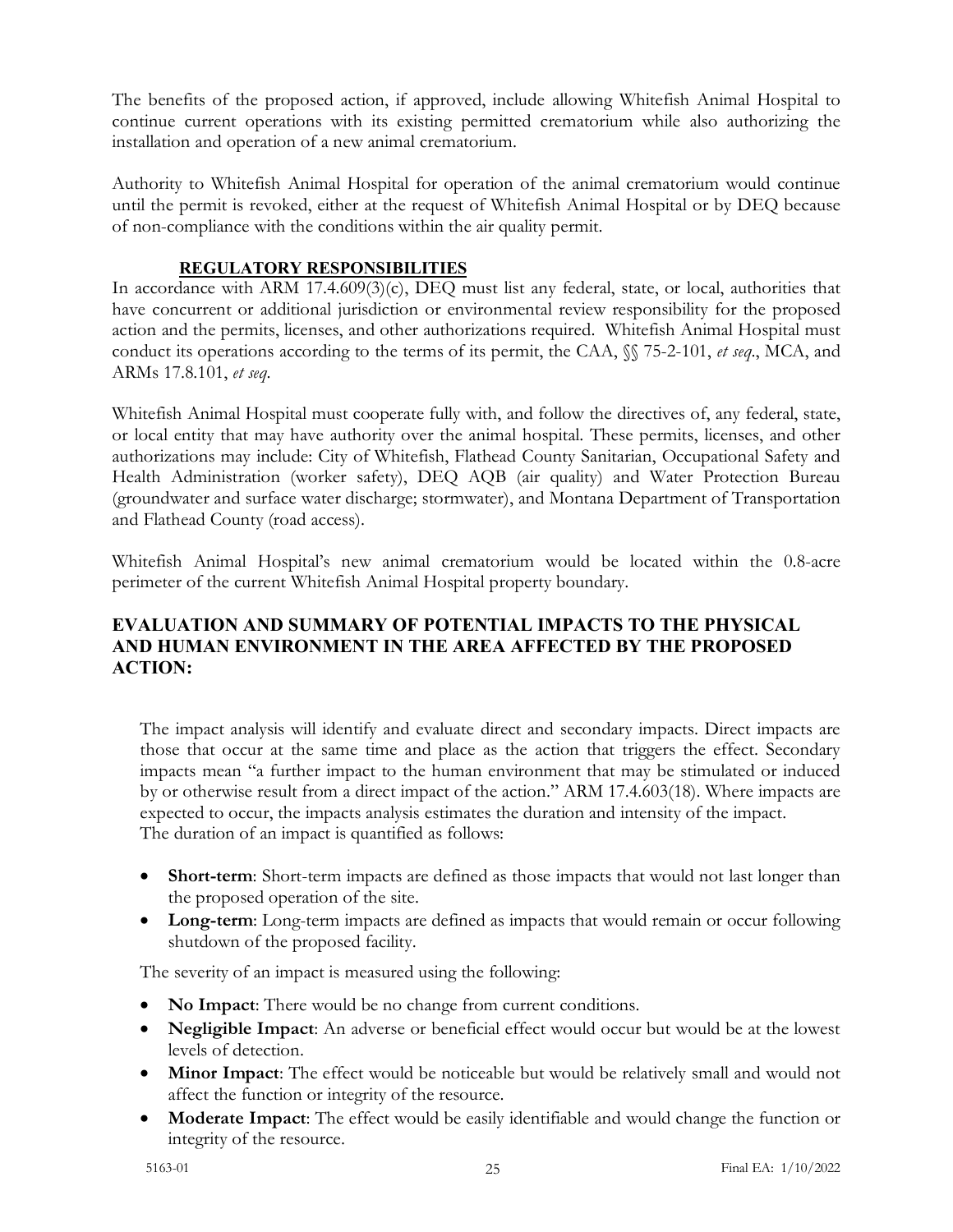The benefits of the proposed action, if approved, include allowing Whitefish Animal Hospital to continue current operations with its existing permitted crematorium while also authorizing the installation and operation of a new animal crematorium.

Authority to Whitefish Animal Hospital for operation of the animal crematorium would continue until the permit is revoked, either at the request of Whitefish Animal Hospital or by DEQ because of non-compliance with the conditions within the air quality permit.

## **REGULATORY RESPONSIBILITIES**

In accordance with ARM 17.4.609(3)(c), DEQ must list any federal, state, or local, authorities that have concurrent or additional jurisdiction or environmental review responsibility for the proposed action and the permits, licenses, and other authorizations required. Whitefish Animal Hospital must conduct its operations according to the terms of its permit, the CAA, §§ 75-2-101, *et seq*., MCA, and ARMs 17.8.101, *et seq*.

Whitefish Animal Hospital must cooperate fully with, and follow the directives of, any federal, state, or local entity that may have authority over the animal hospital. These permits, licenses, and other authorizations may include: City of Whitefish, Flathead County Sanitarian, Occupational Safety and Health Administration (worker safety), DEQ AQB (air quality) and Water Protection Bureau (groundwater and surface water discharge; stormwater), and Montana Department of Transportation and Flathead County (road access).

Whitefish Animal Hospital's new animal crematorium would be located within the 0.8-acre perimeter of the current Whitefish Animal Hospital property boundary.

# **EVALUATION AND SUMMARY OF POTENTIAL IMPACTS TO THE PHYSICAL AND HUMAN ENVIRONMENT IN THE AREA AFFECTED BY THE PROPOSED ACTION:**

The impact analysis will identify and evaluate direct and secondary impacts. Direct impacts are those that occur at the same time and place as the action that triggers the effect. Secondary impacts mean "a further impact to the human environment that may be stimulated or induced by or otherwise result from a direct impact of the action." ARM 17.4.603(18). Where impacts are expected to occur, the impacts analysis estimates the duration and intensity of the impact. The duration of an impact is quantified as follows:

- **Short-term**: Short-term impacts are defined as those impacts that would not last longer than the proposed operation of the site.
- **Long-term**: Long-term impacts are defined as impacts that would remain or occur following shutdown of the proposed facility.

The severity of an impact is measured using the following:

- **No Impact**: There would be no change from current conditions.
- **Negligible Impact**: An adverse or beneficial effect would occur but would be at the lowest levels of detection.
- **Minor Impact**: The effect would be noticeable but would be relatively small and would not affect the function or integrity of the resource.
- **Moderate Impact**: The effect would be easily identifiable and would change the function or integrity of the resource.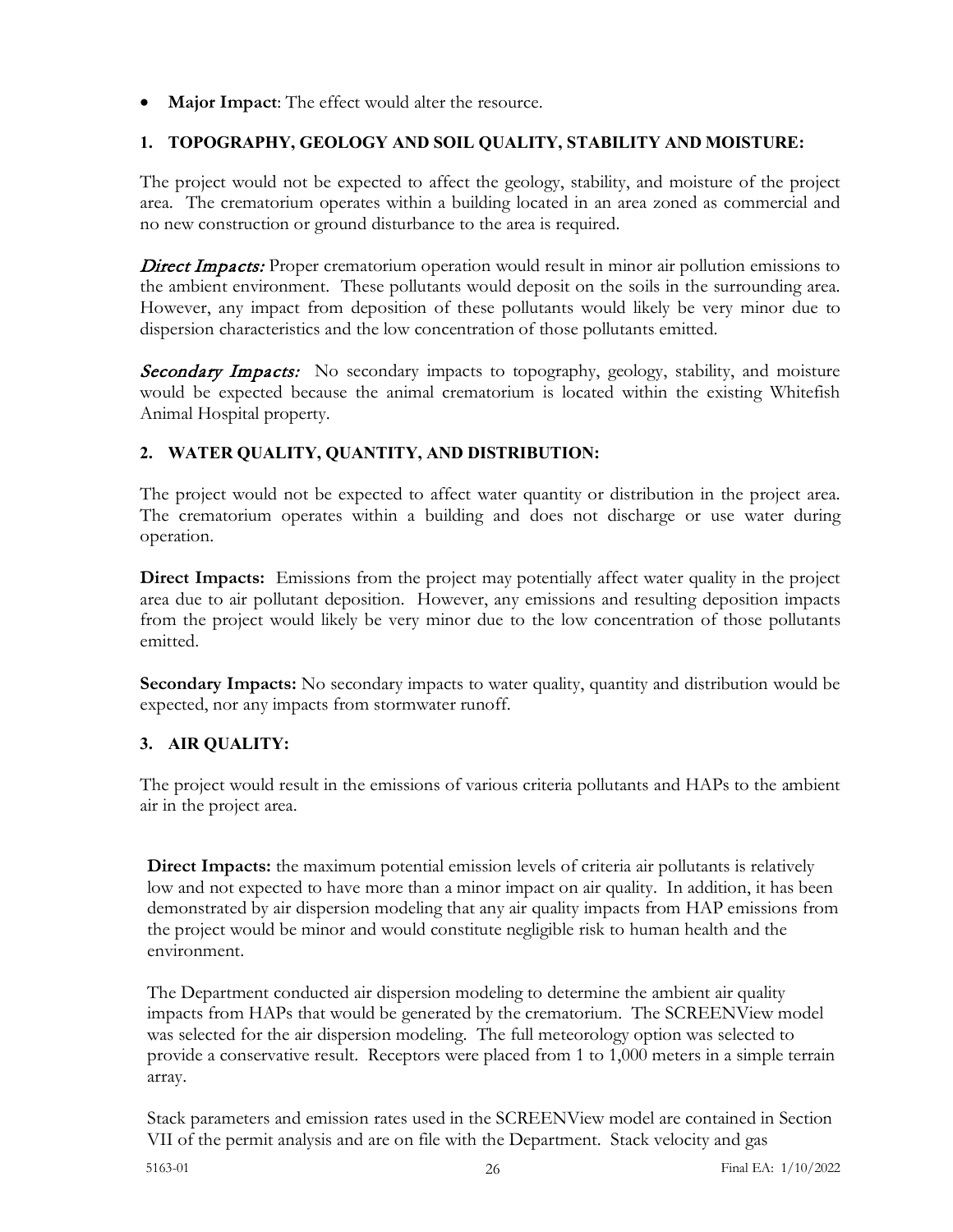• **Major Impact**: The effect would alter the resource.

# **1. TOPOGRAPHY, GEOLOGY AND SOIL QUALITY, STABILITY AND MOISTURE:**

The project would not be expected to affect the geology, stability, and moisture of the project area. The crematorium operates within a building located in an area zoned as commercial and no new construction or ground disturbance to the area is required.

**Direct Impacts:** Proper crematorium operation would result in minor air pollution emissions to the ambient environment. These pollutants would deposit on the soils in the surrounding area. However, any impact from deposition of these pollutants would likely be very minor due to dispersion characteristics and the low concentration of those pollutants emitted.

**Secondary Impacts:** No secondary impacts to topography, geology, stability, and moisture would be expected because the animal crematorium is located within the existing Whitefish Animal Hospital property.

# **2. WATER QUALITY, QUANTITY, AND DISTRIBUTION:**

The project would not be expected to affect water quantity or distribution in the project area. The crematorium operates within a building and does not discharge or use water during operation.

**Direct Impacts:** Emissions from the project may potentially affect water quality in the project area due to air pollutant deposition. However, any emissions and resulting deposition impacts from the project would likely be very minor due to the low concentration of those pollutants emitted.

**Secondary Impacts:** No secondary impacts to water quality, quantity and distribution would be expected, nor any impacts from stormwater runoff.

# **3. AIR QUALITY:**

The project would result in the emissions of various criteria pollutants and HAPs to the ambient air in the project area.

**Direct Impacts:** the maximum potential emission levels of criteria air pollutants is relatively low and not expected to have more than a minor impact on air quality. In addition, it has been demonstrated by air dispersion modeling that any air quality impacts from HAP emissions from the project would be minor and would constitute negligible risk to human health and the environment.

The Department conducted air dispersion modeling to determine the ambient air quality impacts from HAPs that would be generated by the crematorium. The SCREENView model was selected for the air dispersion modeling. The full meteorology option was selected to provide a conservative result. Receptors were placed from 1 to 1,000 meters in a simple terrain array.

Stack parameters and emission rates used in the SCREENView model are contained in Section VII of the permit analysis and are on file with the Department. Stack velocity and gas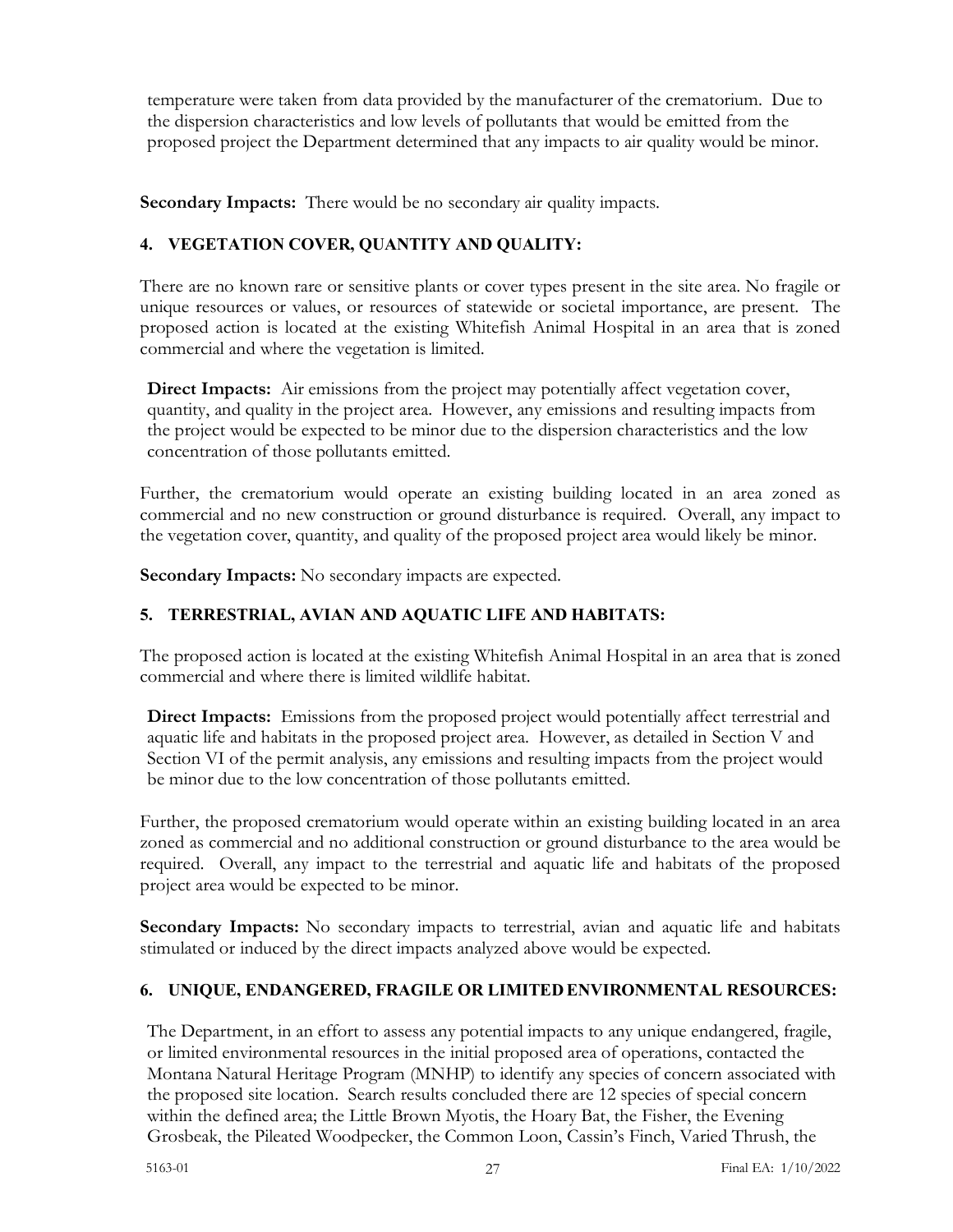temperature were taken from data provided by the manufacturer of the crematorium. Due to the dispersion characteristics and low levels of pollutants that would be emitted from the proposed project the Department determined that any impacts to air quality would be minor.

**Secondary Impacts:** There would be no secondary air quality impacts.

# **4. VEGETATION COVER, QUANTITY AND QUALITY:**

There are no known rare or sensitive plants or cover types present in the site area. No fragile or unique resources or values, or resources of statewide or societal importance, are present. The proposed action is located at the existing Whitefish Animal Hospital in an area that is zoned commercial and where the vegetation is limited.

**Direct Impacts:** Air emissions from the project may potentially affect vegetation cover, quantity, and quality in the project area. However, any emissions and resulting impacts from the project would be expected to be minor due to the dispersion characteristics and the low concentration of those pollutants emitted.

Further, the crematorium would operate an existing building located in an area zoned as commercial and no new construction or ground disturbance is required. Overall, any impact to the vegetation cover, quantity, and quality of the proposed project area would likely be minor.

**Secondary Impacts:** No secondary impacts are expected.

# **5. TERRESTRIAL, AVIAN AND AQUATIC LIFE AND HABITATS:**

The proposed action is located at the existing Whitefish Animal Hospital in an area that is zoned commercial and where there is limited wildlife habitat.

**Direct Impacts:** Emissions from the proposed project would potentially affect terrestrial and aquatic life and habitats in the proposed project area. However, as detailed in Section V and Section VI of the permit analysis, any emissions and resulting impacts from the project would be minor due to the low concentration of those pollutants emitted.

Further, the proposed crematorium would operate within an existing building located in an area zoned as commercial and no additional construction or ground disturbance to the area would be required. Overall, any impact to the terrestrial and aquatic life and habitats of the proposed project area would be expected to be minor.

**Secondary Impacts:** No secondary impacts to terrestrial, avian and aquatic life and habitats stimulated or induced by the direct impacts analyzed above would be expected.

# **6. UNIQUE, ENDANGERED, FRAGILE OR LIMITED ENVIRONMENTAL RESOURCES:**

The Department, in an effort to assess any potential impacts to any unique endangered, fragile, or limited environmental resources in the initial proposed area of operations, contacted the Montana Natural Heritage Program (MNHP) to identify any species of concern associated with the proposed site location. Search results concluded there are 12 species of special concern within the defined area; the Little Brown Myotis, the Hoary Bat, the Fisher, the Evening Grosbeak, the Pileated Woodpecker, the Common Loon, Cassin's Finch, Varied Thrush, the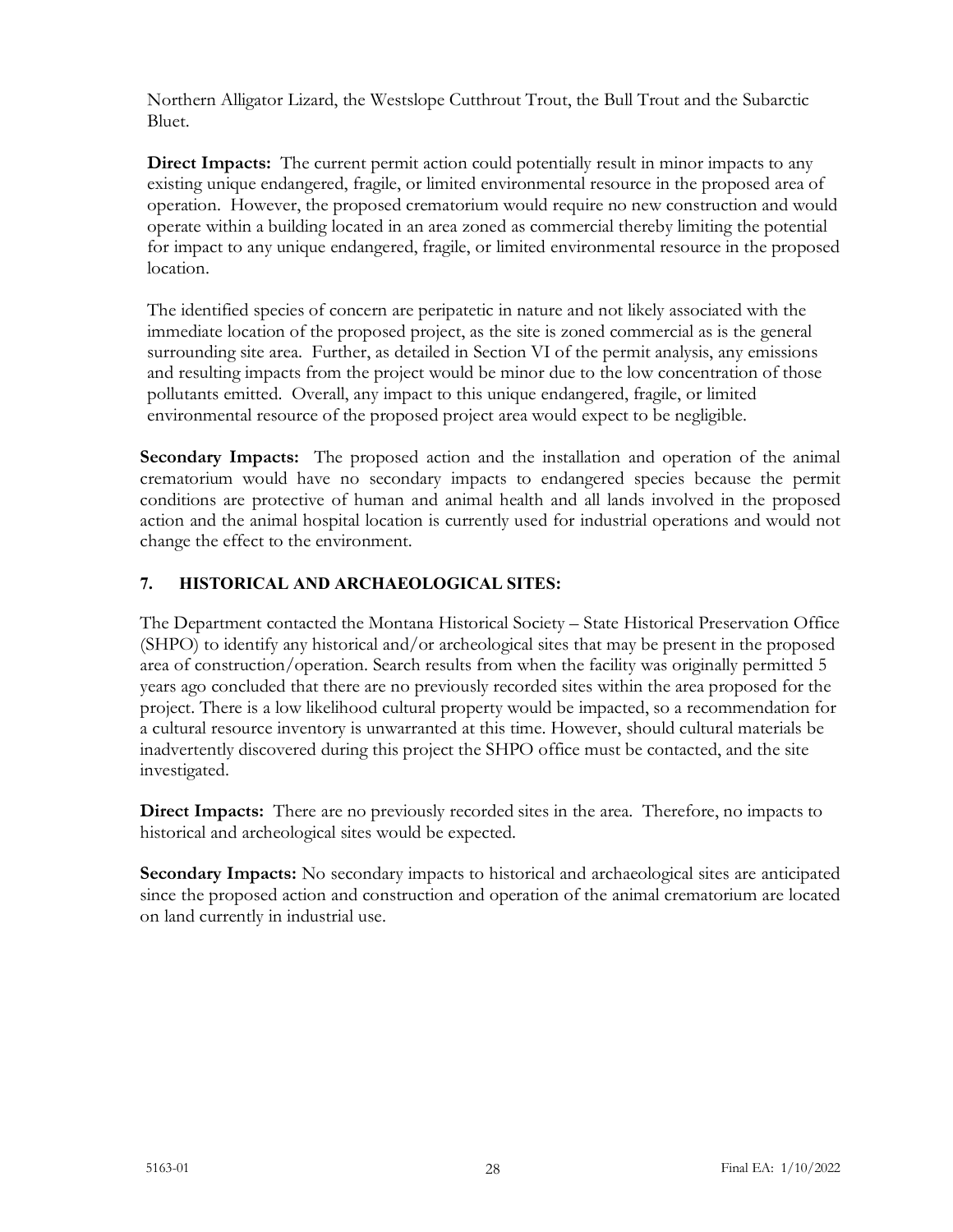Northern Alligator Lizard, the Westslope Cutthrout Trout, the Bull Trout and the Subarctic Bluet.

**Direct Impacts:** The current permit action could potentially result in minor impacts to any existing unique endangered, fragile, or limited environmental resource in the proposed area of operation. However, the proposed crematorium would require no new construction and would operate within a building located in an area zoned as commercial thereby limiting the potential for impact to any unique endangered, fragile, or limited environmental resource in the proposed location.

The identified species of concern are peripatetic in nature and not likely associated with the immediate location of the proposed project, as the site is zoned commercial as is the general surrounding site area. Further, as detailed in Section VI of the permit analysis, any emissions and resulting impacts from the project would be minor due to the low concentration of those pollutants emitted. Overall, any impact to this unique endangered, fragile, or limited environmental resource of the proposed project area would expect to be negligible.

**Secondary Impacts:** The proposed action and the installation and operation of the animal crematorium would have no secondary impacts to endangered species because the permit conditions are protective of human and animal health and all lands involved in the proposed action and the animal hospital location is currently used for industrial operations and would not change the effect to the environment.

# **7. HISTORICAL AND ARCHAEOLOGICAL SITES:**

The Department contacted the Montana Historical Society – State Historical Preservation Office (SHPO) to identify any historical and/or archeological sites that may be present in the proposed area of construction/operation. Search results from when the facility was originally permitted 5 years ago concluded that there are no previously recorded sites within the area proposed for the project. There is a low likelihood cultural property would be impacted, so a recommendation for a cultural resource inventory is unwarranted at this time. However, should cultural materials be inadvertently discovered during this project the SHPO office must be contacted, and the site investigated.

**Direct Impacts:** There are no previously recorded sites in the area. Therefore, no impacts to historical and archeological sites would be expected.

**Secondary Impacts:** No secondary impacts to historical and archaeological sites are anticipated since the proposed action and construction and operation of the animal crematorium are located on land currently in industrial use.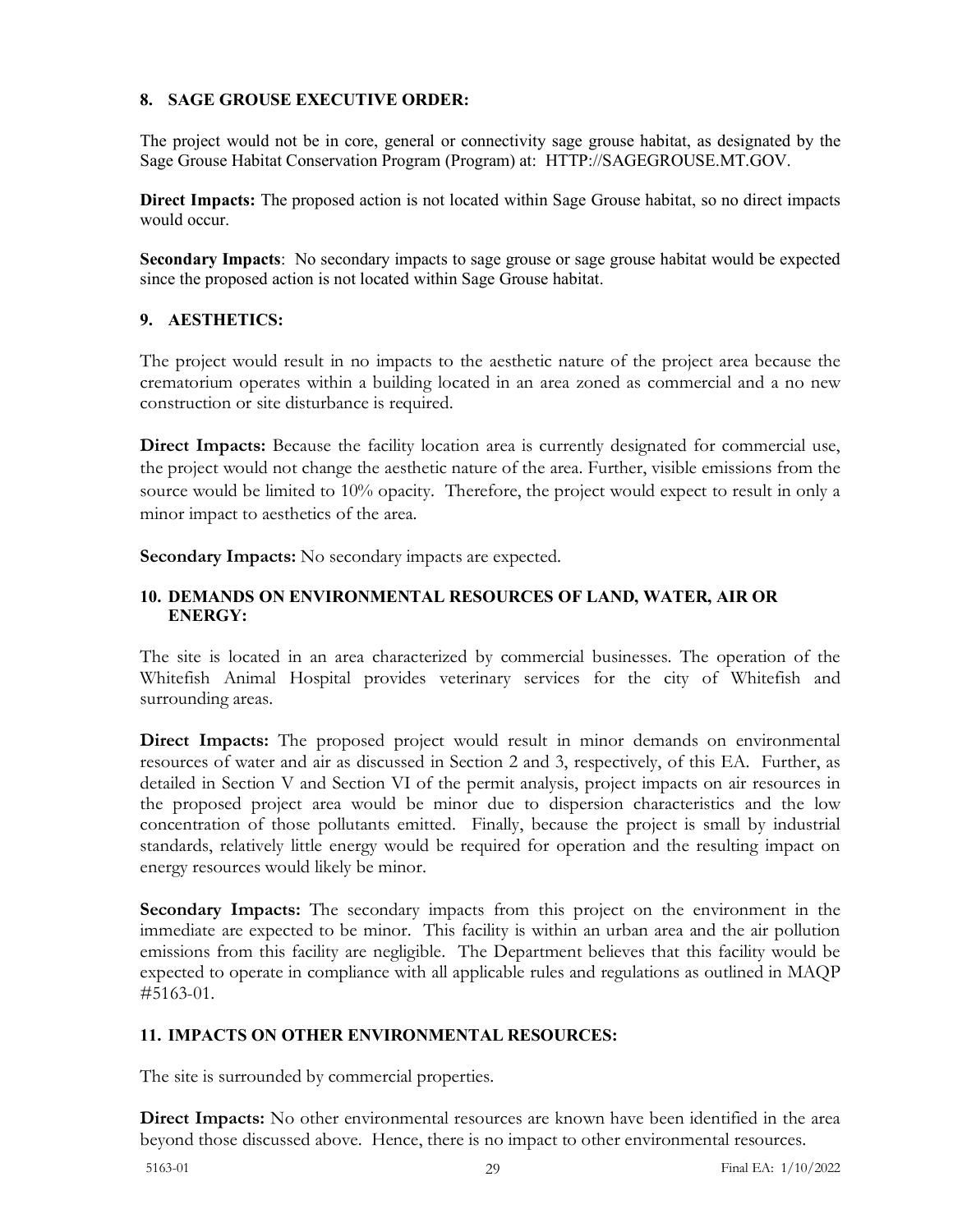#### **8. SAGE GROUSE EXECUTIVE ORDER:**

The project would not be in core, general or connectivity sage grouse habitat, as designated by the Sage Grouse Habitat Conservation Program (Program) at: [HTTP://SAGEGROUSE.MT.GOV.](about:blank)

**Direct Impacts:** The proposed action is not located within Sage Grouse habitat, so no direct impacts would occur.

**Secondary Impacts**: No secondary impacts to sage grouse or sage grouse habitat would be expected since the proposed action is not located within Sage Grouse habitat.

#### **9. AESTHETICS:**

The project would result in no impacts to the aesthetic nature of the project area because the crematorium operates within a building located in an area zoned as commercial and a no new construction or site disturbance is required.

**Direct Impacts:** Because the facility location area is currently designated for commercial use, the project would not change the aesthetic nature of the area. Further, visible emissions from the source would be limited to 10% opacity. Therefore, the project would expect to result in only a minor impact to aesthetics of the area.

**Secondary Impacts:** No secondary impacts are expected.

### **10. DEMANDS ON ENVIRONMENTAL RESOURCES OF LAND, WATER, AIR OR ENERGY:**

The site is located in an area characterized by commercial businesses. The operation of the Whitefish Animal Hospital provides veterinary services for the city of Whitefish and surrounding areas.

**Direct Impacts:** The proposed project would result in minor demands on environmental resources of water and air as discussed in Section 2 and 3, respectively, of this EA. Further, as detailed in Section V and Section VI of the permit analysis, project impacts on air resources in the proposed project area would be minor due to dispersion characteristics and the low concentration of those pollutants emitted. Finally, because the project is small by industrial standards, relatively little energy would be required for operation and the resulting impact on energy resources would likely be minor.

**Secondary Impacts:** The secondary impacts from this project on the environment in the immediate are expected to be minor. This facility is within an urban area and the air pollution emissions from this facility are negligible. The Department believes that this facility would be expected to operate in compliance with all applicable rules and regulations as outlined in MAQP #5163-01.

#### **11. IMPACTS ON OTHER ENVIRONMENTAL RESOURCES:**

The site is surrounded by commercial properties.

**Direct Impacts:** No other environmental resources are known have been identified in the area beyond those discussed above. Hence, there is no impact to other environmental resources.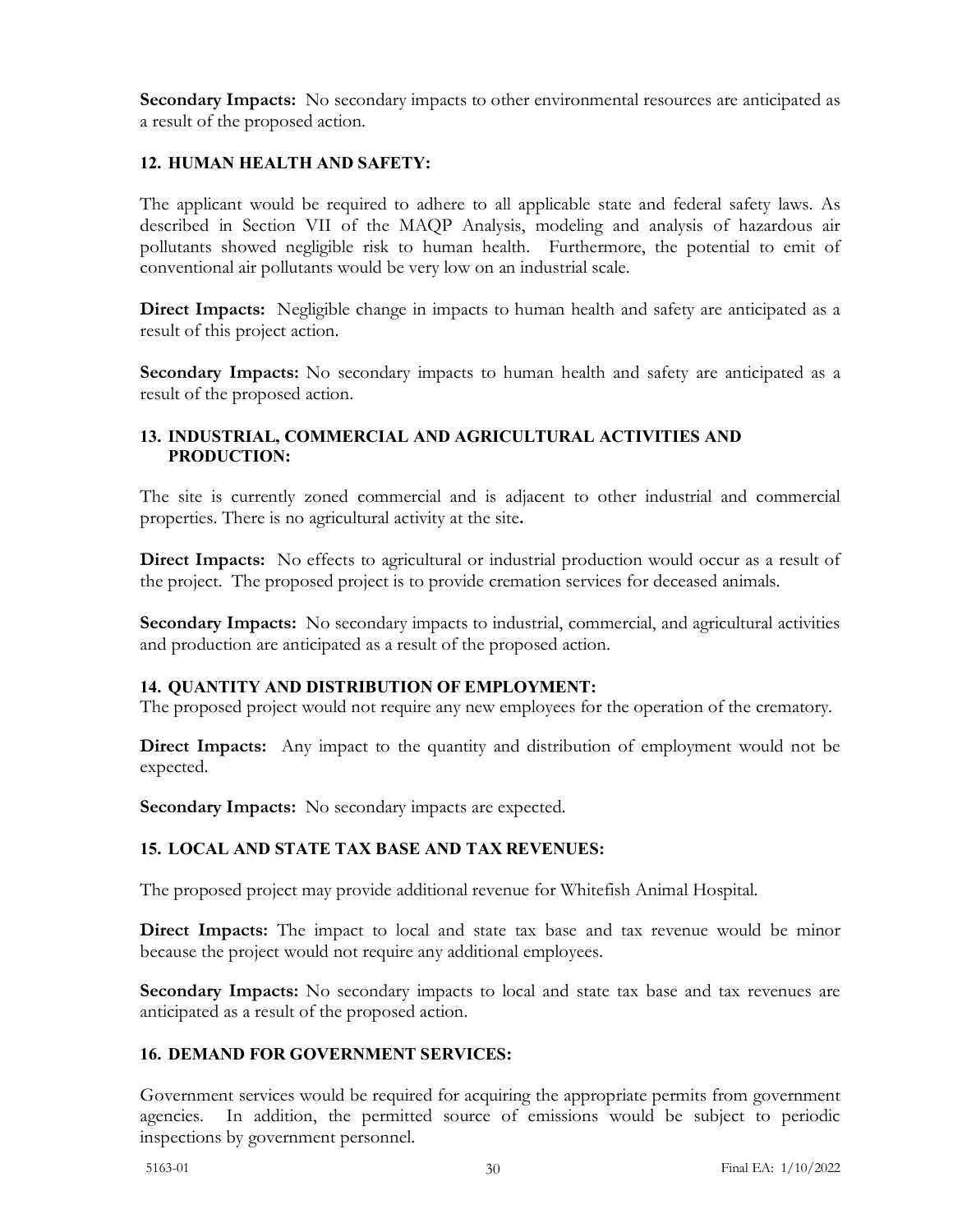**Secondary Impacts:** No secondary impacts to other environmental resources are anticipated as a result of the proposed action.

## **12. HUMAN HEALTH AND SAFETY:**

The applicant would be required to adhere to all applicable state and federal safety laws. As described in Section VII of the MAQP Analysis, modeling and analysis of hazardous air pollutants showed negligible risk to human health. Furthermore, the potential to emit of conventional air pollutants would be very low on an industrial scale.

**Direct Impacts:** Negligible change in impacts to human health and safety are anticipated as a result of this project action.

**Secondary Impacts:** No secondary impacts to human health and safety are anticipated as a result of the proposed action.

## **13. INDUSTRIAL, COMMERCIAL AND AGRICULTURAL ACTIVITIES AND PRODUCTION:**

The site is currently zoned commercial and is adjacent to other industrial and commercial properties. There is no agricultural activity at the site**.**

**Direct Impacts:** No effects to agricultural or industrial production would occur as a result of the project. The proposed project is to provide cremation services for deceased animals.

**Secondary Impacts:** No secondary impacts to industrial, commercial, and agricultural activities and production are anticipated as a result of the proposed action.

## **14. QUANTITY AND DISTRIBUTION OF EMPLOYMENT:**

The proposed project would not require any new employees for the operation of the crematory.

**Direct Impacts:** Any impact to the quantity and distribution of employment would not be expected.

**Secondary Impacts:** No secondary impacts are expected.

## **15. LOCAL AND STATE TAX BASE AND TAX REVENUES:**

The proposed project may provide additional revenue for Whitefish Animal Hospital.

**Direct Impacts:** The impact to local and state tax base and tax revenue would be minor because the project would not require any additional employees.

**Secondary Impacts:** No secondary impacts to local and state tax base and tax revenues are anticipated as a result of the proposed action.

## **16. DEMAND FOR GOVERNMENT SERVICES:**

Government services would be required for acquiring the appropriate permits from government agencies. In addition, the permitted source of emissions would be subject to periodic inspections by government personnel.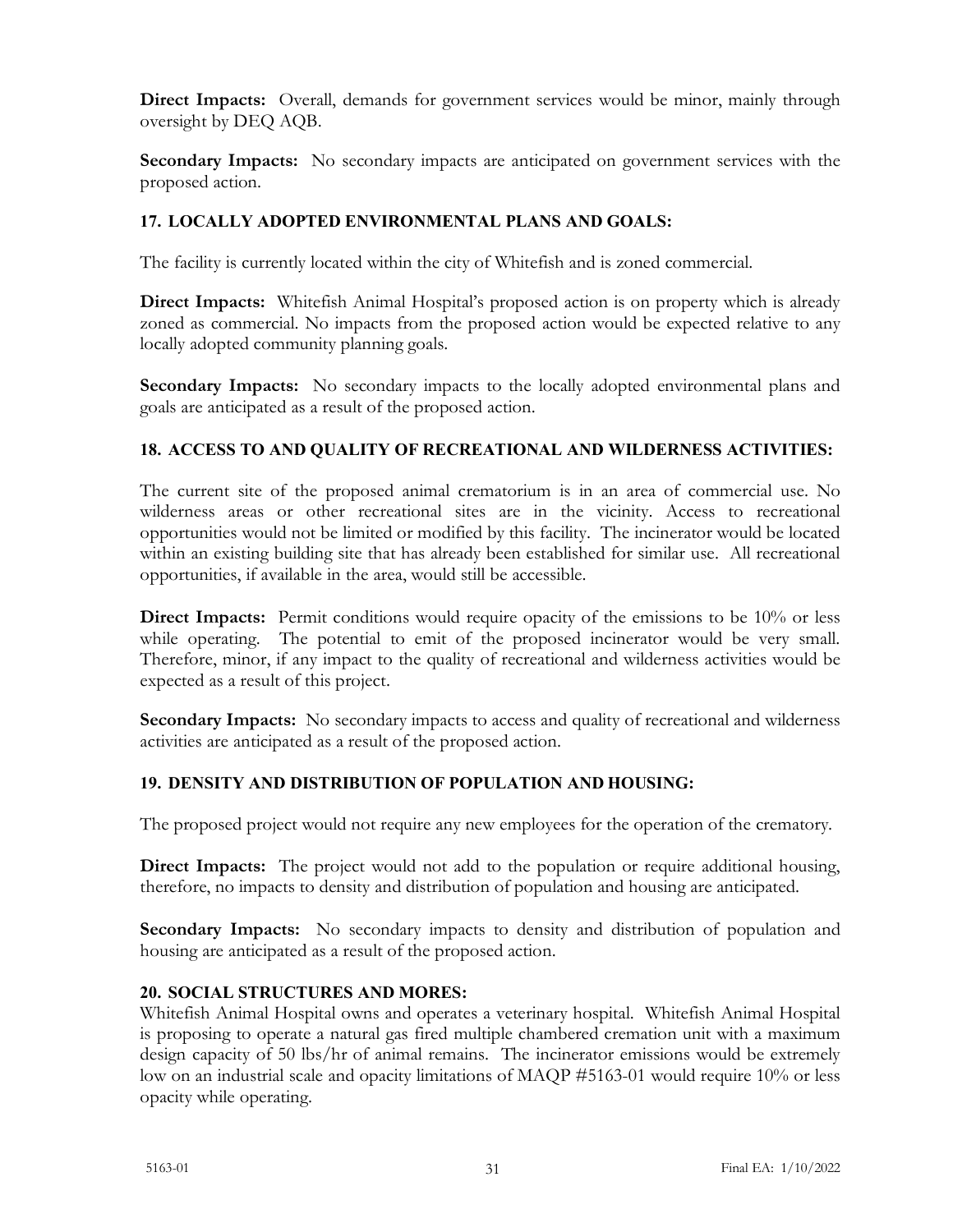**Direct Impacts:** Overall, demands for government services would be minor, mainly through oversight by DEQ AQB.

**Secondary Impacts:** No secondary impacts are anticipated on government services with the proposed action.

# **17. LOCALLY ADOPTED ENVIRONMENTAL PLANS AND GOALS:**

The facility is currently located within the city of Whitefish and is zoned commercial.

**Direct Impacts:** Whitefish Animal Hospital's proposed action is on property which is already zoned as commercial. No impacts from the proposed action would be expected relative to any locally adopted community planning goals.

**Secondary Impacts:** No secondary impacts to the locally adopted environmental plans and goals are anticipated as a result of the proposed action.

# **18. ACCESS TO AND QUALITY OF RECREATIONAL AND WILDERNESS ACTIVITIES:**

The current site of the proposed animal crematorium is in an area of commercial use. No wilderness areas or other recreational sites are in the vicinity. Access to recreational opportunities would not be limited or modified by this facility. The incinerator would be located within an existing building site that has already been established for similar use. All recreational opportunities, if available in the area, would still be accessible.

**Direct Impacts:** Permit conditions would require opacity of the emissions to be 10% or less while operating. The potential to emit of the proposed incinerator would be very small. Therefore, minor, if any impact to the quality of recreational and wilderness activities would be expected as a result of this project.

**Secondary Impacts:** No secondary impacts to access and quality of recreational and wilderness activities are anticipated as a result of the proposed action.

## **19. DENSITY AND DISTRIBUTION OF POPULATION AND HOUSING:**

The proposed project would not require any new employees for the operation of the crematory.

**Direct Impacts:** The project would not add to the population or require additional housing, therefore, no impacts to density and distribution of population and housing are anticipated.

**Secondary Impacts:** No secondary impacts to density and distribution of population and housing are anticipated as a result of the proposed action.

## **20. SOCIAL STRUCTURES AND MORES:**

Whitefish Animal Hospital owns and operates a veterinary hospital. Whitefish Animal Hospital is proposing to operate a natural gas fired multiple chambered cremation unit with a maximum design capacity of 50 lbs/hr of animal remains. The incinerator emissions would be extremely low on an industrial scale and opacity limitations of MAQP #5163-01 would require 10% or less opacity while operating.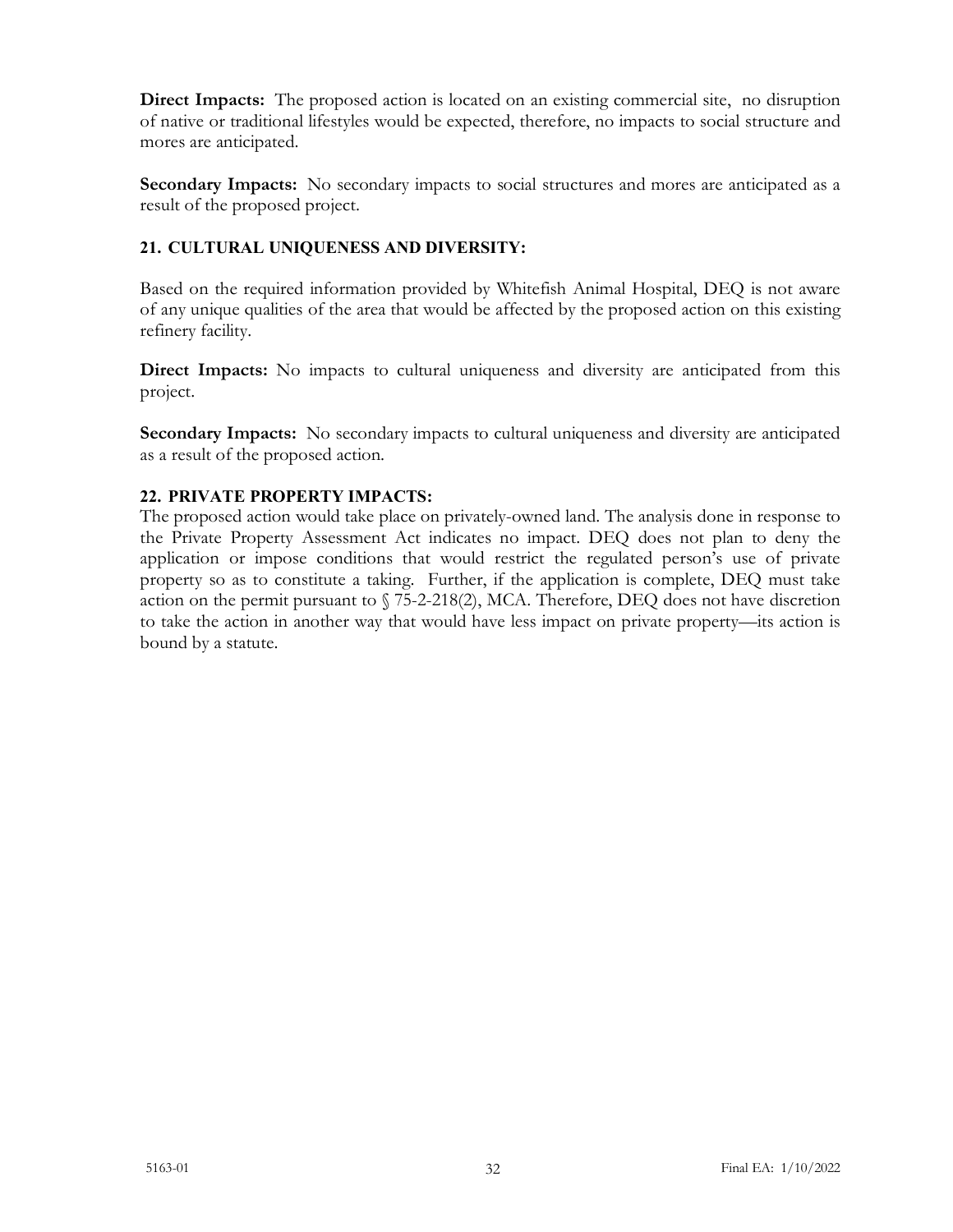**Direct Impacts:** The proposed action is located on an existing commercial site, no disruption of native or traditional lifestyles would be expected, therefore, no impacts to social structure and mores are anticipated.

**Secondary Impacts:** No secondary impacts to social structures and mores are anticipated as a result of the proposed project.

# **21. CULTURAL UNIQUENESS AND DIVERSITY:**

Based on the required information provided by Whitefish Animal Hospital, DEQ is not aware of any unique qualities of the area that would be affected by the proposed action on this existing refinery facility.

**Direct Impacts:** No impacts to cultural uniqueness and diversity are anticipated from this project.

**Secondary Impacts:** No secondary impacts to cultural uniqueness and diversity are anticipated as a result of the proposed action.

# **22. PRIVATE PROPERTY IMPACTS:**

The proposed action would take place on privately-owned land. The analysis done in response to the Private Property Assessment Act indicates no impact. DEQ does not plan to deny the application or impose conditions that would restrict the regulated person's use of private property so as to constitute a taking. Further, if the application is complete, DEQ must take action on the permit pursuant to § 75-2-218(2), MCA. Therefore, DEQ does not have discretion to take the action in another way that would have less impact on private property—its action is bound by a statute.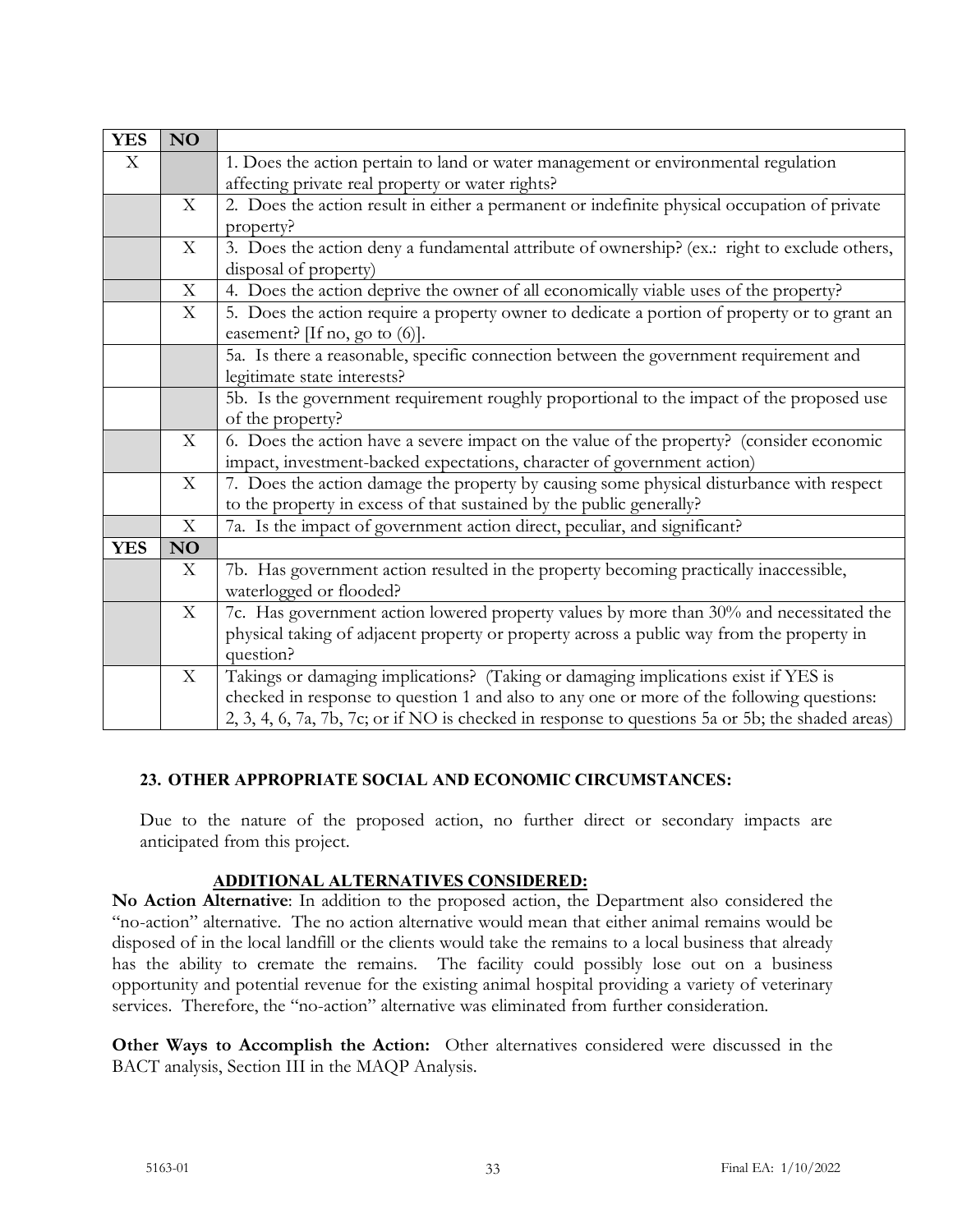| <b>YES</b> | <b>NO</b>   |                                                                                                  |
|------------|-------------|--------------------------------------------------------------------------------------------------|
| X          |             | 1. Does the action pertain to land or water management or environmental regulation               |
|            |             | affecting private real property or water rights?                                                 |
|            | X           | 2. Does the action result in either a permanent or indefinite physical occupation of private     |
|            |             | property?                                                                                        |
|            | X           | 3. Does the action deny a fundamental attribute of ownership? (ex.: right to exclude others,     |
|            |             | disposal of property)                                                                            |
|            | X           | 4. Does the action deprive the owner of all economically viable uses of the property?            |
|            | $\mathbf X$ | 5. Does the action require a property owner to dedicate a portion of property or to grant an     |
|            |             | easement? [If no, go to $(6)$ ].                                                                 |
|            |             | 5a. Is there a reasonable, specific connection between the government requirement and            |
|            |             | legitimate state interests?                                                                      |
|            |             | 5b. Is the government requirement roughly proportional to the impact of the proposed use         |
|            |             | of the property?                                                                                 |
|            | X           | 6. Does the action have a severe impact on the value of the property? (consider economic         |
|            |             | impact, investment-backed expectations, character of government action)                          |
|            | X           | 7. Does the action damage the property by causing some physical disturbance with respect         |
|            |             | to the property in excess of that sustained by the public generally?                             |
|            | X           | 7a. Is the impact of government action direct, peculiar, and significant?                        |
| <b>YES</b> | NO          |                                                                                                  |
|            | X           | 7b. Has government action resulted in the property becoming practically inaccessible,            |
|            |             | waterlogged or flooded?                                                                          |
|            | X           | 7c. Has government action lowered property values by more than 30% and necessitated the          |
|            |             | physical taking of adjacent property or property across a public way from the property in        |
|            |             | question?                                                                                        |
|            | X           | Takings or damaging implications? (Taking or damaging implications exist if YES is               |
|            |             | checked in response to question 1 and also to any one or more of the following questions:        |
|            |             | 2, 3, 4, 6, 7a, 7b, 7c; or if NO is checked in response to questions 5a or 5b; the shaded areas) |

## **23. OTHER APPROPRIATE SOCIAL AND ECONOMIC CIRCUMSTANCES:**

Due to the nature of the proposed action, no further direct or secondary impacts are anticipated from this project.

## **ADDITIONAL ALTERNATIVES CONSIDERED:**

**No Action Alternative**: In addition to the proposed action, the Department also considered the "no-action" alternative. The no action alternative would mean that either animal remains would be disposed of in the local landfill or the clients would take the remains to a local business that already has the ability to cremate the remains. The facility could possibly lose out on a business opportunity and potential revenue for the existing animal hospital providing a variety of veterinary services. Therefore, the "no-action" alternative was eliminated from further consideration.

**Other Ways to Accomplish the Action:** Other alternatives considered were discussed in the BACT analysis, Section III in the MAQP Analysis.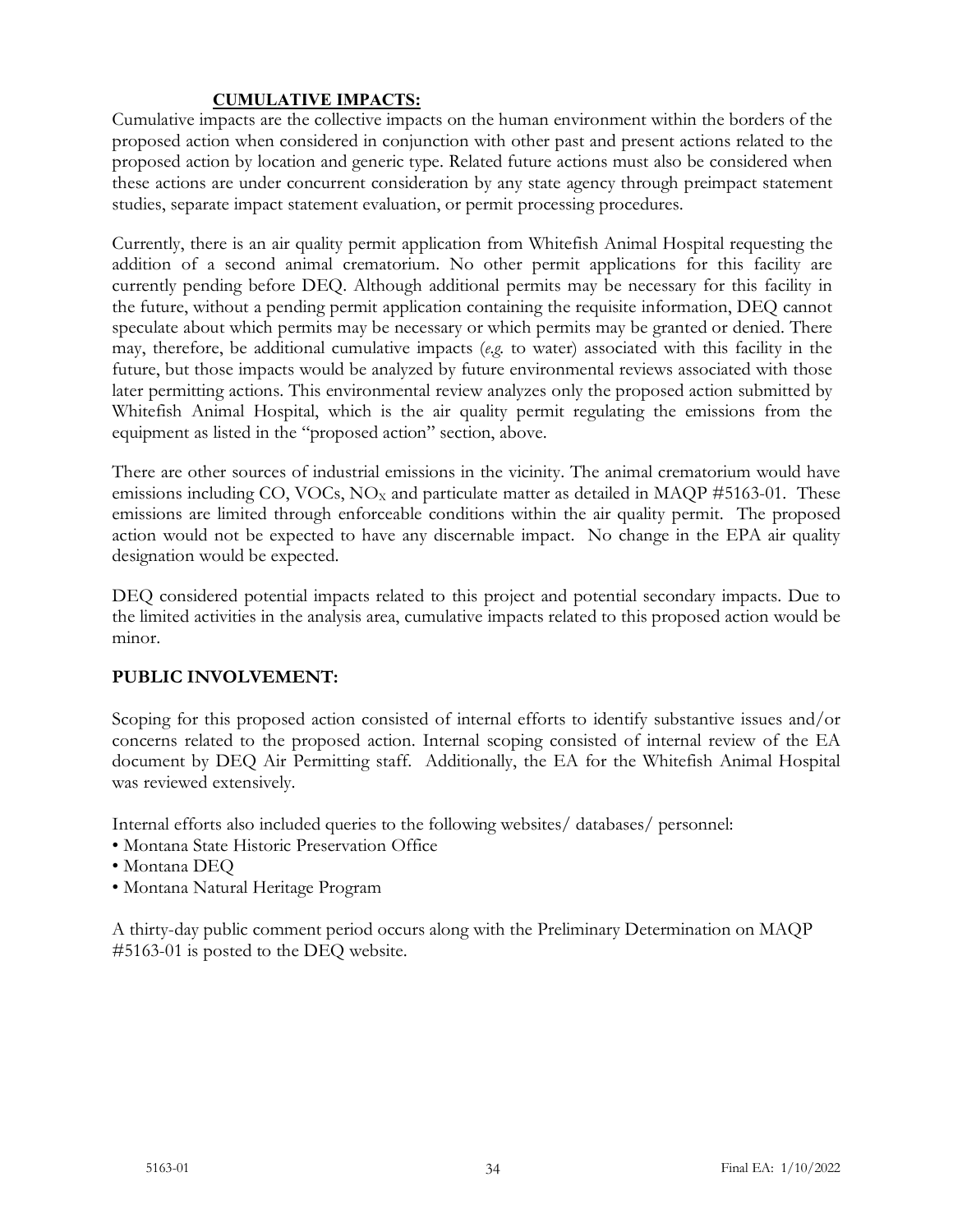#### **CUMULATIVE IMPACTS:**

Cumulative impacts are the collective impacts on the human environment within the borders of the proposed action when considered in conjunction with other past and present actions related to the proposed action by location and generic type. Related future actions must also be considered when these actions are under concurrent consideration by any state agency through preimpact statement studies, separate impact statement evaluation, or permit processing procedures.

Currently, there is an air quality permit application from Whitefish Animal Hospital requesting the addition of a second animal crematorium. No other permit applications for this facility are currently pending before DEQ. Although additional permits may be necessary for this facility in the future, without a pending permit application containing the requisite information, DEQ cannot speculate about which permits may be necessary or which permits may be granted or denied. There may, therefore, be additional cumulative impacts (*e.g.* to water) associated with this facility in the future, but those impacts would be analyzed by future environmental reviews associated with those later permitting actions. This environmental review analyzes only the proposed action submitted by Whitefish Animal Hospital, which is the air quality permit regulating the emissions from the equipment as listed in the "proposed action" section, above.

There are other sources of industrial emissions in the vicinity. The animal crematorium would have emissions including CO, VOCs,  $NO<sub>X</sub>$  and particulate matter as detailed in MAQP #5163-01. These emissions are limited through enforceable conditions within the air quality permit. The proposed action would not be expected to have any discernable impact. No change in the EPA air quality designation would be expected.

DEQ considered potential impacts related to this project and potential secondary impacts. Due to the limited activities in the analysis area, cumulative impacts related to this proposed action would be minor.

## **PUBLIC INVOLVEMENT:**

Scoping for this proposed action consisted of internal efforts to identify substantive issues and/or concerns related to the proposed action. Internal scoping consisted of internal review of the EA document by DEQ Air Permitting staff. Additionally, the EA for the Whitefish Animal Hospital was reviewed extensively.

Internal efforts also included queries to the following websites/ databases/ personnel:

- Montana State Historic Preservation Office
- Montana DEQ
- Montana Natural Heritage Program

A thirty-day public comment period occurs along with the Preliminary Determination on MAQP #5163-01 is posted to the DEQ website.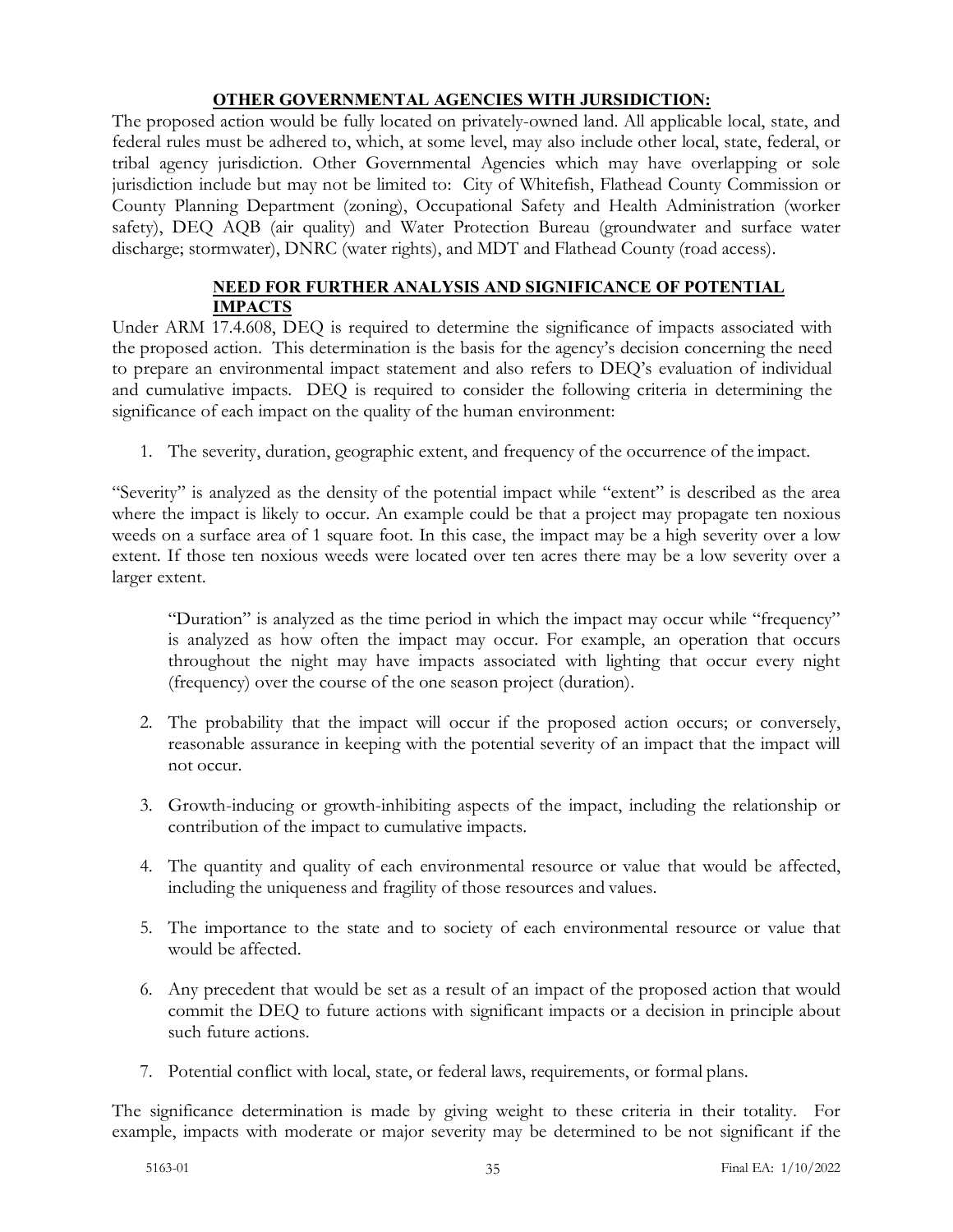### **OTHER GOVERNMENTAL AGENCIES WITH JURSIDICTION:**

The proposed action would be fully located on privately-owned land. All applicable local, state, and federal rules must be adhered to, which, at some level, may also include other local, state, federal, or tribal agency jurisdiction. Other Governmental Agencies which may have overlapping or sole jurisdiction include but may not be limited to: City of Whitefish, Flathead County Commission or County Planning Department (zoning), Occupational Safety and Health Administration (worker safety), DEQ AQB (air quality) and Water Protection Bureau (groundwater and surface water discharge; stormwater), DNRC (water rights), and MDT and Flathead County (road access).

# **NEED FOR FURTHER ANALYSIS AND SIGNIFICANCE OF POTENTIAL IMPACTS**

Under ARM 17.4.608, DEQ is required to determine the significance of impacts associated with the proposed action. This determination is the basis for the agency's decision concerning the need to prepare an environmental impact statement and also refers to DEQ's evaluation of individual and cumulative impacts. DEQ is required to consider the following criteria in determining the significance of each impact on the quality of the human environment:

1. The severity, duration, geographic extent, and frequency of the occurrence of the impact.

"Severity" is analyzed as the density of the potential impact while "extent" is described as the area where the impact is likely to occur. An example could be that a project may propagate ten noxious weeds on a surface area of 1 square foot. In this case, the impact may be a high severity over a low extent. If those ten noxious weeds were located over ten acres there may be a low severity over a larger extent.

"Duration" is analyzed as the time period in which the impact may occur while "frequency" is analyzed as how often the impact may occur. For example, an operation that occurs throughout the night may have impacts associated with lighting that occur every night (frequency) over the course of the one season project (duration).

- 2. The probability that the impact will occur if the proposed action occurs; or conversely, reasonable assurance in keeping with the potential severity of an impact that the impact will not occur.
- 3. Growth-inducing or growth-inhibiting aspects of the impact, including the relationship or contribution of the impact to cumulative impacts.
- 4. The quantity and quality of each environmental resource or value that would be affected, including the uniqueness and fragility of those resources and values.
- 5. The importance to the state and to society of each environmental resource or value that would be affected.
- 6. Any precedent that would be set as a result of an impact of the proposed action that would commit the DEQ to future actions with significant impacts or a decision in principle about such future actions.
- 7. Potential conflict with local, state, or federal laws, requirements, or formal plans.

The significance determination is made by giving weight to these criteria in their totality. For example, impacts with moderate or major severity may be determined to be not significant if the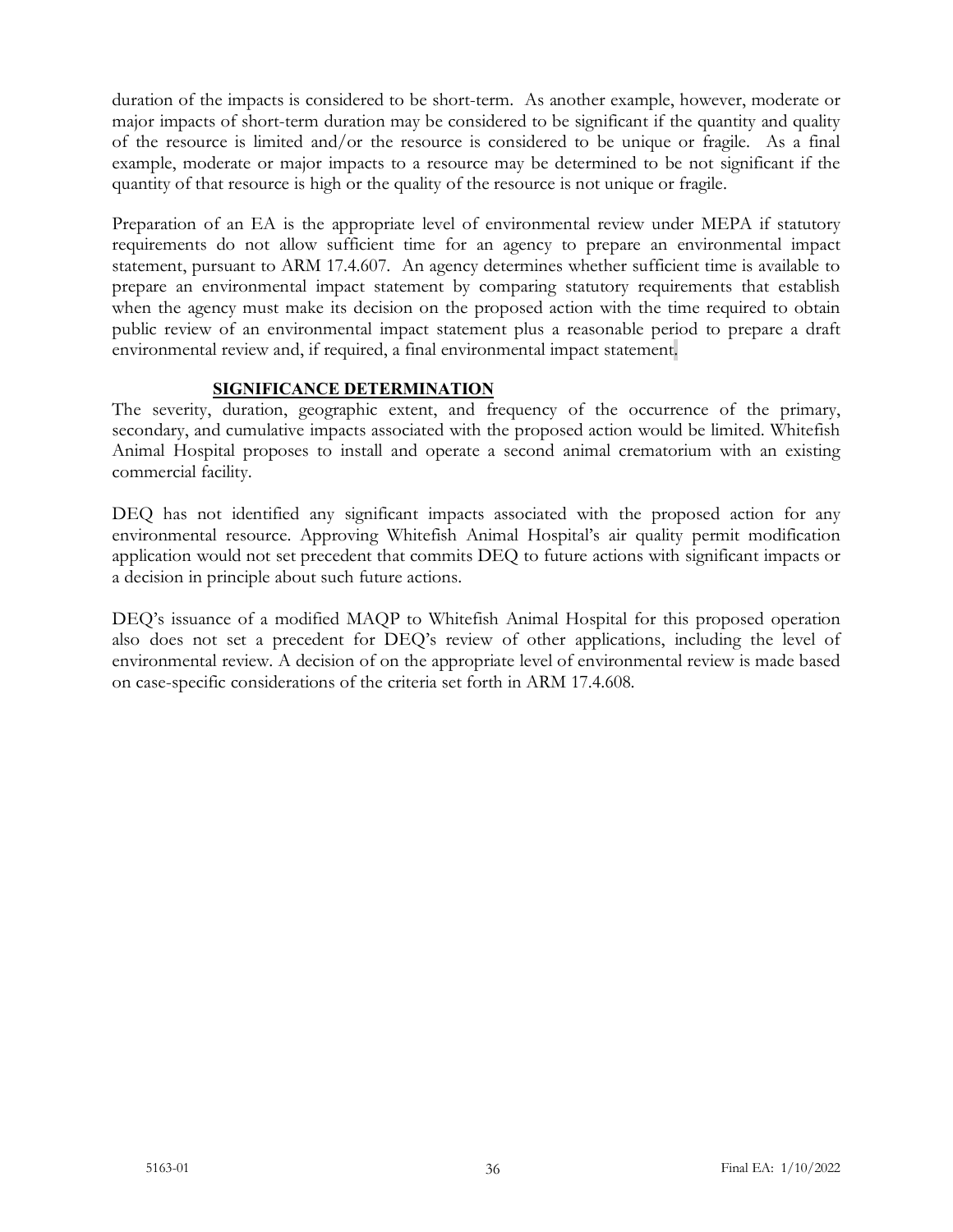duration of the impacts is considered to be short-term. As another example, however, moderate or major impacts of short-term duration may be considered to be significant if the quantity and quality of the resource is limited and/or the resource is considered to be unique or fragile. As a final example, moderate or major impacts to a resource may be determined to be not significant if the quantity of that resource is high or the quality of the resource is not unique or fragile.

Preparation of an EA is the appropriate level of environmental review under MEPA if statutory requirements do not allow sufficient time for an agency to prepare an environmental impact statement, pursuant to ARM 17.4.607. An agency determines whether sufficient time is available to prepare an environmental impact statement by comparing statutory requirements that establish when the agency must make its decision on the proposed action with the time required to obtain public review of an environmental impact statement plus a reasonable period to prepare a draft environmental review and, if required, a final environmental impact statement.

# **SIGNIFICANCE DETERMINATION**

The severity, duration, geographic extent, and frequency of the occurrence of the primary, secondary, and cumulative impacts associated with the proposed action would be limited. Whitefish Animal Hospital proposes to install and operate a second animal crematorium with an existing commercial facility.

DEQ has not identified any significant impacts associated with the proposed action for any environmental resource. Approving Whitefish Animal Hospital's air quality permit modification application would not set precedent that commits DEQ to future actions with significant impacts or a decision in principle about such future actions.

DEQ's issuance of a modified MAQP to Whitefish Animal Hospital for this proposed operation also does not set a precedent for DEQ's review of other applications, including the level of environmental review. A decision of on the appropriate level of environmental review is made based on case-specific considerations of the criteria set forth in ARM 17.4.608.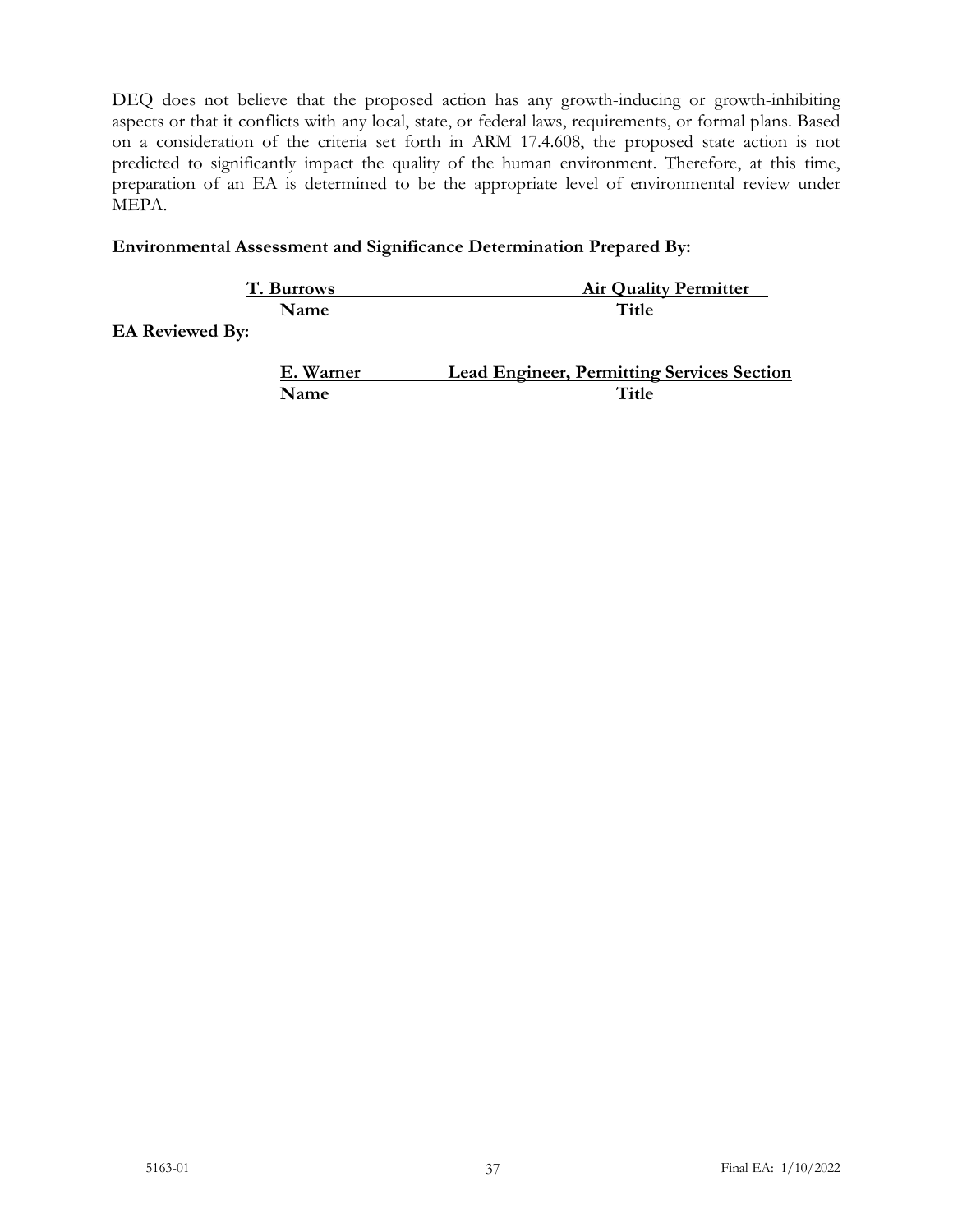DEQ does not believe that the proposed action has any growth-inducing or growth-inhibiting aspects or that it conflicts with any local, state, or federal laws, requirements, or formal plans. Based on a consideration of the criteria set forth in ARM 17.4.608, the proposed state action is not predicted to significantly impact the quality of the human environment. Therefore, at this time, preparation of an EA is determined to be the appropriate level of environmental review under MEPA.

### **Environmental Assessment and Significance Determination Prepared By:**

| T. Burrows             | <b>Air Quality Permitter</b>                      |
|------------------------|---------------------------------------------------|
| Name                   | Title                                             |
| <b>EA Reviewed By:</b> |                                                   |
| E. Warner              | <b>Lead Engineer, Permitting Services Section</b> |
| Name                   | Title                                             |